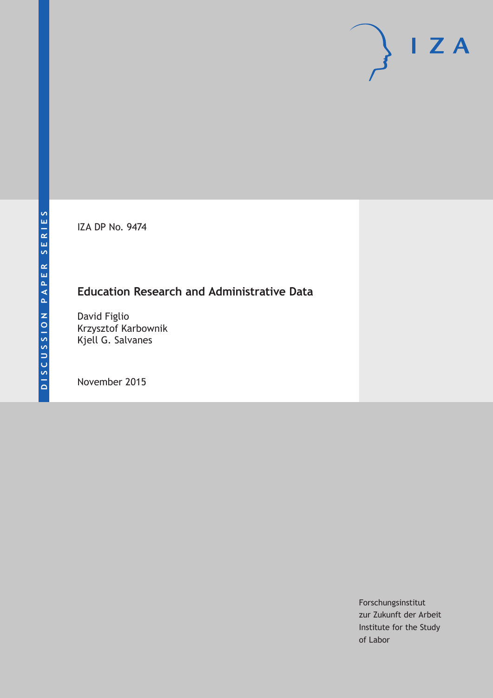IZA DP No. 9474

## **Education Research and Administrative Data**

David Figlio Krzysztof Karbownik Kjell G. Salvanes

November 2015

Forschungsinstitut zur Zukunft der Arbeit Institute for the Study of Labor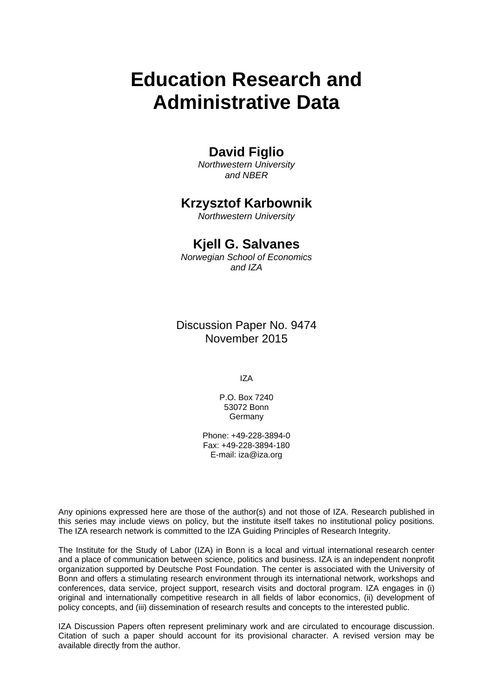# **Education Research and Administrative Data**

# **David Figlio**

*Northwestern University and NBER* 

### **Krzysztof Karbownik**

*Northwestern University* 

### **Kjell G. Salvanes**

*Norwegian School of Economics and IZA*

Discussion Paper No. 9474 November 2015

IZA

P.O. Box 7240 53072 Bonn **Germany** 

Phone: +49-228-3894-0 Fax: +49-228-3894-180 E-mail: iza@iza.org

Any opinions expressed here are those of the author(s) and not those of IZA. Research published in this series may include views on policy, but the institute itself takes no institutional policy positions. The IZA research network is committed to the IZA Guiding Principles of Research Integrity.

The Institute for the Study of Labor (IZA) in Bonn is a local and virtual international research center and a place of communication between science, politics and business. IZA is an independent nonprofit organization supported by Deutsche Post Foundation. The center is associated with the University of Bonn and offers a stimulating research environment through its international network, workshops and conferences, data service, project support, research visits and doctoral program. IZA engages in (i) original and internationally competitive research in all fields of labor economics, (ii) development of policy concepts, and (iii) dissemination of research results and concepts to the interested public.

IZA Discussion Papers often represent preliminary work and are circulated to encourage discussion. Citation of such a paper should account for its provisional character. A revised version may be available directly from the author.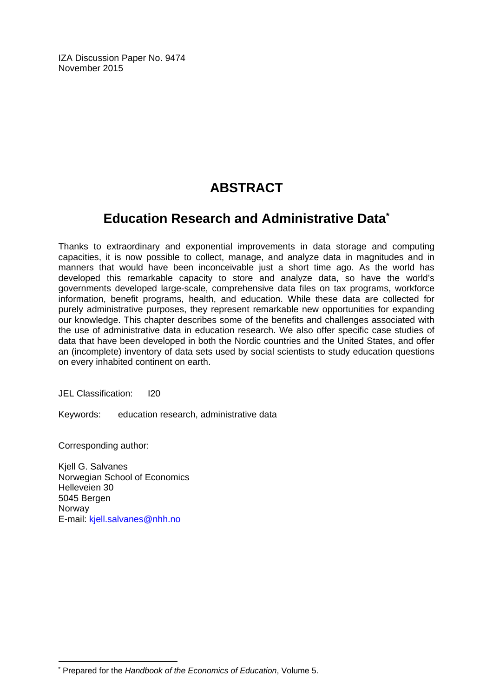IZA Discussion Paper No. 9474 November 2015

# **ABSTRACT**

# **Education Research and Administrative Data\***

Thanks to extraordinary and exponential improvements in data storage and computing capacities, it is now possible to collect, manage, and analyze data in magnitudes and in manners that would have been inconceivable just a short time ago. As the world has developed this remarkable capacity to store and analyze data, so have the world's governments developed large-scale, comprehensive data files on tax programs, workforce information, benefit programs, health, and education. While these data are collected for purely administrative purposes, they represent remarkable new opportunities for expanding our knowledge. This chapter describes some of the benefits and challenges associated with the use of administrative data in education research. We also offer specific case studies of data that have been developed in both the Nordic countries and the United States, and offer an (incomplete) inventory of data sets used by social scientists to study education questions on every inhabited continent on earth.

JEL Classification: I20

Keywords: education research, administrative data

Corresponding author:

 $\overline{a}$ 

Kjell G. Salvanes Norwegian School of Economics Helleveien 30 5045 Bergen Norway E-mail: kjell.salvanes@nhh.no

<sup>\*</sup> Prepared for the *Handbook of the Economics of Education*, Volume 5.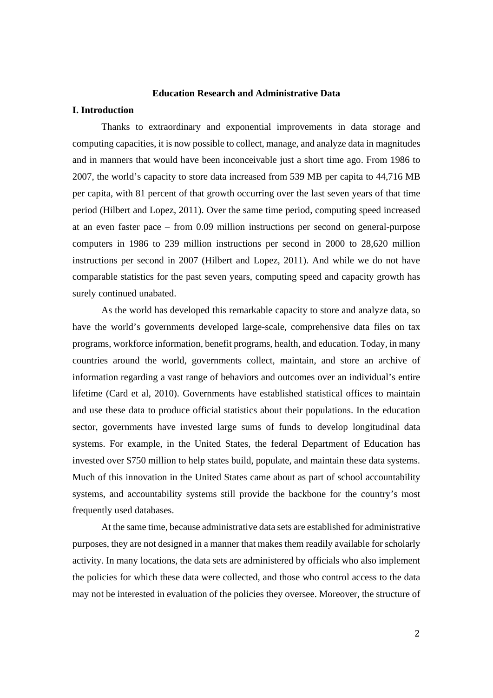#### **Education Research and Administrative Data**

### **I. Introduction**

 Thanks to extraordinary and exponential improvements in data storage and computing capacities, it is now possible to collect, manage, and analyze data in magnitudes and in manners that would have been inconceivable just a short time ago. From 1986 to 2007, the world's capacity to store data increased from 539 MB per capita to 44,716 MB per capita, with 81 percent of that growth occurring over the last seven years of that time period (Hilbert and Lopez, 2011). Over the same time period, computing speed increased at an even faster pace – from 0.09 million instructions per second on general-purpose computers in 1986 to 239 million instructions per second in 2000 to 28,620 million instructions per second in 2007 (Hilbert and Lopez, 2011). And while we do not have comparable statistics for the past seven years, computing speed and capacity growth has surely continued unabated.

 As the world has developed this remarkable capacity to store and analyze data, so have the world's governments developed large-scale, comprehensive data files on tax programs, workforce information, benefit programs, health, and education. Today, in many countries around the world, governments collect, maintain, and store an archive of information regarding a vast range of behaviors and outcomes over an individual's entire lifetime (Card et al, 2010). Governments have established statistical offices to maintain and use these data to produce official statistics about their populations. In the education sector, governments have invested large sums of funds to develop longitudinal data systems. For example, in the United States, the federal Department of Education has invested over \$750 million to help states build, populate, and maintain these data systems. Much of this innovation in the United States came about as part of school accountability systems, and accountability systems still provide the backbone for the country's most frequently used databases.

At the same time, because administrative data sets are established for administrative purposes, they are not designed in a manner that makes them readily available for scholarly activity. In many locations, the data sets are administered by officials who also implement the policies for which these data were collected, and those who control access to the data may not be interested in evaluation of the policies they oversee. Moreover, the structure of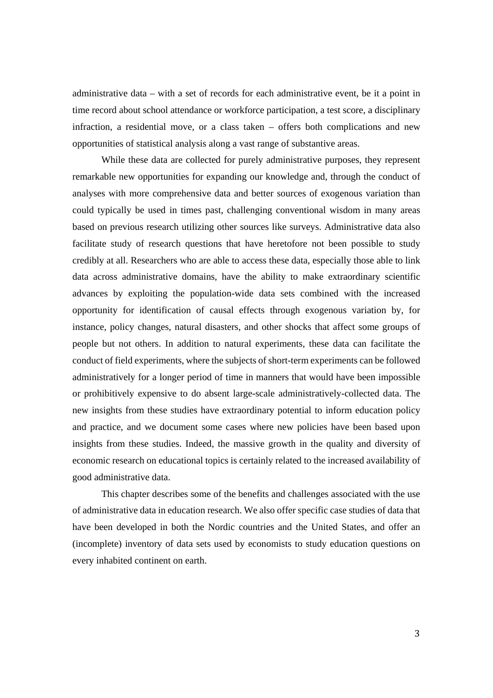administrative data – with a set of records for each administrative event, be it a point in time record about school attendance or workforce participation, a test score, a disciplinary infraction, a residential move, or a class taken – offers both complications and new opportunities of statistical analysis along a vast range of substantive areas.

While these data are collected for purely administrative purposes, they represent remarkable new opportunities for expanding our knowledge and, through the conduct of analyses with more comprehensive data and better sources of exogenous variation than could typically be used in times past, challenging conventional wisdom in many areas based on previous research utilizing other sources like surveys. Administrative data also facilitate study of research questions that have heretofore not been possible to study credibly at all. Researchers who are able to access these data, especially those able to link data across administrative domains, have the ability to make extraordinary scientific advances by exploiting the population-wide data sets combined with the increased opportunity for identification of causal effects through exogenous variation by, for instance, policy changes, natural disasters, and other shocks that affect some groups of people but not others. In addition to natural experiments, these data can facilitate the conduct of field experiments, where the subjects of short-term experiments can be followed administratively for a longer period of time in manners that would have been impossible or prohibitively expensive to do absent large-scale administratively-collected data. The new insights from these studies have extraordinary potential to inform education policy and practice, and we document some cases where new policies have been based upon insights from these studies. Indeed, the massive growth in the quality and diversity of economic research on educational topics is certainly related to the increased availability of good administrative data.

This chapter describes some of the benefits and challenges associated with the use of administrative data in education research. We also offer specific case studies of data that have been developed in both the Nordic countries and the United States, and offer an (incomplete) inventory of data sets used by economists to study education questions on every inhabited continent on earth.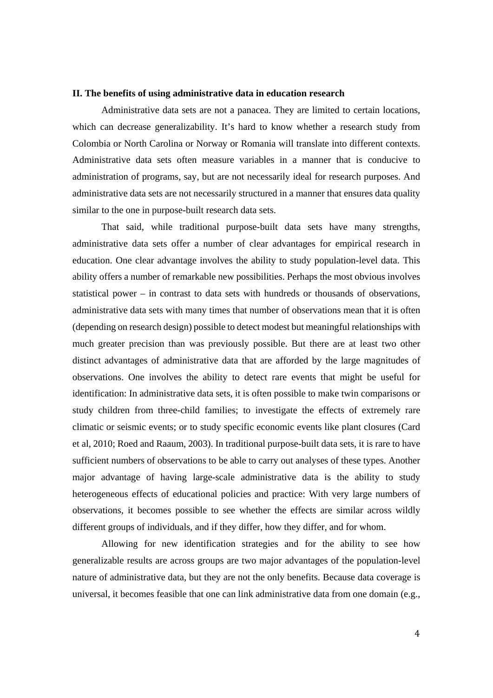#### **II. The benefits of using administrative data in education research**

 Administrative data sets are not a panacea. They are limited to certain locations, which can decrease generalizability. It's hard to know whether a research study from Colombia or North Carolina or Norway or Romania will translate into different contexts. Administrative data sets often measure variables in a manner that is conducive to administration of programs, say, but are not necessarily ideal for research purposes. And administrative data sets are not necessarily structured in a manner that ensures data quality similar to the one in purpose-built research data sets.

That said, while traditional purpose-built data sets have many strengths, administrative data sets offer a number of clear advantages for empirical research in education. One clear advantage involves the ability to study population-level data. This ability offers a number of remarkable new possibilities. Perhaps the most obvious involves statistical power – in contrast to data sets with hundreds or thousands of observations, administrative data sets with many times that number of observations mean that it is often (depending on research design) possible to detect modest but meaningful relationships with much greater precision than was previously possible. But there are at least two other distinct advantages of administrative data that are afforded by the large magnitudes of observations. One involves the ability to detect rare events that might be useful for identification: In administrative data sets, it is often possible to make twin comparisons or study children from three-child families; to investigate the effects of extremely rare climatic or seismic events; or to study specific economic events like plant closures (Card et al, 2010; Roed and Raaum, 2003). In traditional purpose-built data sets, it is rare to have sufficient numbers of observations to be able to carry out analyses of these types. Another major advantage of having large-scale administrative data is the ability to study heterogeneous effects of educational policies and practice: With very large numbers of observations, it becomes possible to see whether the effects are similar across wildly different groups of individuals, and if they differ, how they differ, and for whom.

Allowing for new identification strategies and for the ability to see how generalizable results are across groups are two major advantages of the population-level nature of administrative data, but they are not the only benefits. Because data coverage is universal, it becomes feasible that one can link administrative data from one domain (e.g.,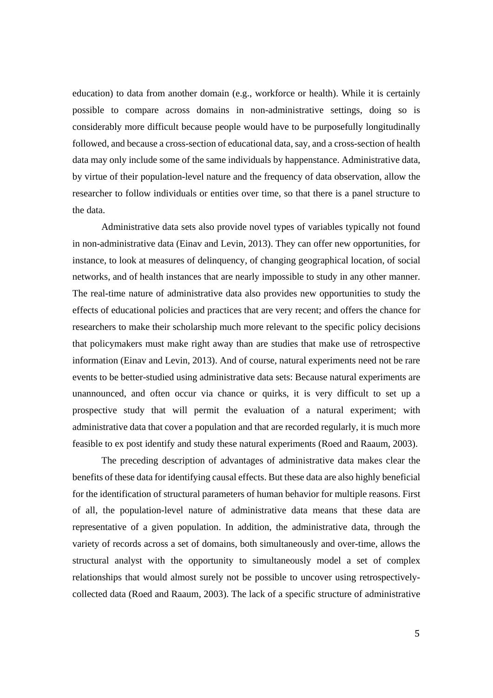education) to data from another domain (e.g., workforce or health). While it is certainly possible to compare across domains in non-administrative settings, doing so is considerably more difficult because people would have to be purposefully longitudinally followed, and because a cross-section of educational data, say, and a cross-section of health data may only include some of the same individuals by happenstance. Administrative data, by virtue of their population-level nature and the frequency of data observation, allow the researcher to follow individuals or entities over time, so that there is a panel structure to the data.

Administrative data sets also provide novel types of variables typically not found in non-administrative data (Einav and Levin, 2013). They can offer new opportunities, for instance, to look at measures of delinquency, of changing geographical location, of social networks, and of health instances that are nearly impossible to study in any other manner. The real-time nature of administrative data also provides new opportunities to study the effects of educational policies and practices that are very recent; and offers the chance for researchers to make their scholarship much more relevant to the specific policy decisions that policymakers must make right away than are studies that make use of retrospective information (Einav and Levin, 2013). And of course, natural experiments need not be rare events to be better-studied using administrative data sets: Because natural experiments are unannounced, and often occur via chance or quirks, it is very difficult to set up a prospective study that will permit the evaluation of a natural experiment; with administrative data that cover a population and that are recorded regularly, it is much more feasible to ex post identify and study these natural experiments (Roed and Raaum, 2003).

The preceding description of advantages of administrative data makes clear the benefits of these data for identifying causal effects. But these data are also highly beneficial for the identification of structural parameters of human behavior for multiple reasons. First of all, the population-level nature of administrative data means that these data are representative of a given population. In addition, the administrative data, through the variety of records across a set of domains, both simultaneously and over-time, allows the structural analyst with the opportunity to simultaneously model a set of complex relationships that would almost surely not be possible to uncover using retrospectivelycollected data (Roed and Raaum, 2003). The lack of a specific structure of administrative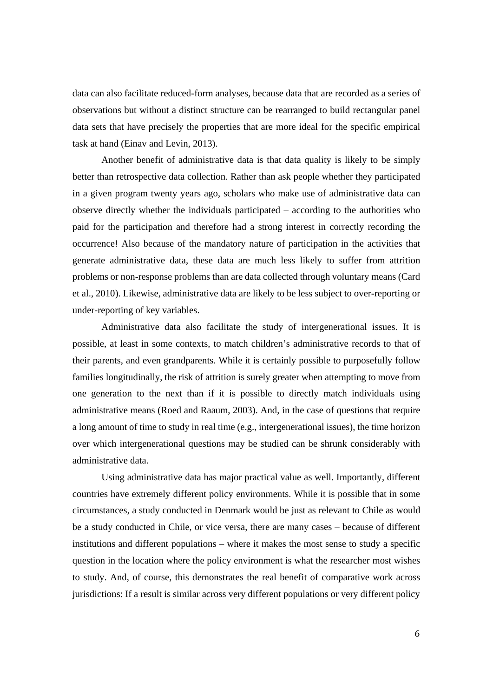data can also facilitate reduced-form analyses, because data that are recorded as a series of observations but without a distinct structure can be rearranged to build rectangular panel data sets that have precisely the properties that are more ideal for the specific empirical task at hand (Einav and Levin, 2013).

Another benefit of administrative data is that data quality is likely to be simply better than retrospective data collection. Rather than ask people whether they participated in a given program twenty years ago, scholars who make use of administrative data can observe directly whether the individuals participated – according to the authorities who paid for the participation and therefore had a strong interest in correctly recording the occurrence! Also because of the mandatory nature of participation in the activities that generate administrative data, these data are much less likely to suffer from attrition problems or non-response problems than are data collected through voluntary means (Card et al., 2010). Likewise, administrative data are likely to be less subject to over-reporting or under-reporting of key variables.

Administrative data also facilitate the study of intergenerational issues. It is possible, at least in some contexts, to match children's administrative records to that of their parents, and even grandparents. While it is certainly possible to purposefully follow families longitudinally, the risk of attrition is surely greater when attempting to move from one generation to the next than if it is possible to directly match individuals using administrative means (Roed and Raaum, 2003). And, in the case of questions that require a long amount of time to study in real time (e.g., intergenerational issues), the time horizon over which intergenerational questions may be studied can be shrunk considerably with administrative data.

Using administrative data has major practical value as well. Importantly, different countries have extremely different policy environments. While it is possible that in some circumstances, a study conducted in Denmark would be just as relevant to Chile as would be a study conducted in Chile, or vice versa, there are many cases – because of different institutions and different populations – where it makes the most sense to study a specific question in the location where the policy environment is what the researcher most wishes to study. And, of course, this demonstrates the real benefit of comparative work across jurisdictions: If a result is similar across very different populations or very different policy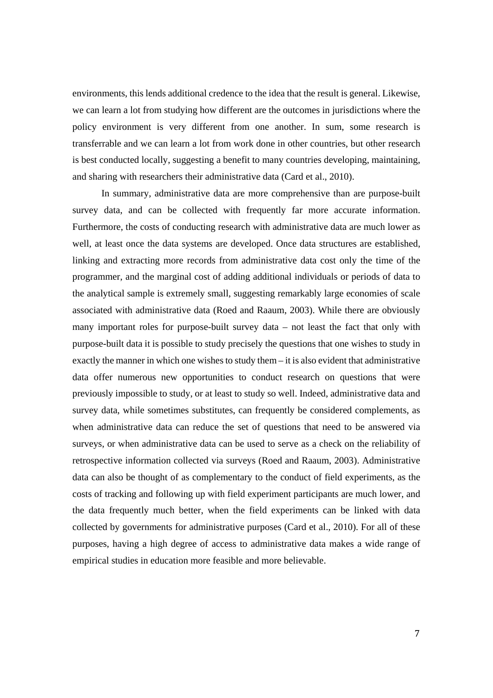environments, this lends additional credence to the idea that the result is general. Likewise, we can learn a lot from studying how different are the outcomes in jurisdictions where the policy environment is very different from one another. In sum, some research is transferrable and we can learn a lot from work done in other countries, but other research is best conducted locally, suggesting a benefit to many countries developing, maintaining, and sharing with researchers their administrative data (Card et al., 2010).

In summary, administrative data are more comprehensive than are purpose-built survey data, and can be collected with frequently far more accurate information. Furthermore, the costs of conducting research with administrative data are much lower as well, at least once the data systems are developed. Once data structures are established, linking and extracting more records from administrative data cost only the time of the programmer, and the marginal cost of adding additional individuals or periods of data to the analytical sample is extremely small, suggesting remarkably large economies of scale associated with administrative data (Roed and Raaum, 2003). While there are obviously many important roles for purpose-built survey data – not least the fact that only with purpose-built data it is possible to study precisely the questions that one wishes to study in exactly the manner in which one wishes to study them – it is also evident that administrative data offer numerous new opportunities to conduct research on questions that were previously impossible to study, or at least to study so well. Indeed, administrative data and survey data, while sometimes substitutes, can frequently be considered complements, as when administrative data can reduce the set of questions that need to be answered via surveys, or when administrative data can be used to serve as a check on the reliability of retrospective information collected via surveys (Roed and Raaum, 2003). Administrative data can also be thought of as complementary to the conduct of field experiments, as the costs of tracking and following up with field experiment participants are much lower, and the data frequently much better, when the field experiments can be linked with data collected by governments for administrative purposes (Card et al., 2010). For all of these purposes, having a high degree of access to administrative data makes a wide range of empirical studies in education more feasible and more believable.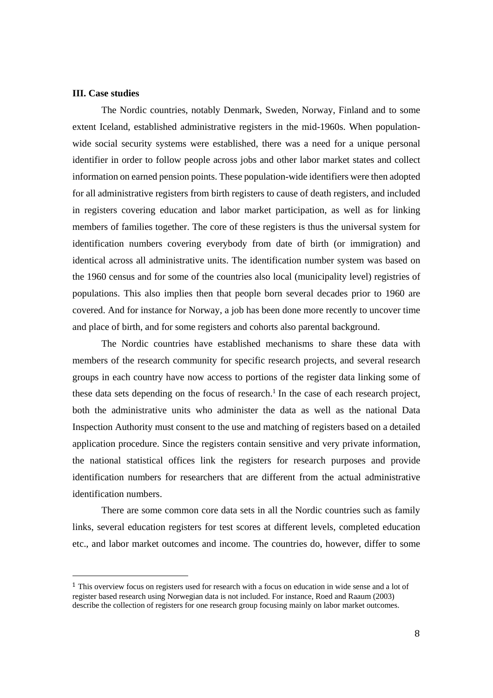#### **III. Case studies**

The Nordic countries, notably Denmark, Sweden, Norway, Finland and to some extent Iceland, established administrative registers in the mid-1960s. When populationwide social security systems were established, there was a need for a unique personal identifier in order to follow people across jobs and other labor market states and collect information on earned pension points. These population-wide identifiers were then adopted for all administrative registers from birth registers to cause of death registers, and included in registers covering education and labor market participation, as well as for linking members of families together. The core of these registers is thus the universal system for identification numbers covering everybody from date of birth (or immigration) and identical across all administrative units. The identification number system was based on the 1960 census and for some of the countries also local (municipality level) registries of populations. This also implies then that people born several decades prior to 1960 are covered. And for instance for Norway, a job has been done more recently to uncover time and place of birth, and for some registers and cohorts also parental background.

The Nordic countries have established mechanisms to share these data with members of the research community for specific research projects, and several research groups in each country have now access to portions of the register data linking some of these data sets depending on the focus of research.<sup>1</sup> In the case of each research project, both the administrative units who administer the data as well as the national Data Inspection Authority must consent to the use and matching of registers based on a detailed application procedure. Since the registers contain sensitive and very private information, the national statistical offices link the registers for research purposes and provide identification numbers for researchers that are different from the actual administrative identification numbers.

There are some common core data sets in all the Nordic countries such as family links, several education registers for test scores at different levels, completed education etc., and labor market outcomes and income. The countries do, however, differ to some

<sup>1</sup> This overview focus on registers used for research with a focus on education in wide sense and a lot of register based research using Norwegian data is not included. For instance, Roed and Raaum (2003) describe the collection of registers for one research group focusing mainly on labor market outcomes.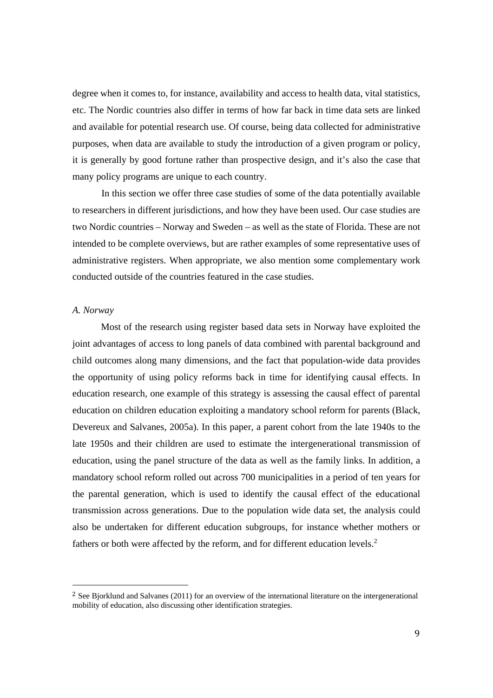degree when it comes to, for instance, availability and access to health data, vital statistics, etc. The Nordic countries also differ in terms of how far back in time data sets are linked and available for potential research use. Of course, being data collected for administrative purposes, when data are available to study the introduction of a given program or policy, it is generally by good fortune rather than prospective design, and it's also the case that many policy programs are unique to each country.

In this section we offer three case studies of some of the data potentially available to researchers in different jurisdictions, and how they have been used. Our case studies are two Nordic countries – Norway and Sweden – as well as the state of Florida. These are not intended to be complete overviews, but are rather examples of some representative uses of administrative registers. When appropriate, we also mention some complementary work conducted outside of the countries featured in the case studies.

#### *A. Norway*

 

Most of the research using register based data sets in Norway have exploited the joint advantages of access to long panels of data combined with parental background and child outcomes along many dimensions, and the fact that population-wide data provides the opportunity of using policy reforms back in time for identifying causal effects. In education research, one example of this strategy is assessing the causal effect of parental education on children education exploiting a mandatory school reform for parents (Black, Devereux and Salvanes, 2005a). In this paper, a parent cohort from the late 1940s to the late 1950s and their children are used to estimate the intergenerational transmission of education, using the panel structure of the data as well as the family links. In addition, a mandatory school reform rolled out across 700 municipalities in a period of ten years for the parental generation, which is used to identify the causal effect of the educational transmission across generations. Due to the population wide data set, the analysis could also be undertaken for different education subgroups, for instance whether mothers or fathers or both were affected by the reform, and for different education levels.<sup>2</sup>

<sup>&</sup>lt;sup>2</sup> See Bjorklund and Salvanes (2011) for an overview of the international literature on the intergenerational mobility of education, also discussing other identification strategies.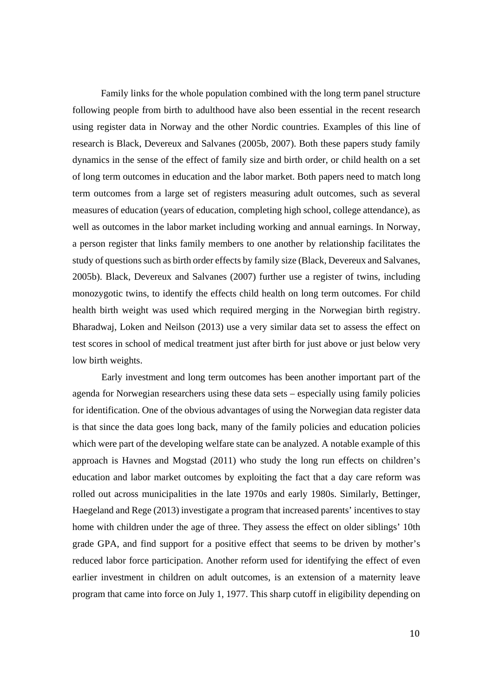Family links for the whole population combined with the long term panel structure following people from birth to adulthood have also been essential in the recent research using register data in Norway and the other Nordic countries. Examples of this line of research is Black, Devereux and Salvanes (2005b, 2007). Both these papers study family dynamics in the sense of the effect of family size and birth order, or child health on a set of long term outcomes in education and the labor market. Both papers need to match long term outcomes from a large set of registers measuring adult outcomes, such as several measures of education (years of education, completing high school, college attendance), as well as outcomes in the labor market including working and annual earnings. In Norway, a person register that links family members to one another by relationship facilitates the study of questions such as birth order effects by family size (Black, Devereux and Salvanes, 2005b). Black, Devereux and Salvanes (2007) further use a register of twins, including monozygotic twins, to identify the effects child health on long term outcomes. For child health birth weight was used which required merging in the Norwegian birth registry. Bharadwaj, Loken and Neilson (2013) use a very similar data set to assess the effect on test scores in school of medical treatment just after birth for just above or just below very low birth weights.

 Early investment and long term outcomes has been another important part of the agenda for Norwegian researchers using these data sets – especially using family policies for identification. One of the obvious advantages of using the Norwegian data register data is that since the data goes long back, many of the family policies and education policies which were part of the developing welfare state can be analyzed. A notable example of this approach is Havnes and Mogstad (2011) who study the long run effects on children's education and labor market outcomes by exploiting the fact that a day care reform was rolled out across municipalities in the late 1970s and early 1980s. Similarly, Bettinger, Haegeland and Rege (2013) investigate a program that increased parents' incentives to stay home with children under the age of three. They assess the effect on older siblings' 10th grade GPA, and find support for a positive effect that seems to be driven by mother's reduced labor force participation. Another reform used for identifying the effect of even earlier investment in children on adult outcomes, is an extension of a maternity leave program that came into force on July 1, 1977. This sharp cutoff in eligibility depending on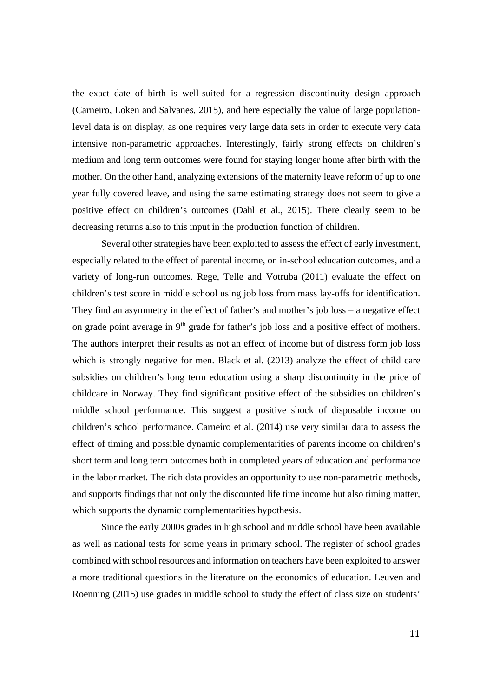the exact date of birth is well-suited for a regression discontinuity design approach (Carneiro, Loken and Salvanes, 2015), and here especially the value of large populationlevel data is on display, as one requires very large data sets in order to execute very data intensive non-parametric approaches. Interestingly, fairly strong effects on children's medium and long term outcomes were found for staying longer home after birth with the mother. On the other hand, analyzing extensions of the maternity leave reform of up to one year fully covered leave, and using the same estimating strategy does not seem to give a positive effect on children's outcomes (Dahl et al., 2015). There clearly seem to be decreasing returns also to this input in the production function of children.

 Several other strategies have been exploited to assess the effect of early investment, especially related to the effect of parental income, on in-school education outcomes, and a variety of long-run outcomes. Rege, Telle and Votruba (2011) evaluate the effect on children's test score in middle school using job loss from mass lay-offs for identification. They find an asymmetry in the effect of father's and mother's job loss – a negative effect on grade point average in 9<sup>th</sup> grade for father's job loss and a positive effect of mothers. The authors interpret their results as not an effect of income but of distress form job loss which is strongly negative for men. Black et al. (2013) analyze the effect of child care subsidies on children's long term education using a sharp discontinuity in the price of childcare in Norway. They find significant positive effect of the subsidies on children's middle school performance. This suggest a positive shock of disposable income on children's school performance. Carneiro et al. (2014) use very similar data to assess the effect of timing and possible dynamic complementarities of parents income on children's short term and long term outcomes both in completed years of education and performance in the labor market. The rich data provides an opportunity to use non-parametric methods, and supports findings that not only the discounted life time income but also timing matter, which supports the dynamic complementarities hypothesis.

Since the early 2000s grades in high school and middle school have been available as well as national tests for some years in primary school. The register of school grades combined with school resources and information on teachers have been exploited to answer a more traditional questions in the literature on the economics of education. Leuven and Roenning (2015) use grades in middle school to study the effect of class size on students'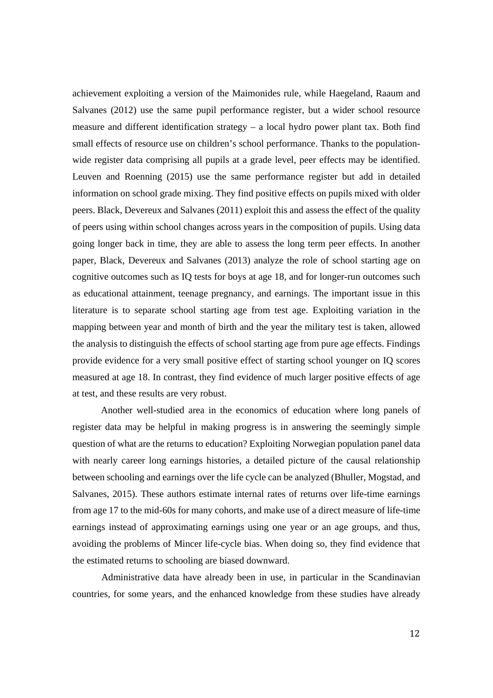achievement exploiting a version of the Maimonides rule, while Haegeland, Raaum and Salvanes (2012) use the same pupil performance register, but a wider school resource measure and different identification strategy – a local hydro power plant tax. Both find small effects of resource use on children's school performance. Thanks to the populationwide register data comprising all pupils at a grade level, peer effects may be identified. Leuven and Roenning (2015) use the same performance register but add in detailed information on school grade mixing. They find positive effects on pupils mixed with older peers. Black, Devereux and Salvanes (2011) exploit this and assess the effect of the quality of peers using within school changes across years in the composition of pupils. Using data going longer back in time, they are able to assess the long term peer effects. In another paper, Black, Devereux and Salvanes (2013) analyze the role of school starting age on cognitive outcomes such as IQ tests for boys at age 18, and for longer-run outcomes such as educational attainment, teenage pregnancy, and earnings. The important issue in this literature is to separate school starting age from test age. Exploiting variation in the mapping between year and month of birth and the year the military test is taken, allowed the analysis to distinguish the effects of school starting age from pure age effects. Findings provide evidence for a very small positive effect of starting school younger on IQ scores measured at age 18. In contrast, they find evidence of much larger positive effects of age at test, and these results are very robust.

Another well-studied area in the economics of education where long panels of register data may be helpful in making progress is in answering the seemingly simple question of what are the returns to education? Exploiting Norwegian population panel data with nearly career long earnings histories, a detailed picture of the causal relationship between schooling and earnings over the life cycle can be analyzed (Bhuller, Mogstad, and Salvanes, 2015). These authors estimate internal rates of returns over life-time earnings from age 17 to the mid-60s for many cohorts, and make use of a direct measure of life-time earnings instead of approximating earnings using one year or an age groups, and thus, avoiding the problems of Mincer life-cycle bias. When doing so, they find evidence that the estimated returns to schooling are biased downward.

Administrative data have already been in use, in particular in the Scandinavian countries, for some years, and the enhanced knowledge from these studies have already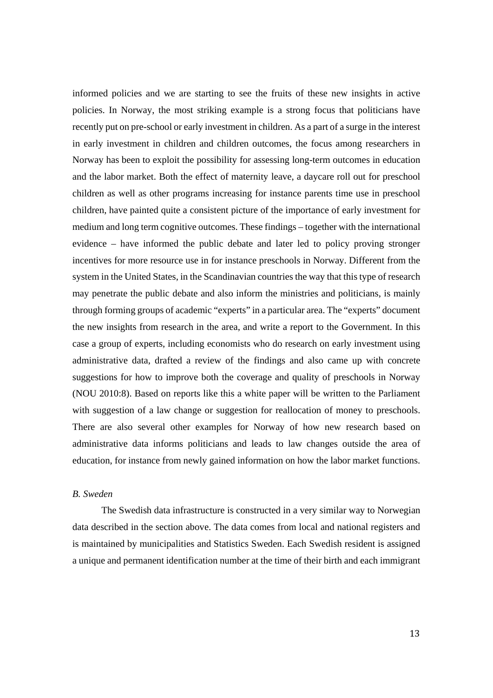informed policies and we are starting to see the fruits of these new insights in active policies. In Norway, the most striking example is a strong focus that politicians have recently put on pre-school or early investment in children. As a part of a surge in the interest in early investment in children and children outcomes, the focus among researchers in Norway has been to exploit the possibility for assessing long-term outcomes in education and the labor market. Both the effect of maternity leave, a daycare roll out for preschool children as well as other programs increasing for instance parents time use in preschool children, have painted quite a consistent picture of the importance of early investment for medium and long term cognitive outcomes. These findings – together with the international evidence – have informed the public debate and later led to policy proving stronger incentives for more resource use in for instance preschools in Norway. Different from the system in the United States, in the Scandinavian countries the way that this type of research may penetrate the public debate and also inform the ministries and politicians, is mainly through forming groups of academic "experts" in a particular area. The "experts" document the new insights from research in the area, and write a report to the Government. In this case a group of experts, including economists who do research on early investment using administrative data, drafted a review of the findings and also came up with concrete suggestions for how to improve both the coverage and quality of preschools in Norway (NOU 2010:8). Based on reports like this a white paper will be written to the Parliament with suggestion of a law change or suggestion for reallocation of money to preschools. There are also several other examples for Norway of how new research based on administrative data informs politicians and leads to law changes outside the area of education, for instance from newly gained information on how the labor market functions.

### *B. Sweden*

The Swedish data infrastructure is constructed in a very similar way to Norwegian data described in the section above. The data comes from local and national registers and is maintained by municipalities and Statistics Sweden. Each Swedish resident is assigned a unique and permanent identification number at the time of their birth and each immigrant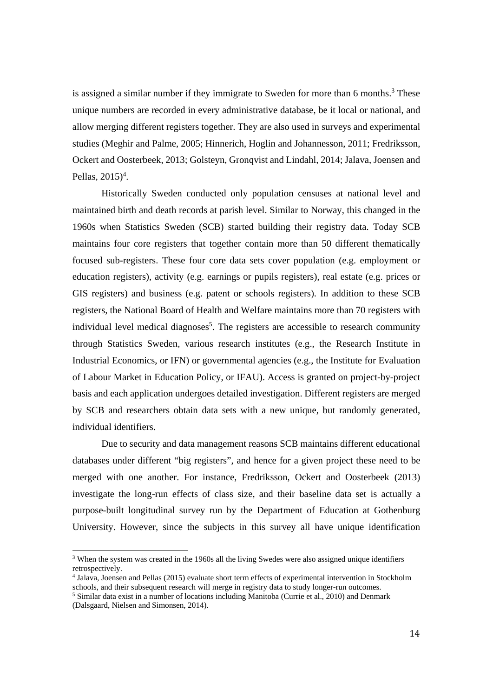is assigned a similar number if they immigrate to Sweden for more than 6 months.<sup>3</sup> These unique numbers are recorded in every administrative database, be it local or national, and allow merging different registers together. They are also used in surveys and experimental studies (Meghir and Palme, 2005; Hinnerich, Hoglin and Johannesson, 2011; Fredriksson, Ockert and Oosterbeek, 2013; Golsteyn, Gronqvist and Lindahl, 2014; Jalava, Joensen and Pellas,  $2015$ <sup>4</sup>.

Historically Sweden conducted only population censuses at national level and maintained birth and death records at parish level. Similar to Norway, this changed in the 1960s when Statistics Sweden (SCB) started building their registry data. Today SCB maintains four core registers that together contain more than 50 different thematically focused sub-registers. These four core data sets cover population (e.g. employment or education registers), activity (e.g. earnings or pupils registers), real estate (e.g. prices or GIS registers) and business (e.g. patent or schools registers). In addition to these SCB registers, the National Board of Health and Welfare maintains more than 70 registers with individual level medical diagnoses<sup>5</sup>. The registers are accessible to research community through Statistics Sweden, various research institutes (e.g., the Research Institute in Industrial Economics, or IFN) or governmental agencies (e.g., the Institute for Evaluation of Labour Market in Education Policy, or IFAU). Access is granted on project-by-project basis and each application undergoes detailed investigation. Different registers are merged by SCB and researchers obtain data sets with a new unique, but randomly generated, individual identifiers.

Due to security and data management reasons SCB maintains different educational databases under different "big registers", and hence for a given project these need to be merged with one another. For instance, Fredriksson, Ockert and Oosterbeek (2013) investigate the long-run effects of class size, and their baseline data set is actually a purpose-built longitudinal survey run by the Department of Education at Gothenburg University. However, since the subjects in this survey all have unique identification

<sup>&</sup>lt;sup>3</sup> When the system was created in the 1960s all the living Swedes were also assigned unique identifiers retrospectively.

<sup>4</sup> Jalava, Joensen and Pellas (2015) evaluate short term effects of experimental intervention in Stockholm schools, and their subsequent research will merge in registry data to study longer-run outcomes.

<sup>&</sup>lt;sup>5</sup> Similar data exist in a number of locations including Manitoba (Currie et al., 2010) and Denmark (Dalsgaard, Nielsen and Simonsen, 2014).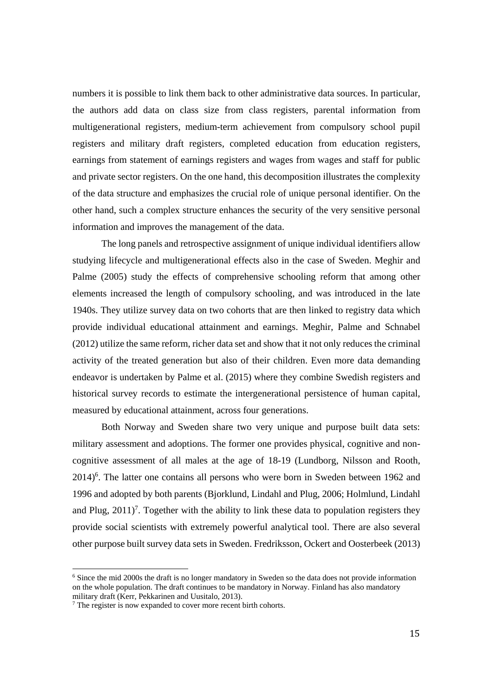numbers it is possible to link them back to other administrative data sources. In particular, the authors add data on class size from class registers, parental information from multigenerational registers, medium-term achievement from compulsory school pupil registers and military draft registers, completed education from education registers, earnings from statement of earnings registers and wages from wages and staff for public and private sector registers. On the one hand, this decomposition illustrates the complexity of the data structure and emphasizes the crucial role of unique personal identifier. On the other hand, such a complex structure enhances the security of the very sensitive personal information and improves the management of the data.

The long panels and retrospective assignment of unique individual identifiers allow studying lifecycle and multigenerational effects also in the case of Sweden. Meghir and Palme (2005) study the effects of comprehensive schooling reform that among other elements increased the length of compulsory schooling, and was introduced in the late 1940s. They utilize survey data on two cohorts that are then linked to registry data which provide individual educational attainment and earnings. Meghir, Palme and Schnabel (2012) utilize the same reform, richer data set and show that it not only reduces the criminal activity of the treated generation but also of their children. Even more data demanding endeavor is undertaken by Palme et al. (2015) where they combine Swedish registers and historical survey records to estimate the intergenerational persistence of human capital, measured by educational attainment, across four generations.

Both Norway and Sweden share two very unique and purpose built data sets: military assessment and adoptions. The former one provides physical, cognitive and noncognitive assessment of all males at the age of 18-19 (Lundborg, Nilsson and Rooth, 2014)<sup>6</sup>. The latter one contains all persons who were born in Sweden between 1962 and 1996 and adopted by both parents (Bjorklund, Lindahl and Plug, 2006; Holmlund, Lindahl and Plug,  $2011$ <sup>7</sup>. Together with the ability to link these data to population registers they provide social scientists with extremely powerful analytical tool. There are also several other purpose built survey data sets in Sweden. Fredriksson, Ockert and Oosterbeek (2013)

<sup>&</sup>lt;sup>6</sup> Since the mid 2000s the draft is no longer mandatory in Sweden so the data does not provide information on the whole population. The draft continues to be mandatory in Norway. Finland has also mandatory military draft (Kerr, Pekkarinen and Uusitalo, 2013).

<sup>&</sup>lt;sup>7</sup> The register is now expanded to cover more recent birth cohorts.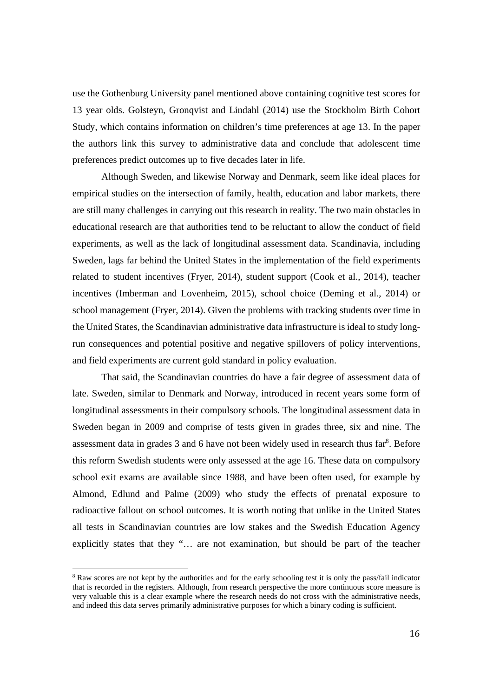use the Gothenburg University panel mentioned above containing cognitive test scores for 13 year olds. Golsteyn, Gronqvist and Lindahl (2014) use the Stockholm Birth Cohort Study, which contains information on children's time preferences at age 13. In the paper the authors link this survey to administrative data and conclude that adolescent time preferences predict outcomes up to five decades later in life.

Although Sweden, and likewise Norway and Denmark, seem like ideal places for empirical studies on the intersection of family, health, education and labor markets, there are still many challenges in carrying out this research in reality. The two main obstacles in educational research are that authorities tend to be reluctant to allow the conduct of field experiments, as well as the lack of longitudinal assessment data. Scandinavia, including Sweden, lags far behind the United States in the implementation of the field experiments related to student incentives (Fryer, 2014), student support (Cook et al., 2014), teacher incentives (Imberman and Lovenheim, 2015), school choice (Deming et al., 2014) or school management (Fryer, 2014). Given the problems with tracking students over time in the United States, the Scandinavian administrative data infrastructure is ideal to study longrun consequences and potential positive and negative spillovers of policy interventions, and field experiments are current gold standard in policy evaluation.

That said, the Scandinavian countries do have a fair degree of assessment data of late. Sweden, similar to Denmark and Norway, introduced in recent years some form of longitudinal assessments in their compulsory schools. The longitudinal assessment data in Sweden began in 2009 and comprise of tests given in grades three, six and nine. The assessment data in grades 3 and 6 have not been widely used in research thus far<sup>8</sup>. Before this reform Swedish students were only assessed at the age 16. These data on compulsory school exit exams are available since 1988, and have been often used, for example by Almond, Edlund and Palme (2009) who study the effects of prenatal exposure to radioactive fallout on school outcomes. It is worth noting that unlike in the United States all tests in Scandinavian countries are low stakes and the Swedish Education Agency explicitly states that they "… are not examination, but should be part of the teacher

<sup>&</sup>lt;sup>8</sup> Raw scores are not kept by the authorities and for the early schooling test it is only the pass/fail indicator that is recorded in the registers. Although, from research perspective the more continuous score measure is very valuable this is a clear example where the research needs do not cross with the administrative needs, and indeed this data serves primarily administrative purposes for which a binary coding is sufficient.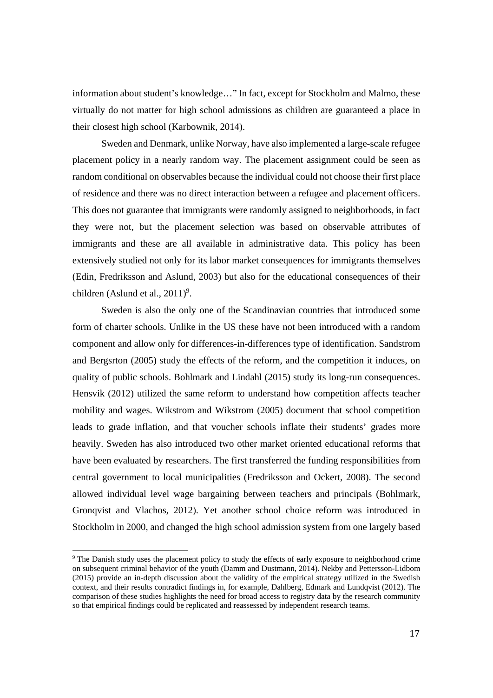information about student's knowledge…" In fact, except for Stockholm and Malmo, these virtually do not matter for high school admissions as children are guaranteed a place in their closest high school (Karbownik, 2014).

Sweden and Denmark, unlike Norway, have also implemented a large-scale refugee placement policy in a nearly random way. The placement assignment could be seen as random conditional on observables because the individual could not choose their first place of residence and there was no direct interaction between a refugee and placement officers. This does not guarantee that immigrants were randomly assigned to neighborhoods, in fact they were not, but the placement selection was based on observable attributes of immigrants and these are all available in administrative data. This policy has been extensively studied not only for its labor market consequences for immigrants themselves (Edin, Fredriksson and Aslund, 2003) but also for the educational consequences of their children (Aslund et al.,  $2011$ <sup>9</sup>.

Sweden is also the only one of the Scandinavian countries that introduced some form of charter schools. Unlike in the US these have not been introduced with a random component and allow only for differences-in-differences type of identification. Sandstrom and Bergsrton (2005) study the effects of the reform, and the competition it induces, on quality of public schools. Bohlmark and Lindahl (2015) study its long-run consequences. Hensvik (2012) utilized the same reform to understand how competition affects teacher mobility and wages. Wikstrom and Wikstrom (2005) document that school competition leads to grade inflation, and that voucher schools inflate their students' grades more heavily. Sweden has also introduced two other market oriented educational reforms that have been evaluated by researchers. The first transferred the funding responsibilities from central government to local municipalities (Fredriksson and Ockert, 2008). The second allowed individual level wage bargaining between teachers and principals (Bohlmark, Gronqvist and Vlachos, 2012). Yet another school choice reform was introduced in Stockholm in 2000, and changed the high school admission system from one largely based

<sup>&</sup>lt;sup>9</sup> The Danish study uses the placement policy to study the effects of early exposure to neighborhood crime on subsequent criminal behavior of the youth (Damm and Dustmann, 2014). Nekby and Pettersson-Lidbom (2015) provide an in-depth discussion about the validity of the empirical strategy utilized in the Swedish context, and their results contradict findings in, for example, Dahlberg, Edmark and Lundqvist (2012). The comparison of these studies highlights the need for broad access to registry data by the research community so that empirical findings could be replicated and reassessed by independent research teams.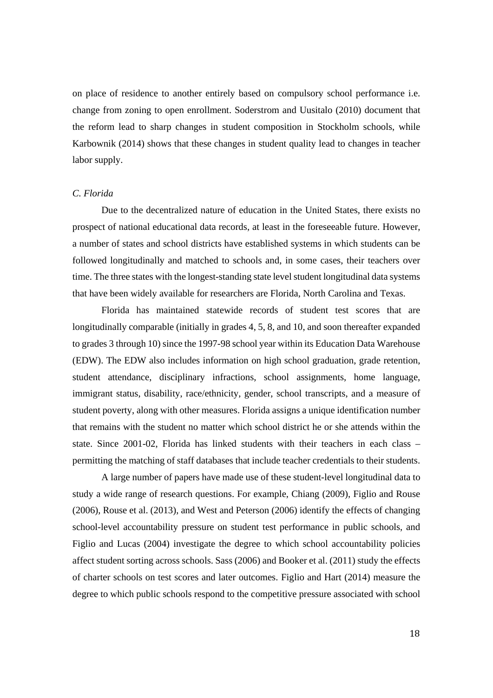on place of residence to another entirely based on compulsory school performance i.e. change from zoning to open enrollment. Soderstrom and Uusitalo (2010) document that the reform lead to sharp changes in student composition in Stockholm schools, while Karbownik (2014) shows that these changes in student quality lead to changes in teacher labor supply.

### *C. Florida*

Due to the decentralized nature of education in the United States, there exists no prospect of national educational data records, at least in the foreseeable future. However, a number of states and school districts have established systems in which students can be followed longitudinally and matched to schools and, in some cases, their teachers over time. The three states with the longest-standing state level student longitudinal data systems that have been widely available for researchers are Florida, North Carolina and Texas.

 Florida has maintained statewide records of student test scores that are longitudinally comparable (initially in grades 4, 5, 8, and 10, and soon thereafter expanded to grades 3 through 10) since the 1997-98 school year within its Education Data Warehouse (EDW). The EDW also includes information on high school graduation, grade retention, student attendance, disciplinary infractions, school assignments, home language, immigrant status, disability, race/ethnicity, gender, school transcripts, and a measure of student poverty, along with other measures. Florida assigns a unique identification number that remains with the student no matter which school district he or she attends within the state. Since 2001-02, Florida has linked students with their teachers in each class – permitting the matching of staff databases that include teacher credentials to their students.

 A large number of papers have made use of these student-level longitudinal data to study a wide range of research questions. For example, Chiang (2009), Figlio and Rouse (2006), Rouse et al. (2013), and West and Peterson (2006) identify the effects of changing school-level accountability pressure on student test performance in public schools, and Figlio and Lucas (2004) investigate the degree to which school accountability policies affect student sorting across schools. Sass (2006) and Booker et al. (2011) study the effects of charter schools on test scores and later outcomes. Figlio and Hart (2014) measure the degree to which public schools respond to the competitive pressure associated with school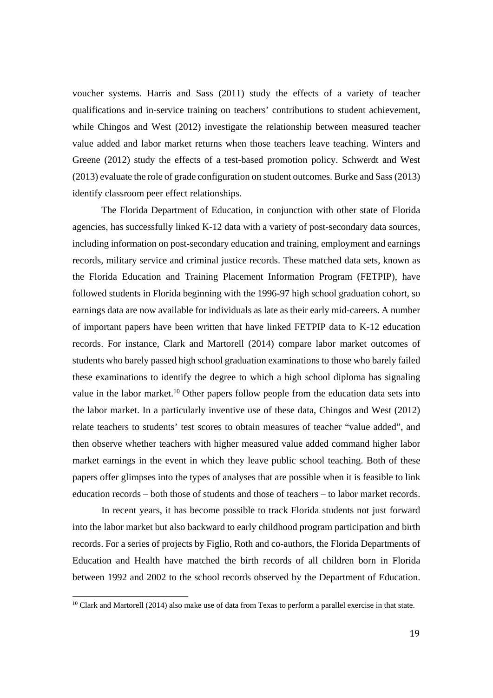voucher systems. Harris and Sass (2011) study the effects of a variety of teacher qualifications and in-service training on teachers' contributions to student achievement, while Chingos and West (2012) investigate the relationship between measured teacher value added and labor market returns when those teachers leave teaching. Winters and Greene (2012) study the effects of a test-based promotion policy. Schwerdt and West (2013) evaluate the role of grade configuration on student outcomes. Burke and Sass (2013) identify classroom peer effect relationships.

 The Florida Department of Education, in conjunction with other state of Florida agencies, has successfully linked K-12 data with a variety of post-secondary data sources, including information on post-secondary education and training, employment and earnings records, military service and criminal justice records. These matched data sets, known as the Florida Education and Training Placement Information Program (FETPIP), have followed students in Florida beginning with the 1996-97 high school graduation cohort, so earnings data are now available for individuals as late as their early mid-careers. A number of important papers have been written that have linked FETPIP data to K-12 education records. For instance, Clark and Martorell (2014) compare labor market outcomes of students who barely passed high school graduation examinations to those who barely failed these examinations to identify the degree to which a high school diploma has signaling value in the labor market.<sup>10</sup> Other papers follow people from the education data sets into the labor market. In a particularly inventive use of these data, Chingos and West (2012) relate teachers to students' test scores to obtain measures of teacher "value added", and then observe whether teachers with higher measured value added command higher labor market earnings in the event in which they leave public school teaching. Both of these papers offer glimpses into the types of analyses that are possible when it is feasible to link education records – both those of students and those of teachers – to labor market records.

 In recent years, it has become possible to track Florida students not just forward into the labor market but also backward to early childhood program participation and birth records. For a series of projects by Figlio, Roth and co-authors, the Florida Departments of Education and Health have matched the birth records of all children born in Florida between 1992 and 2002 to the school records observed by the Department of Education.

<sup>&</sup>lt;sup>10</sup> Clark and Martorell (2014) also make use of data from Texas to perform a parallel exercise in that state.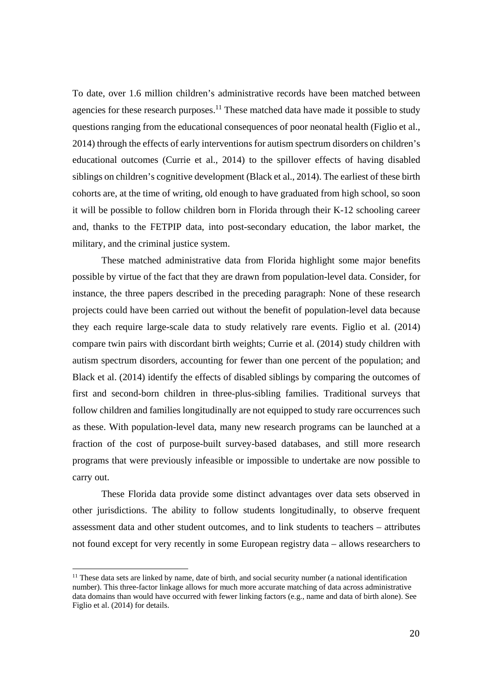To date, over 1.6 million children's administrative records have been matched between agencies for these research purposes.<sup>11</sup> These matched data have made it possible to study questions ranging from the educational consequences of poor neonatal health (Figlio et al., 2014) through the effects of early interventions for autism spectrum disorders on children's educational outcomes (Currie et al., 2014) to the spillover effects of having disabled siblings on children's cognitive development (Black et al., 2014). The earliest of these birth cohorts are, at the time of writing, old enough to have graduated from high school, so soon it will be possible to follow children born in Florida through their K-12 schooling career and, thanks to the FETPIP data, into post-secondary education, the labor market, the military, and the criminal justice system.

 These matched administrative data from Florida highlight some major benefits possible by virtue of the fact that they are drawn from population-level data. Consider, for instance, the three papers described in the preceding paragraph: None of these research projects could have been carried out without the benefit of population-level data because they each require large-scale data to study relatively rare events. Figlio et al. (2014) compare twin pairs with discordant birth weights; Currie et al. (2014) study children with autism spectrum disorders, accounting for fewer than one percent of the population; and Black et al. (2014) identify the effects of disabled siblings by comparing the outcomes of first and second-born children in three-plus-sibling families. Traditional surveys that follow children and families longitudinally are not equipped to study rare occurrences such as these. With population-level data, many new research programs can be launched at a fraction of the cost of purpose-built survey-based databases, and still more research programs that were previously infeasible or impossible to undertake are now possible to carry out.

 These Florida data provide some distinct advantages over data sets observed in other jurisdictions. The ability to follow students longitudinally, to observe frequent assessment data and other student outcomes, and to link students to teachers – attributes not found except for very recently in some European registry data – allows researchers to

 $11$  These data sets are linked by name, date of birth, and social security number (a national identification number). This three-factor linkage allows for much more accurate matching of data across administrative data domains than would have occurred with fewer linking factors (e.g., name and data of birth alone). See Figlio et al. (2014) for details.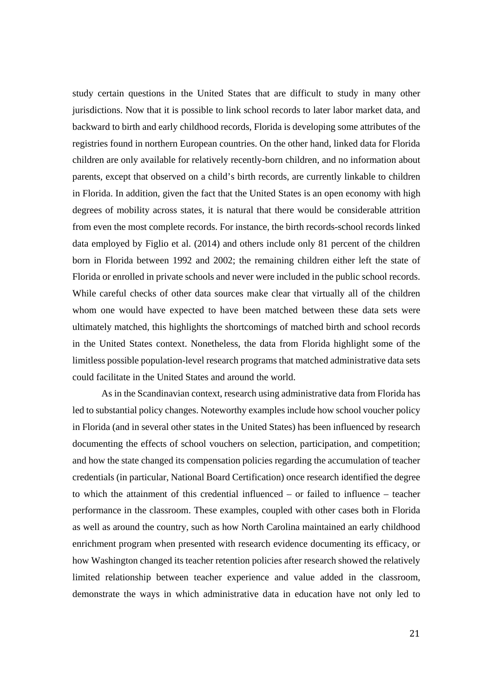study certain questions in the United States that are difficult to study in many other jurisdictions. Now that it is possible to link school records to later labor market data, and backward to birth and early childhood records, Florida is developing some attributes of the registries found in northern European countries. On the other hand, linked data for Florida children are only available for relatively recently-born children, and no information about parents, except that observed on a child's birth records, are currently linkable to children in Florida. In addition, given the fact that the United States is an open economy with high degrees of mobility across states, it is natural that there would be considerable attrition from even the most complete records. For instance, the birth records-school records linked data employed by Figlio et al. (2014) and others include only 81 percent of the children born in Florida between 1992 and 2002; the remaining children either left the state of Florida or enrolled in private schools and never were included in the public school records. While careful checks of other data sources make clear that virtually all of the children whom one would have expected to have been matched between these data sets were ultimately matched, this highlights the shortcomings of matched birth and school records in the United States context. Nonetheless, the data from Florida highlight some of the limitless possible population-level research programs that matched administrative data sets could facilitate in the United States and around the world.

 As in the Scandinavian context, research using administrative data from Florida has led to substantial policy changes. Noteworthy examples include how school voucher policy in Florida (and in several other states in the United States) has been influenced by research documenting the effects of school vouchers on selection, participation, and competition; and how the state changed its compensation policies regarding the accumulation of teacher credentials (in particular, National Board Certification) once research identified the degree to which the attainment of this credential influenced – or failed to influence – teacher performance in the classroom. These examples, coupled with other cases both in Florida as well as around the country, such as how North Carolina maintained an early childhood enrichment program when presented with research evidence documenting its efficacy, or how Washington changed its teacher retention policies after research showed the relatively limited relationship between teacher experience and value added in the classroom, demonstrate the ways in which administrative data in education have not only led to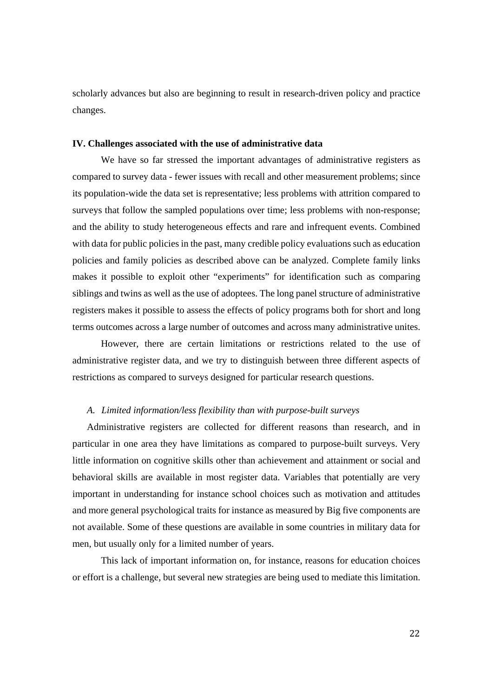scholarly advances but also are beginning to result in research-driven policy and practice changes.

#### **IV. Challenges associated with the use of administrative data**

We have so far stressed the important advantages of administrative registers as compared to survey data - fewer issues with recall and other measurement problems; since its population-wide the data set is representative; less problems with attrition compared to surveys that follow the sampled populations over time; less problems with non-response; and the ability to study heterogeneous effects and rare and infrequent events. Combined with data for public policies in the past, many credible policy evaluations such as education policies and family policies as described above can be analyzed. Complete family links makes it possible to exploit other "experiments" for identification such as comparing siblings and twins as well as the use of adoptees. The long panel structure of administrative registers makes it possible to assess the effects of policy programs both for short and long terms outcomes across a large number of outcomes and across many administrative unites.

However, there are certain limitations or restrictions related to the use of administrative register data, and we try to distinguish between three different aspects of restrictions as compared to surveys designed for particular research questions.

#### *A. Limited information/less flexibility than with purpose-built surveys*

Administrative registers are collected for different reasons than research, and in particular in one area they have limitations as compared to purpose-built surveys. Very little information on cognitive skills other than achievement and attainment or social and behavioral skills are available in most register data. Variables that potentially are very important in understanding for instance school choices such as motivation and attitudes and more general psychological traits for instance as measured by Big five components are not available. Some of these questions are available in some countries in military data for men, but usually only for a limited number of years.

This lack of important information on, for instance, reasons for education choices or effort is a challenge, but several new strategies are being used to mediate this limitation.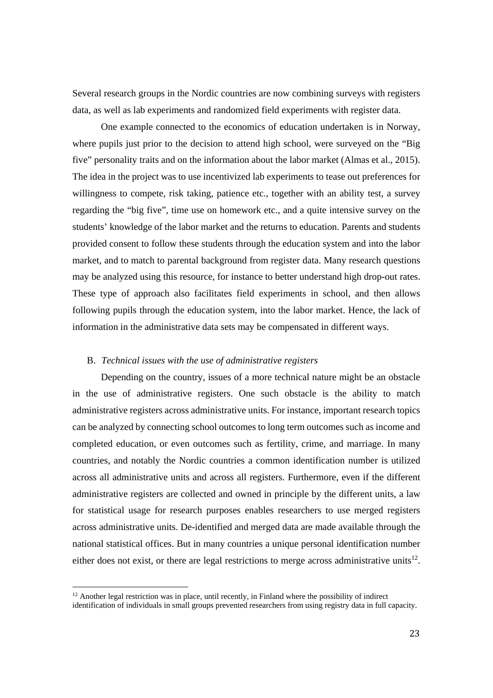Several research groups in the Nordic countries are now combining surveys with registers data, as well as lab experiments and randomized field experiments with register data.

One example connected to the economics of education undertaken is in Norway, where pupils just prior to the decision to attend high school, were surveyed on the "Big five" personality traits and on the information about the labor market (Almas et al., 2015). The idea in the project was to use incentivized lab experiments to tease out preferences for willingness to compete, risk taking, patience etc., together with an ability test, a survey regarding the "big five", time use on homework etc., and a quite intensive survey on the students' knowledge of the labor market and the returns to education. Parents and students provided consent to follow these students through the education system and into the labor market, and to match to parental background from register data. Many research questions may be analyzed using this resource, for instance to better understand high drop-out rates. These type of approach also facilitates field experiments in school, and then allows following pupils through the education system, into the labor market. Hence, the lack of information in the administrative data sets may be compensated in different ways.

### B. *Technical issues with the use of administrative registers*

Depending on the country, issues of a more technical nature might be an obstacle in the use of administrative registers. One such obstacle is the ability to match administrative registers across administrative units. For instance, important research topics can be analyzed by connecting school outcomes to long term outcomes such as income and completed education, or even outcomes such as fertility, crime, and marriage. In many countries, and notably the Nordic countries a common identification number is utilized across all administrative units and across all registers. Furthermore, even if the different administrative registers are collected and owned in principle by the different units, a law for statistical usage for research purposes enables researchers to use merged registers across administrative units. De-identified and merged data are made available through the national statistical offices. But in many countries a unique personal identification number either does not exist, or there are legal restrictions to merge across administrative units<sup>12</sup>.

<sup>&</sup>lt;sup>12</sup> Another legal restriction was in place, until recently, in Finland where the possibility of indirect identification of individuals in small groups prevented researchers from using registry data in full capacity.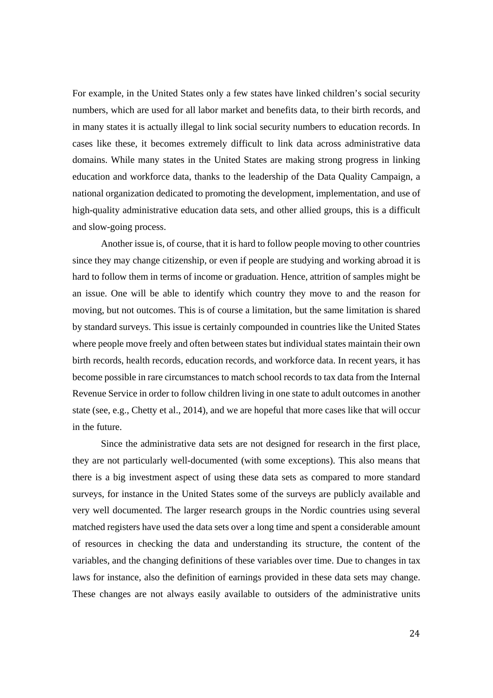For example, in the United States only a few states have linked children's social security numbers, which are used for all labor market and benefits data, to their birth records, and in many states it is actually illegal to link social security numbers to education records. In cases like these, it becomes extremely difficult to link data across administrative data domains. While many states in the United States are making strong progress in linking education and workforce data, thanks to the leadership of the Data Quality Campaign, a national organization dedicated to promoting the development, implementation, and use of high-quality administrative education data sets, and other allied groups, this is a difficult and slow-going process.

Another issue is, of course, that it is hard to follow people moving to other countries since they may change citizenship, or even if people are studying and working abroad it is hard to follow them in terms of income or graduation. Hence, attrition of samples might be an issue. One will be able to identify which country they move to and the reason for moving, but not outcomes. This is of course a limitation, but the same limitation is shared by standard surveys. This issue is certainly compounded in countries like the United States where people move freely and often between states but individual states maintain their own birth records, health records, education records, and workforce data. In recent years, it has become possible in rare circumstances to match school records to tax data from the Internal Revenue Service in order to follow children living in one state to adult outcomes in another state (see, e.g., Chetty et al., 2014), and we are hopeful that more cases like that will occur in the future.

Since the administrative data sets are not designed for research in the first place, they are not particularly well-documented (with some exceptions). This also means that there is a big investment aspect of using these data sets as compared to more standard surveys, for instance in the United States some of the surveys are publicly available and very well documented. The larger research groups in the Nordic countries using several matched registers have used the data sets over a long time and spent a considerable amount of resources in checking the data and understanding its structure, the content of the variables, and the changing definitions of these variables over time. Due to changes in tax laws for instance, also the definition of earnings provided in these data sets may change. These changes are not always easily available to outsiders of the administrative units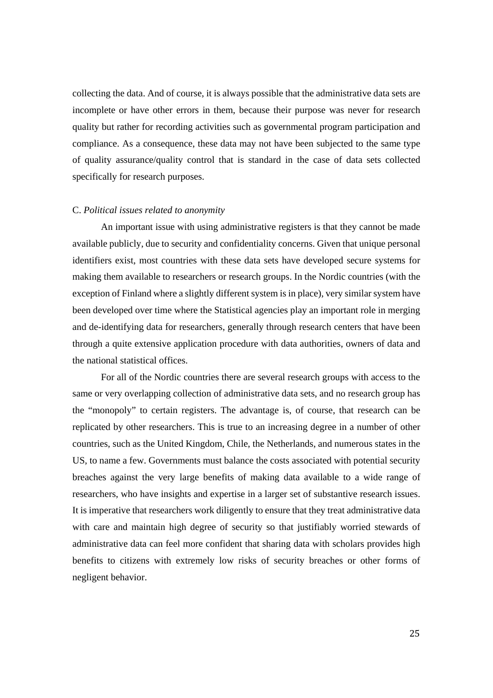collecting the data. And of course, it is always possible that the administrative data sets are incomplete or have other errors in them, because their purpose was never for research quality but rather for recording activities such as governmental program participation and compliance. As a consequence, these data may not have been subjected to the same type of quality assurance/quality control that is standard in the case of data sets collected specifically for research purposes.

#### C. *Political issues related to anonymity*

An important issue with using administrative registers is that they cannot be made available publicly, due to security and confidentiality concerns. Given that unique personal identifiers exist, most countries with these data sets have developed secure systems for making them available to researchers or research groups. In the Nordic countries (with the exception of Finland where a slightly different system is in place), very similar system have been developed over time where the Statistical agencies play an important role in merging and de-identifying data for researchers, generally through research centers that have been through a quite extensive application procedure with data authorities, owners of data and the national statistical offices.

For all of the Nordic countries there are several research groups with access to the same or very overlapping collection of administrative data sets, and no research group has the "monopoly" to certain registers. The advantage is, of course, that research can be replicated by other researchers. This is true to an increasing degree in a number of other countries, such as the United Kingdom, Chile, the Netherlands, and numerous states in the US, to name a few. Governments must balance the costs associated with potential security breaches against the very large benefits of making data available to a wide range of researchers, who have insights and expertise in a larger set of substantive research issues. It is imperative that researchers work diligently to ensure that they treat administrative data with care and maintain high degree of security so that justifiably worried stewards of administrative data can feel more confident that sharing data with scholars provides high benefits to citizens with extremely low risks of security breaches or other forms of negligent behavior.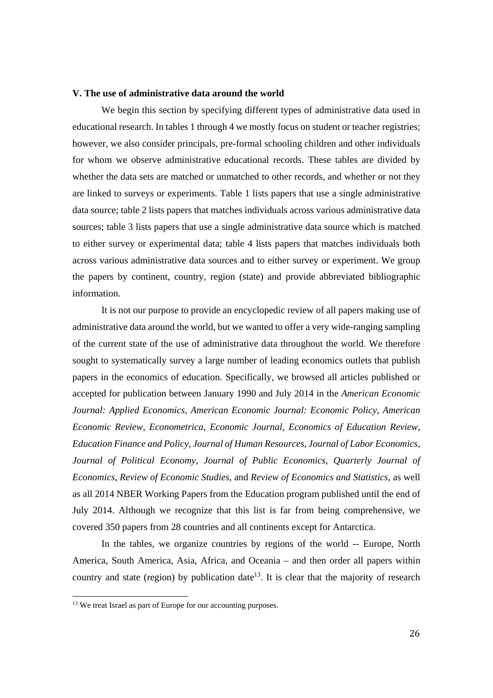#### **V. The use of administrative data around the world**

We begin this section by specifying different types of administrative data used in educational research. In tables 1 through 4 we mostly focus on student or teacher registries; however, we also consider principals, pre-formal schooling children and other individuals for whom we observe administrative educational records. These tables are divided by whether the data sets are matched or unmatched to other records, and whether or not they are linked to surveys or experiments. Table 1 lists papers that use a single administrative data source; table 2 lists papers that matches individuals across various administrative data sources; table 3 lists papers that use a single administrative data source which is matched to either survey or experimental data; table 4 lists papers that matches individuals both across various administrative data sources and to either survey or experiment. We group the papers by continent, country, region (state) and provide abbreviated bibliographic information.

It is not our purpose to provide an encyclopedic review of all papers making use of administrative data around the world, but we wanted to offer a very wide-ranging sampling of the current state of the use of administrative data throughout the world. We therefore sought to systematically survey a large number of leading economics outlets that publish papers in the economics of education. Specifically, we browsed all articles published or accepted for publication between January 1990 and July 2014 in the *American Economic Journal: Applied Economics*, *American Economic Journal: Economic Policy*, *American Economic Review*, *Econometrica*, *Economic Journal*, *Economics of Education Review*, *Education Finance and Policy*, *Journal of Human Resources*, *Journal of Labor Economics*, *Journal of Political Economy*, *Journal of Public Economics*, *Quarterly Journal of Economics*, *Review of Economic Studies*, and *Review of Economics and Statistics*, as well as all 2014 NBER Working Papers from the Education program published until the end of July 2014. Although we recognize that this list is far from being comprehensive, we covered 350 papers from 28 countries and all continents except for Antarctica.

In the tables, we organize countries by regions of the world -- Europe, North America, South America, Asia, Africa, and Oceania – and then order all papers within country and state (region) by publication date<sup>13</sup>. It is clear that the majority of research

<sup>&</sup>lt;sup>13</sup> We treat Israel as part of Europe for our accounting purposes.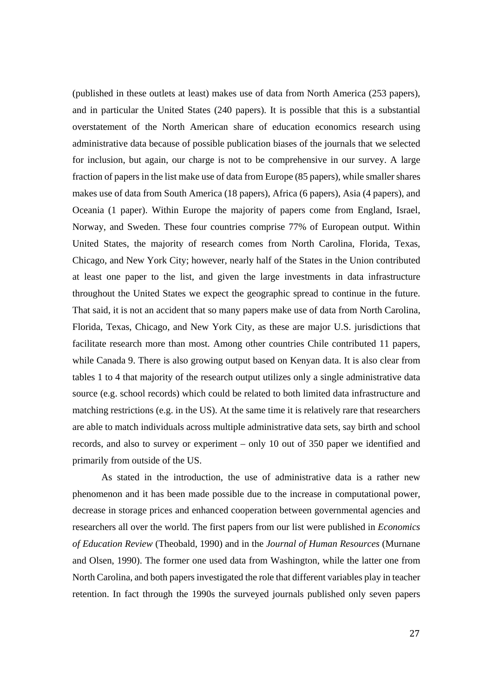(published in these outlets at least) makes use of data from North America (253 papers), and in particular the United States (240 papers). It is possible that this is a substantial overstatement of the North American share of education economics research using administrative data because of possible publication biases of the journals that we selected for inclusion, but again, our charge is not to be comprehensive in our survey. A large fraction of papers in the list make use of data from Europe (85 papers), while smaller shares makes use of data from South America (18 papers), Africa (6 papers), Asia (4 papers), and Oceania (1 paper). Within Europe the majority of papers come from England, Israel, Norway, and Sweden. These four countries comprise 77% of European output. Within United States, the majority of research comes from North Carolina, Florida, Texas, Chicago, and New York City; however, nearly half of the States in the Union contributed at least one paper to the list, and given the large investments in data infrastructure throughout the United States we expect the geographic spread to continue in the future. That said, it is not an accident that so many papers make use of data from North Carolina, Florida, Texas, Chicago, and New York City, as these are major U.S. jurisdictions that facilitate research more than most. Among other countries Chile contributed 11 papers, while Canada 9. There is also growing output based on Kenyan data. It is also clear from tables 1 to 4 that majority of the research output utilizes only a single administrative data source (e.g. school records) which could be related to both limited data infrastructure and matching restrictions (e.g. in the US). At the same time it is relatively rare that researchers are able to match individuals across multiple administrative data sets, say birth and school records, and also to survey or experiment – only 10 out of 350 paper we identified and primarily from outside of the US.

As stated in the introduction, the use of administrative data is a rather new phenomenon and it has been made possible due to the increase in computational power, decrease in storage prices and enhanced cooperation between governmental agencies and researchers all over the world. The first papers from our list were published in *Economics of Education Review* (Theobald, 1990) and in the *Journal of Human Resources* (Murnane and Olsen, 1990). The former one used data from Washington, while the latter one from North Carolina, and both papers investigated the role that different variables play in teacher retention. In fact through the 1990s the surveyed journals published only seven papers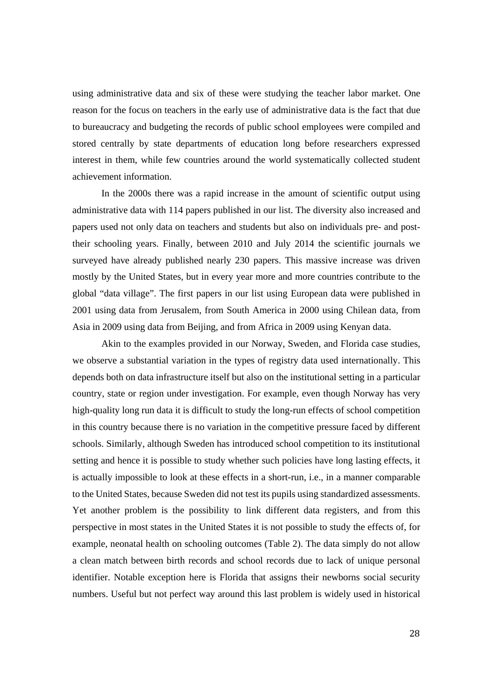using administrative data and six of these were studying the teacher labor market. One reason for the focus on teachers in the early use of administrative data is the fact that due to bureaucracy and budgeting the records of public school employees were compiled and stored centrally by state departments of education long before researchers expressed interest in them, while few countries around the world systematically collected student achievement information.

In the 2000s there was a rapid increase in the amount of scientific output using administrative data with 114 papers published in our list. The diversity also increased and papers used not only data on teachers and students but also on individuals pre- and posttheir schooling years. Finally, between 2010 and July 2014 the scientific journals we surveyed have already published nearly 230 papers. This massive increase was driven mostly by the United States, but in every year more and more countries contribute to the global "data village". The first papers in our list using European data were published in 2001 using data from Jerusalem, from South America in 2000 using Chilean data, from Asia in 2009 using data from Beijing, and from Africa in 2009 using Kenyan data.

Akin to the examples provided in our Norway, Sweden, and Florida case studies, we observe a substantial variation in the types of registry data used internationally. This depends both on data infrastructure itself but also on the institutional setting in a particular country, state or region under investigation. For example, even though Norway has very high-quality long run data it is difficult to study the long-run effects of school competition in this country because there is no variation in the competitive pressure faced by different schools. Similarly, although Sweden has introduced school competition to its institutional setting and hence it is possible to study whether such policies have long lasting effects, it is actually impossible to look at these effects in a short-run, i.e., in a manner comparable to the United States, because Sweden did not test its pupils using standardized assessments. Yet another problem is the possibility to link different data registers, and from this perspective in most states in the United States it is not possible to study the effects of, for example, neonatal health on schooling outcomes (Table 2). The data simply do not allow a clean match between birth records and school records due to lack of unique personal identifier. Notable exception here is Florida that assigns their newborns social security numbers. Useful but not perfect way around this last problem is widely used in historical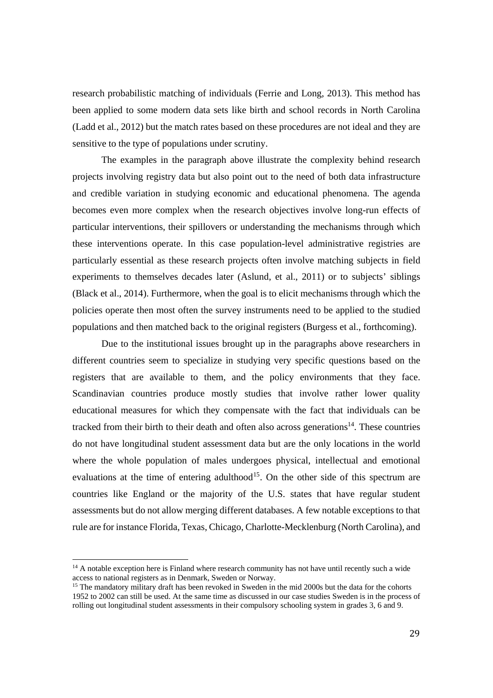research probabilistic matching of individuals (Ferrie and Long, 2013). This method has been applied to some modern data sets like birth and school records in North Carolina (Ladd et al., 2012) but the match rates based on these procedures are not ideal and they are sensitive to the type of populations under scrutiny.

The examples in the paragraph above illustrate the complexity behind research projects involving registry data but also point out to the need of both data infrastructure and credible variation in studying economic and educational phenomena. The agenda becomes even more complex when the research objectives involve long-run effects of particular interventions, their spillovers or understanding the mechanisms through which these interventions operate. In this case population-level administrative registries are particularly essential as these research projects often involve matching subjects in field experiments to themselves decades later (Aslund, et al., 2011) or to subjects' siblings (Black et al., 2014). Furthermore, when the goal is to elicit mechanisms through which the policies operate then most often the survey instruments need to be applied to the studied populations and then matched back to the original registers (Burgess et al., forthcoming).

Due to the institutional issues brought up in the paragraphs above researchers in different countries seem to specialize in studying very specific questions based on the registers that are available to them, and the policy environments that they face. Scandinavian countries produce mostly studies that involve rather lower quality educational measures for which they compensate with the fact that individuals can be tracked from their birth to their death and often also across generations $14$ . These countries do not have longitudinal student assessment data but are the only locations in the world where the whole population of males undergoes physical, intellectual and emotional evaluations at the time of entering adulthood<sup>15</sup>. On the other side of this spectrum are countries like England or the majority of the U.S. states that have regular student assessments but do not allow merging different databases. A few notable exceptions to that rule are for instance Florida, Texas, Chicago, Charlotte-Mecklenburg (North Carolina), and

<sup>&</sup>lt;sup>14</sup> A notable exception here is Finland where research community has not have until recently such a wide access to national registers as in Denmark, Sweden or Norway.

<sup>&</sup>lt;sup>15</sup> The mandatory military draft has been revoked in Sweden in the mid 2000s but the data for the cohorts 1952 to 2002 can still be used. At the same time as discussed in our case studies Sweden is in the process of rolling out longitudinal student assessments in their compulsory schooling system in grades 3, 6 and 9.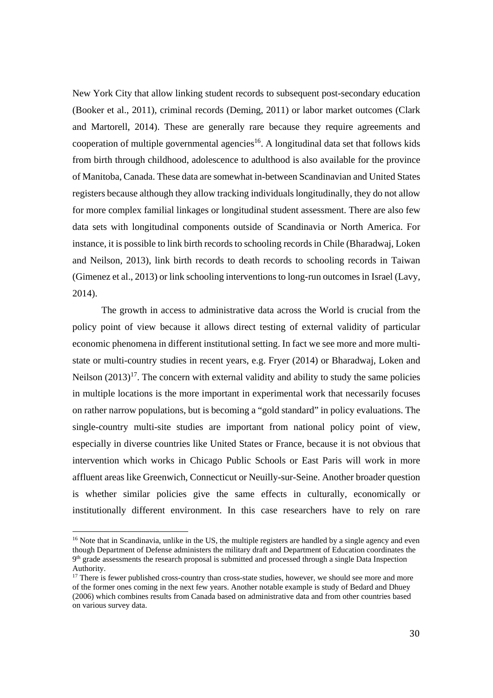New York City that allow linking student records to subsequent post-secondary education (Booker et al., 2011), criminal records (Deming, 2011) or labor market outcomes (Clark and Martorell, 2014). These are generally rare because they require agreements and cooperation of multiple governmental agencies<sup>16</sup>. A longitudinal data set that follows kids from birth through childhood, adolescence to adulthood is also available for the province of Manitoba, Canada. These data are somewhat in-between Scandinavian and United States registers because although they allow tracking individuals longitudinally, they do not allow for more complex familial linkages or longitudinal student assessment. There are also few data sets with longitudinal components outside of Scandinavia or North America. For instance, it is possible to link birth records to schooling records in Chile (Bharadwaj, Loken and Neilson, 2013), link birth records to death records to schooling records in Taiwan (Gimenez et al., 2013) or link schooling interventions to long-run outcomes in Israel (Lavy, 2014).

The growth in access to administrative data across the World is crucial from the policy point of view because it allows direct testing of external validity of particular economic phenomena in different institutional setting. In fact we see more and more multistate or multi-country studies in recent years, e.g. Fryer (2014) or Bharadwaj, Loken and Neilson  $(2013)^{17}$ . The concern with external validity and ability to study the same policies in multiple locations is the more important in experimental work that necessarily focuses on rather narrow populations, but is becoming a "gold standard" in policy evaluations. The single-country multi-site studies are important from national policy point of view, especially in diverse countries like United States or France, because it is not obvious that intervention which works in Chicago Public Schools or East Paris will work in more affluent areas like Greenwich, Connecticut or Neuilly-sur-Seine. Another broader question is whether similar policies give the same effects in culturally, economically or institutionally different environment. In this case researchers have to rely on rare

<sup>&</sup>lt;sup>16</sup> Note that in Scandinavia, unlike in the US, the multiple registers are handled by a single agency and even though Department of Defense administers the military draft and Department of Education coordinates the 9<sup>th</sup> grade assessments the research proposal is submitted and processed through a single Data Inspection Authority.

<sup>&</sup>lt;sup>17</sup> There is fewer published cross-country than cross-state studies, however, we should see more and more of the former ones coming in the next few years. Another notable example is study of Bedard and Dhuey (2006) which combines results from Canada based on administrative data and from other countries based on various survey data.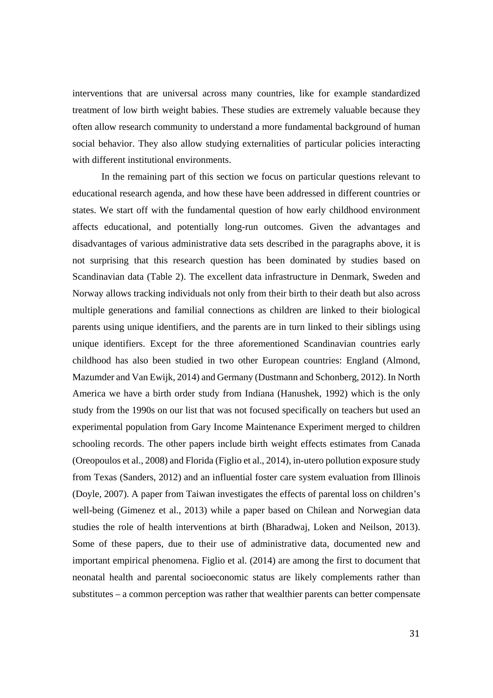interventions that are universal across many countries, like for example standardized treatment of low birth weight babies. These studies are extremely valuable because they often allow research community to understand a more fundamental background of human social behavior. They also allow studying externalities of particular policies interacting with different institutional environments.

In the remaining part of this section we focus on particular questions relevant to educational research agenda, and how these have been addressed in different countries or states. We start off with the fundamental question of how early childhood environment affects educational, and potentially long-run outcomes. Given the advantages and disadvantages of various administrative data sets described in the paragraphs above, it is not surprising that this research question has been dominated by studies based on Scandinavian data (Table 2). The excellent data infrastructure in Denmark, Sweden and Norway allows tracking individuals not only from their birth to their death but also across multiple generations and familial connections as children are linked to their biological parents using unique identifiers, and the parents are in turn linked to their siblings using unique identifiers. Except for the three aforementioned Scandinavian countries early childhood has also been studied in two other European countries: England (Almond, Mazumder and Van Ewijk, 2014) and Germany (Dustmann and Schonberg, 2012). In North America we have a birth order study from Indiana (Hanushek, 1992) which is the only study from the 1990s on our list that was not focused specifically on teachers but used an experimental population from Gary Income Maintenance Experiment merged to children schooling records. The other papers include birth weight effects estimates from Canada (Oreopoulos et al., 2008) and Florida (Figlio et al., 2014), in-utero pollution exposure study from Texas (Sanders, 2012) and an influential foster care system evaluation from Illinois (Doyle, 2007). A paper from Taiwan investigates the effects of parental loss on children's well-being (Gimenez et al., 2013) while a paper based on Chilean and Norwegian data studies the role of health interventions at birth (Bharadwaj, Loken and Neilson, 2013). Some of these papers, due to their use of administrative data, documented new and important empirical phenomena. Figlio et al. (2014) are among the first to document that neonatal health and parental socioeconomic status are likely complements rather than substitutes – a common perception was rather that wealthier parents can better compensate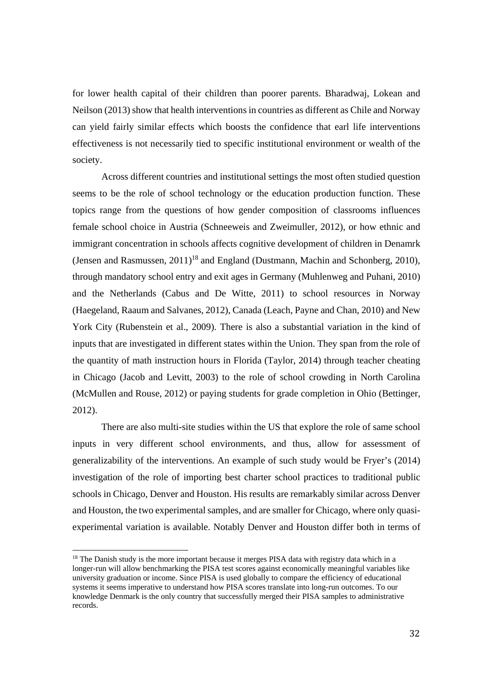for lower health capital of their children than poorer parents. Bharadwaj, Lokean and Neilson (2013) show that health interventions in countries as different as Chile and Norway can yield fairly similar effects which boosts the confidence that earl life interventions effectiveness is not necessarily tied to specific institutional environment or wealth of the society.

Across different countries and institutional settings the most often studied question seems to be the role of school technology or the education production function. These topics range from the questions of how gender composition of classrooms influences female school choice in Austria (Schneeweis and Zweimuller, 2012), or how ethnic and immigrant concentration in schools affects cognitive development of children in Denamrk (Jensen and Rasmussen,  $2011$ <sup>18</sup> and England (Dustmann, Machin and Schonberg, 2010), through mandatory school entry and exit ages in Germany (Muhlenweg and Puhani, 2010) and the Netherlands (Cabus and De Witte, 2011) to school resources in Norway (Haegeland, Raaum and Salvanes, 2012), Canada (Leach, Payne and Chan, 2010) and New York City (Rubenstein et al., 2009). There is also a substantial variation in the kind of inputs that are investigated in different states within the Union. They span from the role of the quantity of math instruction hours in Florida (Taylor, 2014) through teacher cheating in Chicago (Jacob and Levitt, 2003) to the role of school crowding in North Carolina (McMullen and Rouse, 2012) or paying students for grade completion in Ohio (Bettinger, 2012).

There are also multi-site studies within the US that explore the role of same school inputs in very different school environments, and thus, allow for assessment of generalizability of the interventions. An example of such study would be Fryer's (2014) investigation of the role of importing best charter school practices to traditional public schools in Chicago, Denver and Houston. His results are remarkably similar across Denver and Houston, the two experimental samples, and are smaller for Chicago, where only quasiexperimental variation is available. Notably Denver and Houston differ both in terms of

<sup>&</sup>lt;sup>18</sup> The Danish study is the more important because it merges PISA data with registry data which in a longer-run will allow benchmarking the PISA test scores against economically meaningful variables like university graduation or income. Since PISA is used globally to compare the efficiency of educational systems it seems imperative to understand how PISA scores translate into long-run outcomes. To our knowledge Denmark is the only country that successfully merged their PISA samples to administrative records.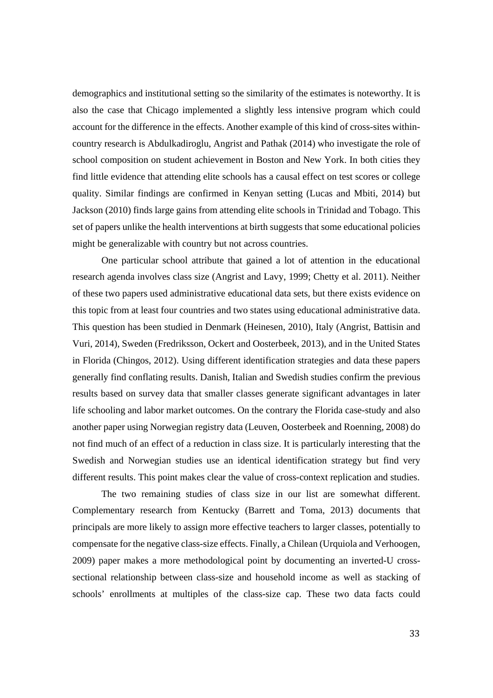demographics and institutional setting so the similarity of the estimates is noteworthy. It is also the case that Chicago implemented a slightly less intensive program which could account for the difference in the effects. Another example of this kind of cross-sites withincountry research is Abdulkadiroglu, Angrist and Pathak (2014) who investigate the role of school composition on student achievement in Boston and New York. In both cities they find little evidence that attending elite schools has a causal effect on test scores or college quality. Similar findings are confirmed in Kenyan setting (Lucas and Mbiti, 2014) but Jackson (2010) finds large gains from attending elite schools in Trinidad and Tobago. This set of papers unlike the health interventions at birth suggests that some educational policies might be generalizable with country but not across countries.

One particular school attribute that gained a lot of attention in the educational research agenda involves class size (Angrist and Lavy, 1999; Chetty et al. 2011). Neither of these two papers used administrative educational data sets, but there exists evidence on this topic from at least four countries and two states using educational administrative data. This question has been studied in Denmark (Heinesen, 2010), Italy (Angrist, Battisin and Vuri, 2014), Sweden (Fredriksson, Ockert and Oosterbeek, 2013), and in the United States in Florida (Chingos, 2012). Using different identification strategies and data these papers generally find conflating results. Danish, Italian and Swedish studies confirm the previous results based on survey data that smaller classes generate significant advantages in later life schooling and labor market outcomes. On the contrary the Florida case-study and also another paper using Norwegian registry data (Leuven, Oosterbeek and Roenning, 2008) do not find much of an effect of a reduction in class size. It is particularly interesting that the Swedish and Norwegian studies use an identical identification strategy but find very different results. This point makes clear the value of cross-context replication and studies.

The two remaining studies of class size in our list are somewhat different. Complementary research from Kentucky (Barrett and Toma, 2013) documents that principals are more likely to assign more effective teachers to larger classes, potentially to compensate for the negative class-size effects. Finally, a Chilean (Urquiola and Verhoogen, 2009) paper makes a more methodological point by documenting an inverted-U crosssectional relationship between class-size and household income as well as stacking of schools' enrollments at multiples of the class-size cap. These two data facts could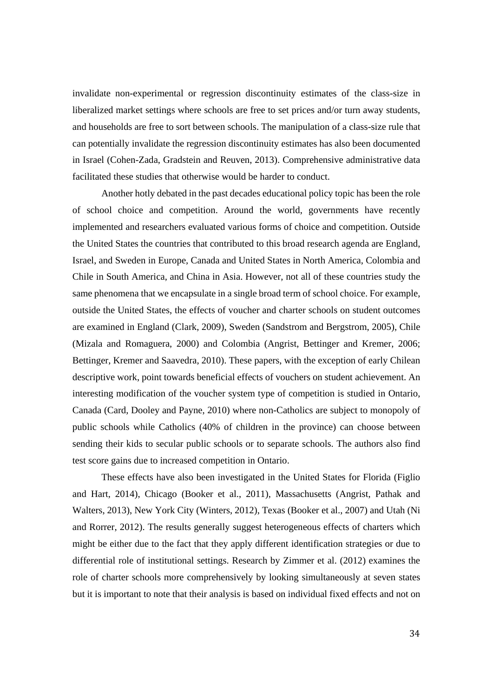invalidate non-experimental or regression discontinuity estimates of the class-size in liberalized market settings where schools are free to set prices and/or turn away students, and households are free to sort between schools. The manipulation of a class-size rule that can potentially invalidate the regression discontinuity estimates has also been documented in Israel (Cohen-Zada, Gradstein and Reuven, 2013). Comprehensive administrative data facilitated these studies that otherwise would be harder to conduct.

Another hotly debated in the past decades educational policy topic has been the role of school choice and competition. Around the world, governments have recently implemented and researchers evaluated various forms of choice and competition. Outside the United States the countries that contributed to this broad research agenda are England, Israel, and Sweden in Europe, Canada and United States in North America, Colombia and Chile in South America, and China in Asia. However, not all of these countries study the same phenomena that we encapsulate in a single broad term of school choice. For example, outside the United States, the effects of voucher and charter schools on student outcomes are examined in England (Clark, 2009), Sweden (Sandstrom and Bergstrom, 2005), Chile (Mizala and Romaguera, 2000) and Colombia (Angrist, Bettinger and Kremer, 2006; Bettinger, Kremer and Saavedra, 2010). These papers, with the exception of early Chilean descriptive work, point towards beneficial effects of vouchers on student achievement. An interesting modification of the voucher system type of competition is studied in Ontario, Canada (Card, Dooley and Payne, 2010) where non-Catholics are subject to monopoly of public schools while Catholics (40% of children in the province) can choose between sending their kids to secular public schools or to separate schools. The authors also find test score gains due to increased competition in Ontario.

These effects have also been investigated in the United States for Florida (Figlio and Hart, 2014), Chicago (Booker et al., 2011), Massachusetts (Angrist, Pathak and Walters, 2013), New York City (Winters, 2012), Texas (Booker et al., 2007) and Utah (Ni and Rorrer, 2012). The results generally suggest heterogeneous effects of charters which might be either due to the fact that they apply different identification strategies or due to differential role of institutional settings. Research by Zimmer et al. (2012) examines the role of charter schools more comprehensively by looking simultaneously at seven states but it is important to note that their analysis is based on individual fixed effects and not on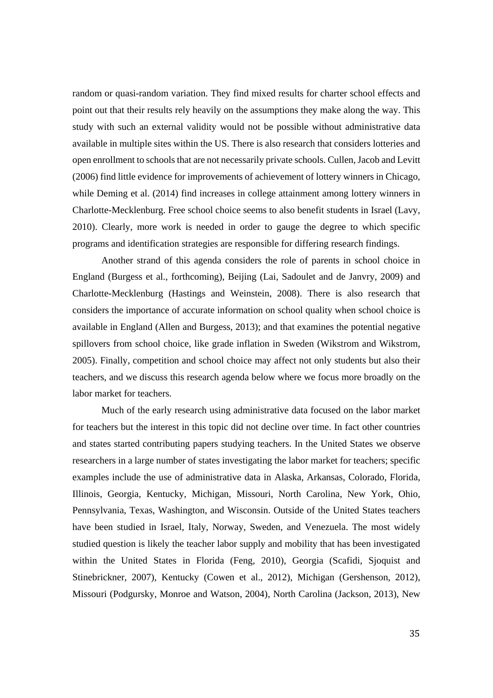random or quasi-random variation. They find mixed results for charter school effects and point out that their results rely heavily on the assumptions they make along the way. This study with such an external validity would not be possible without administrative data available in multiple sites within the US. There is also research that considers lotteries and open enrollment to schools that are not necessarily private schools. Cullen, Jacob and Levitt (2006) find little evidence for improvements of achievement of lottery winners in Chicago, while Deming et al. (2014) find increases in college attainment among lottery winners in Charlotte-Mecklenburg. Free school choice seems to also benefit students in Israel (Lavy, 2010). Clearly, more work is needed in order to gauge the degree to which specific programs and identification strategies are responsible for differing research findings.

Another strand of this agenda considers the role of parents in school choice in England (Burgess et al., forthcoming), Beijing (Lai, Sadoulet and de Janvry, 2009) and Charlotte-Mecklenburg (Hastings and Weinstein, 2008). There is also research that considers the importance of accurate information on school quality when school choice is available in England (Allen and Burgess, 2013); and that examines the potential negative spillovers from school choice, like grade inflation in Sweden (Wikstrom and Wikstrom, 2005). Finally, competition and school choice may affect not only students but also their teachers, and we discuss this research agenda below where we focus more broadly on the labor market for teachers.

Much of the early research using administrative data focused on the labor market for teachers but the interest in this topic did not decline over time. In fact other countries and states started contributing papers studying teachers. In the United States we observe researchers in a large number of states investigating the labor market for teachers; specific examples include the use of administrative data in Alaska, Arkansas, Colorado, Florida, Illinois, Georgia, Kentucky, Michigan, Missouri, North Carolina, New York, Ohio, Pennsylvania, Texas, Washington, and Wisconsin. Outside of the United States teachers have been studied in Israel, Italy, Norway, Sweden, and Venezuela. The most widely studied question is likely the teacher labor supply and mobility that has been investigated within the United States in Florida (Feng, 2010), Georgia (Scafidi, Sjoquist and Stinebrickner, 2007), Kentucky (Cowen et al., 2012), Michigan (Gershenson, 2012), Missouri (Podgursky, Monroe and Watson, 2004), North Carolina (Jackson, 2013), New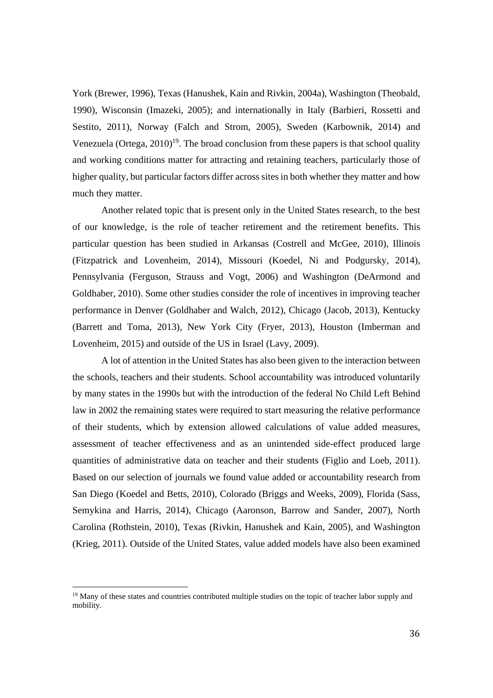York (Brewer, 1996), Texas (Hanushek, Kain and Rivkin, 2004a), Washington (Theobald, 1990), Wisconsin (Imazeki, 2005); and internationally in Italy (Barbieri, Rossetti and Sestito, 2011), Norway (Falch and Strom, 2005), Sweden (Karbownik, 2014) and Venezuela (Ortega,  $2010$ <sup>19</sup>. The broad conclusion from these papers is that school quality and working conditions matter for attracting and retaining teachers, particularly those of higher quality, but particular factors differ across sites in both whether they matter and how much they matter.

Another related topic that is present only in the United States research, to the best of our knowledge, is the role of teacher retirement and the retirement benefits. This particular question has been studied in Arkansas (Costrell and McGee, 2010), Illinois (Fitzpatrick and Lovenheim, 2014), Missouri (Koedel, Ni and Podgursky, 2014), Pennsylvania (Ferguson, Strauss and Vogt, 2006) and Washington (DeArmond and Goldhaber, 2010). Some other studies consider the role of incentives in improving teacher performance in Denver (Goldhaber and Walch, 2012), Chicago (Jacob, 2013), Kentucky (Barrett and Toma, 2013), New York City (Fryer, 2013), Houston (Imberman and Lovenheim, 2015) and outside of the US in Israel (Lavy, 2009).

A lot of attention in the United States has also been given to the interaction between the schools, teachers and their students. School accountability was introduced voluntarily by many states in the 1990s but with the introduction of the federal No Child Left Behind law in 2002 the remaining states were required to start measuring the relative performance of their students, which by extension allowed calculations of value added measures, assessment of teacher effectiveness and as an unintended side-effect produced large quantities of administrative data on teacher and their students (Figlio and Loeb, 2011). Based on our selection of journals we found value added or accountability research from San Diego (Koedel and Betts, 2010), Colorado (Briggs and Weeks, 2009), Florida (Sass, Semykina and Harris, 2014), Chicago (Aaronson, Barrow and Sander, 2007), North Carolina (Rothstein, 2010), Texas (Rivkin, Hanushek and Kain, 2005), and Washington (Krieg, 2011). Outside of the United States, value added models have also been examined

 

<sup>&</sup>lt;sup>19</sup> Many of these states and countries contributed multiple studies on the topic of teacher labor supply and mobility.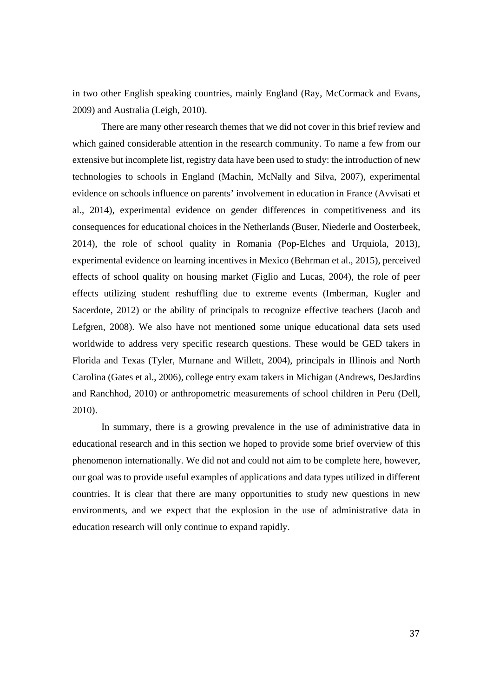in two other English speaking countries, mainly England (Ray, McCormack and Evans, 2009) and Australia (Leigh, 2010).

There are many other research themes that we did not cover in this brief review and which gained considerable attention in the research community. To name a few from our extensive but incomplete list, registry data have been used to study: the introduction of new technologies to schools in England (Machin, McNally and Silva, 2007), experimental evidence on schools influence on parents' involvement in education in France (Avvisati et al., 2014), experimental evidence on gender differences in competitiveness and its consequences for educational choices in the Netherlands (Buser, Niederle and Oosterbeek, 2014), the role of school quality in Romania (Pop-Elches and Urquiola, 2013), experimental evidence on learning incentives in Mexico (Behrman et al., 2015), perceived effects of school quality on housing market (Figlio and Lucas, 2004), the role of peer effects utilizing student reshuffling due to extreme events (Imberman, Kugler and Sacerdote, 2012) or the ability of principals to recognize effective teachers (Jacob and Lefgren, 2008). We also have not mentioned some unique educational data sets used worldwide to address very specific research questions. These would be GED takers in Florida and Texas (Tyler, Murnane and Willett, 2004), principals in Illinois and North Carolina (Gates et al., 2006), college entry exam takers in Michigan (Andrews, DesJardins and Ranchhod, 2010) or anthropometric measurements of school children in Peru (Dell, 2010).

In summary, there is a growing prevalence in the use of administrative data in educational research and in this section we hoped to provide some brief overview of this phenomenon internationally. We did not and could not aim to be complete here, however, our goal was to provide useful examples of applications and data types utilized in different countries. It is clear that there are many opportunities to study new questions in new environments, and we expect that the explosion in the use of administrative data in education research will only continue to expand rapidly.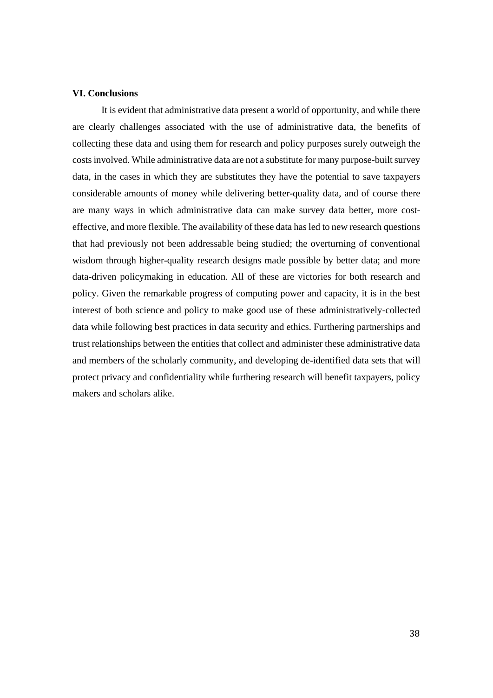## **VI. Conclusions**

 It is evident that administrative data present a world of opportunity, and while there are clearly challenges associated with the use of administrative data, the benefits of collecting these data and using them for research and policy purposes surely outweigh the costs involved. While administrative data are not a substitute for many purpose-built survey data, in the cases in which they are substitutes they have the potential to save taxpayers considerable amounts of money while delivering better-quality data, and of course there are many ways in which administrative data can make survey data better, more costeffective, and more flexible. The availability of these data has led to new research questions that had previously not been addressable being studied; the overturning of conventional wisdom through higher-quality research designs made possible by better data; and more data-driven policymaking in education. All of these are victories for both research and policy. Given the remarkable progress of computing power and capacity, it is in the best interest of both science and policy to make good use of these administratively-collected data while following best practices in data security and ethics. Furthering partnerships and trust relationships between the entities that collect and administer these administrative data and members of the scholarly community, and developing de-identified data sets that will protect privacy and confidentiality while furthering research will benefit taxpayers, policy makers and scholars alike.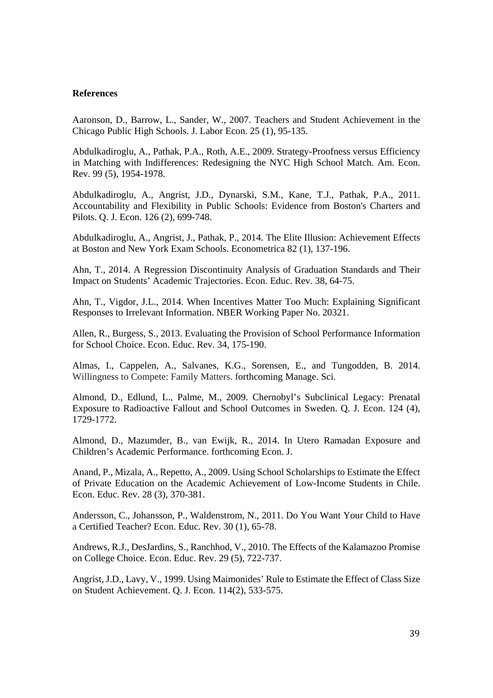## **References**

Aaronson, D., Barrow, L., Sander, W., 2007. Teachers and Student Achievement in the Chicago Public High Schools. J. Labor Econ. 25 (1), 95-135.

Abdulkadiroglu, A., Pathak, P.A., Roth, A.E., 2009. Strategy-Proofness versus Efficiency in Matching with Indifferences: Redesigning the NYC High School Match. Am. Econ. Rev. 99 (5), 1954-1978.

Abdulkadiroglu, A., Angrist, J.D., Dynarski, S.M., Kane, T.J., Pathak, P.A., 2011. Accountability and Flexibility in Public Schools: Evidence from Boston's Charters and Pilots. Q. J. Econ. 126 (2), 699-748.

Abdulkadiroglu, A., Angrist, J., Pathak, P., 2014. The Elite Illusion: Achievement Effects at Boston and New York Exam Schools. Econometrica 82 (1), 137-196.

Ahn, T., 2014. A Regression Discontinuity Analysis of Graduation Standards and Their Impact on Students' Academic Trajectories. Econ. Educ. Rev. 38, 64-75.

Ahn, T., Vigdor, J.L., 2014. When Incentives Matter Too Much: Explaining Significant Responses to Irrelevant Information. NBER Working Paper No. 20321.

Allen, R., Burgess, S., 2013. Evaluating the Provision of School Performance Information for School Choice. Econ. Educ. Rev. 34, 175-190.

Almas, I., Cappelen, A., Salvanes, K.G., Sorensen, E., and Tungodden, B. 2014. Willingness to Compete: Family Matters. forthcoming Manage. Sci.

Almond, D., Edlund, L., Palme, M., 2009. Chernobyl's Subclinical Legacy: Prenatal Exposure to Radioactive Fallout and School Outcomes in Sweden. Q. J. Econ. 124 (4), 1729-1772.

Almond, D., Mazumder, B., van Ewijk, R., 2014. In Utero Ramadan Exposure and Children's Academic Performance. forthcoming Econ. J.

Anand, P., Mizala, A., Repetto, A., 2009. Using School Scholarships to Estimate the Effect of Private Education on the Academic Achievement of Low-Income Students in Chile. Econ. Educ. Rev. 28 (3), 370-381.

Andersson, C., Johansson, P., Waldenstrom, N., 2011. Do You Want Your Child to Have a Certified Teacher? Econ. Educ. Rev. 30 (1), 65-78.

Andrews, R.J., DesJardins, S., Ranchhod, V., 2010. The Effects of the Kalamazoo Promise on College Choice. Econ. Educ. Rev. 29 (5), 722-737.

Angrist, J.D., Lavy, V., 1999. Using Maimonides' Rule to Estimate the Effect of Class Size on Student Achievement. Q. J. Econ. 114(2), 533-575.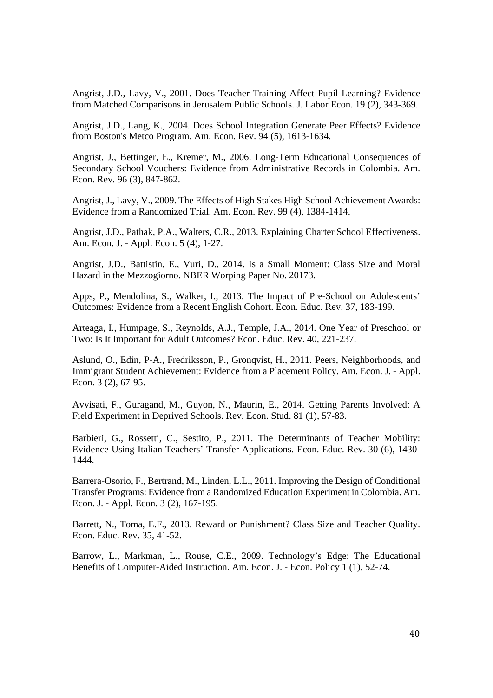Angrist, J.D., Lavy, V., 2001. Does Teacher Training Affect Pupil Learning? Evidence from Matched Comparisons in Jerusalem Public Schools. J. Labor Econ. 19 (2), 343-369.

Angrist, J.D., Lang, K., 2004. Does School Integration Generate Peer Effects? Evidence from Boston's Metco Program. Am. Econ. Rev. 94 (5), 1613-1634.

Angrist, J., Bettinger, E., Kremer, M., 2006. Long-Term Educational Consequences of Secondary School Vouchers: Evidence from Administrative Records in Colombia. Am. Econ. Rev. 96 (3), 847-862.

Angrist, J., Lavy, V., 2009. The Effects of High Stakes High School Achievement Awards: Evidence from a Randomized Trial. Am. Econ. Rev. 99 (4), 1384-1414.

Angrist, J.D., Pathak, P.A., Walters, C.R., 2013. Explaining Charter School Effectiveness. Am. Econ. J. - Appl. Econ. 5 (4), 1-27.

Angrist, J.D., Battistin, E., Vuri, D., 2014. Is a Small Moment: Class Size and Moral Hazard in the Mezzogiorno. NBER Worping Paper No. 20173.

Apps, P., Mendolina, S., Walker, I., 2013. The Impact of Pre-School on Adolescents' Outcomes: Evidence from a Recent English Cohort. Econ. Educ. Rev. 37, 183-199.

Arteaga, I., Humpage, S., Reynolds, A.J., Temple, J.A., 2014. One Year of Preschool or Two: Is It Important for Adult Outcomes? Econ. Educ. Rev. 40, 221-237.

Aslund, O., Edin, P-A., Fredriksson, P., Gronqvist, H., 2011. Peers, Neighborhoods, and Immigrant Student Achievement: Evidence from a Placement Policy. Am. Econ. J. - Appl. Econ. 3 (2), 67-95.

Avvisati, F., Guragand, M., Guyon, N., Maurin, E., 2014. Getting Parents Involved: A Field Experiment in Deprived Schools. Rev. Econ. Stud. 81 (1), 57-83.

Barbieri, G., Rossetti, C., Sestito, P., 2011. The Determinants of Teacher Mobility: Evidence Using Italian Teachers' Transfer Applications. Econ. Educ. Rev. 30 (6), 1430- 1444.

Barrera-Osorio, F., Bertrand, M., Linden, L.L., 2011. Improving the Design of Conditional Transfer Programs: Evidence from a Randomized Education Experiment in Colombia. Am. Econ. J. - Appl. Econ. 3 (2), 167-195.

Barrett, N., Toma, E.F., 2013. Reward or Punishment? Class Size and Teacher Quality. Econ. Educ. Rev. 35, 41-52.

Barrow, L., Markman, L., Rouse, C.E., 2009. Technology's Edge: The Educational Benefits of Computer-Aided Instruction. Am. Econ. J. - Econ. Policy 1 (1), 52-74.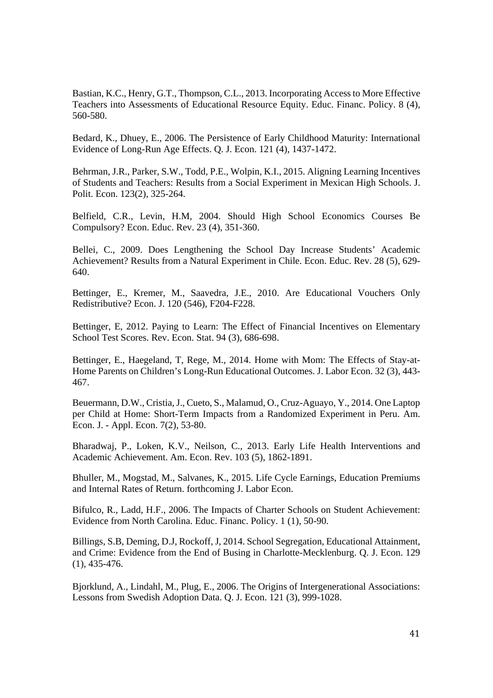Bastian, K.C., Henry, G.T., Thompson, C.L., 2013. Incorporating Access to More Effective Teachers into Assessments of Educational Resource Equity. Educ. Financ. Policy. 8 (4), 560-580.

Bedard, K., Dhuey, E., 2006. The Persistence of Early Childhood Maturity: International Evidence of Long-Run Age Effects. Q. J. Econ. 121 (4), 1437-1472.

Behrman, J.R., Parker, S.W., Todd, P.E., Wolpin, K.I., 2015. Aligning Learning Incentives of Students and Teachers: Results from a Social Experiment in Mexican High Schools. J. Polit. Econ. 123(2), 325-264.

Belfield, C.R., Levin, H.M, 2004. Should High School Economics Courses Be Compulsory? Econ. Educ. Rev. 23 (4), 351-360.

Bellei, C., 2009. Does Lengthening the School Day Increase Students' Academic Achievement? Results from a Natural Experiment in Chile. Econ. Educ. Rev. 28 (5), 629- 640.

Bettinger, E., Kremer, M., Saavedra, J.E., 2010. Are Educational Vouchers Only Redistributive? Econ. J. 120 (546), F204-F228.

Bettinger, E, 2012. Paying to Learn: The Effect of Financial Incentives on Elementary School Test Scores. Rev. Econ. Stat. 94 (3), 686-698.

Bettinger, E., Haegeland, T, Rege, M., 2014. Home with Mom: The Effects of Stay-at-Home Parents on Children's Long-Run Educational Outcomes. J. Labor Econ. 32 (3), 443- 467.

Beuermann, D.W., Cristia, J., Cueto, S., Malamud, O., Cruz-Aguayo, Y., 2014. One Laptop per Child at Home: Short-Term Impacts from a Randomized Experiment in Peru. Am. Econ. J. - Appl. Econ. 7(2), 53-80.

Bharadwaj, P., Loken, K.V., Neilson, C., 2013. Early Life Health Interventions and Academic Achievement. Am. Econ. Rev. 103 (5), 1862-1891.

Bhuller, M., Mogstad, M., Salvanes, K., 2015. Life Cycle Earnings, Education Premiums and Internal Rates of Return. forthcoming J. Labor Econ.

Bifulco, R., Ladd, H.F., 2006. The Impacts of Charter Schools on Student Achievement: Evidence from North Carolina. Educ. Financ. Policy. 1 (1), 50-90.

Billings, S.B, Deming, D.J, Rockoff, J, 2014. School Segregation, Educational Attainment, and Crime: Evidence from the End of Busing in Charlotte-Mecklenburg. Q. J. Econ. 129 (1), 435-476.

Bjorklund, A., Lindahl, M., Plug, E., 2006. The Origins of Intergenerational Associations: Lessons from Swedish Adoption Data. Q. J. Econ. 121 (3), 999-1028.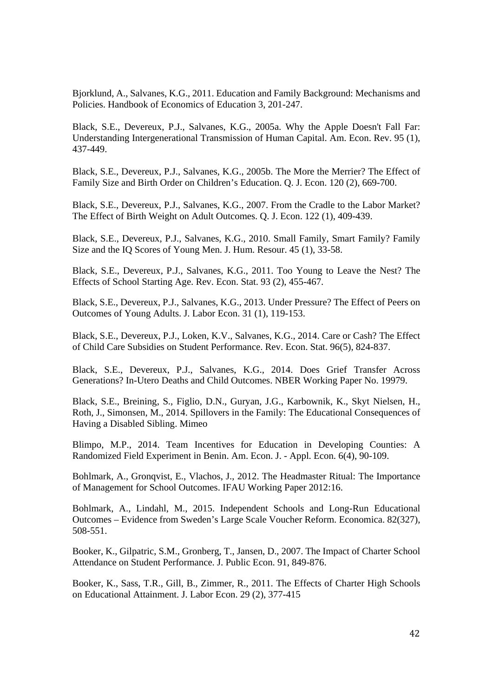Bjorklund, A., Salvanes, K.G., 2011. Education and Family Background: Mechanisms and Policies. Handbook of Economics of Education 3, 201-247.

Black, S.E., Devereux, P.J., Salvanes, K.G., 2005a. Why the Apple Doesn't Fall Far: Understanding Intergenerational Transmission of Human Capital. Am. Econ. Rev. 95 (1), 437-449.

Black, S.E., Devereux, P.J., Salvanes, K.G., 2005b. The More the Merrier? The Effect of Family Size and Birth Order on Children's Education. Q. J. Econ. 120 (2), 669-700.

Black, S.E., Devereux, P.J., Salvanes, K.G., 2007. From the Cradle to the Labor Market? The Effect of Birth Weight on Adult Outcomes. Q. J. Econ. 122 (1), 409-439.

Black, S.E., Devereux, P.J., Salvanes, K.G., 2010. Small Family, Smart Family? Family Size and the IQ Scores of Young Men. J. Hum. Resour. 45 (1), 33-58.

Black, S.E., Devereux, P.J., Salvanes, K.G., 2011. Too Young to Leave the Nest? The Effects of School Starting Age. Rev. Econ. Stat. 93 (2), 455-467.

Black, S.E., Devereux, P.J., Salvanes, K.G., 2013. Under Pressure? The Effect of Peers on Outcomes of Young Adults. J. Labor Econ. 31 (1), 119-153.

Black, S.E., Devereux, P.J., Loken, K.V., Salvanes, K.G., 2014. Care or Cash? The Effect of Child Care Subsidies on Student Performance. Rev. Econ. Stat. 96(5), 824-837.

Black, S.E., Devereux, P.J., Salvanes, K.G., 2014. Does Grief Transfer Across Generations? In-Utero Deaths and Child Outcomes. NBER Working Paper No. 19979.

Black, S.E., Breining, S., Figlio, D.N., Guryan, J.G., Karbownik, K., Skyt Nielsen, H., Roth, J., Simonsen, M., 2014. Spillovers in the Family: The Educational Consequences of Having a Disabled Sibling. Mimeo

Blimpo, M.P., 2014. Team Incentives for Education in Developing Counties: A Randomized Field Experiment in Benin. Am. Econ. J. - Appl. Econ. 6(4), 90-109.

Bohlmark, A., Gronqvist, E., Vlachos, J., 2012. The Headmaster Ritual: The Importance of Management for School Outcomes. IFAU Working Paper 2012:16.

Bohlmark, A., Lindahl, M., 2015. Independent Schools and Long-Run Educational Outcomes – Evidence from Sweden's Large Scale Voucher Reform. Economica. 82(327), 508-551.

Booker, K., Gilpatric, S.M., Gronberg, T., Jansen, D., 2007. The Impact of Charter School Attendance on Student Performance. J. Public Econ. 91, 849-876.

Booker, K., Sass, T.R., Gill, B., Zimmer, R., 2011. The Effects of Charter High Schools on Educational Attainment. J. Labor Econ. 29 (2), 377-415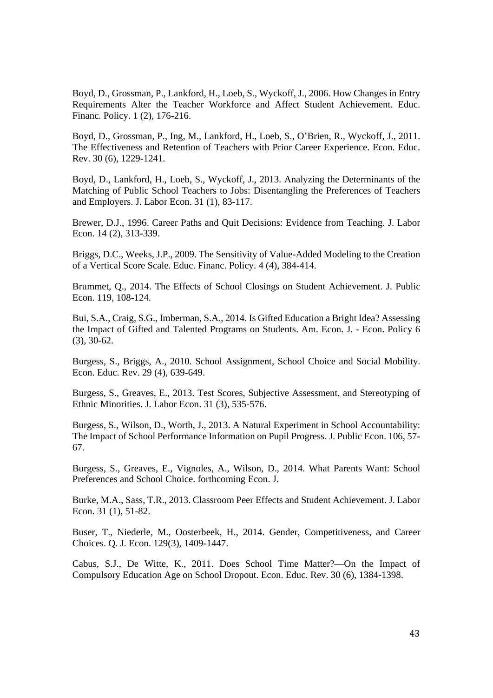Boyd, D., Grossman, P., Lankford, H., Loeb, S., Wyckoff, J., 2006. How Changes in Entry Requirements Alter the Teacher Workforce and Affect Student Achievement. Educ. Financ. Policy. 1 (2), 176-216.

Boyd, D., Grossman, P., Ing, M., Lankford, H., Loeb, S., O'Brien, R., Wyckoff, J., 2011. The Effectiveness and Retention of Teachers with Prior Career Experience. Econ. Educ. Rev. 30 (6), 1229-1241.

Boyd, D., Lankford, H., Loeb, S., Wyckoff, J., 2013. Analyzing the Determinants of the Matching of Public School Teachers to Jobs: Disentangling the Preferences of Teachers and Employers. J. Labor Econ. 31 (1), 83-117.

Brewer, D.J., 1996. Career Paths and Quit Decisions: Evidence from Teaching. J. Labor Econ. 14 (2), 313-339.

Briggs, D.C., Weeks, J.P., 2009. The Sensitivity of Value-Added Modeling to the Creation of a Vertical Score Scale. Educ. Financ. Policy. 4 (4), 384-414.

Brummet, Q., 2014. The Effects of School Closings on Student Achievement. J. Public Econ. 119, 108-124.

Bui, S.A., Craig, S.G., Imberman, S.A., 2014. Is Gifted Education a Bright Idea? Assessing the Impact of Gifted and Talented Programs on Students. Am. Econ. J. - Econ. Policy 6 (3), 30-62.

Burgess, S., Briggs, A., 2010. School Assignment, School Choice and Social Mobility. Econ. Educ. Rev. 29 (4), 639-649.

Burgess, S., Greaves, E., 2013. Test Scores, Subjective Assessment, and Stereotyping of Ethnic Minorities. J. Labor Econ. 31 (3), 535-576.

Burgess, S., Wilson, D., Worth, J., 2013. A Natural Experiment in School Accountability: The Impact of School Performance Information on Pupil Progress. J. Public Econ. 106, 57- 67.

Burgess, S., Greaves, E., Vignoles, A., Wilson, D., 2014. What Parents Want: School Preferences and School Choice. forthcoming Econ. J.

Burke, M.A., Sass, T.R., 2013. Classroom Peer Effects and Student Achievement. J. Labor Econ. 31 (1), 51-82.

Buser, T., Niederle, M., Oosterbeek, H., 2014. Gender, Competitiveness, and Career Choices. Q. J. Econ. 129(3), 1409-1447.

Cabus, S.J., De Witte, K., 2011. Does School Time Matter?—On the Impact of Compulsory Education Age on School Dropout. Econ. Educ. Rev. 30 (6), 1384-1398.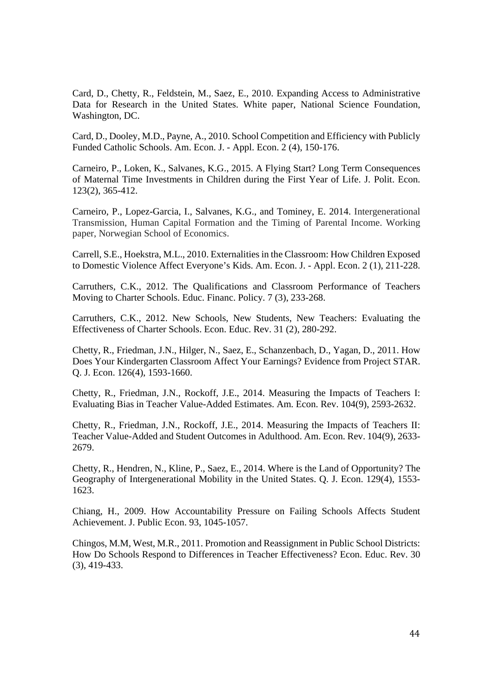Card, D., Chetty, R., Feldstein, M., Saez, E., 2010. Expanding Access to Administrative Data for Research in the United States. White paper, National Science Foundation, Washington, DC.

Card, D., Dooley, M.D., Payne, A., 2010. School Competition and Efficiency with Publicly Funded Catholic Schools. Am. Econ. J. - Appl. Econ. 2 (4), 150-176.

Carneiro, P., Loken, K., Salvanes, K.G., 2015. A Flying Start? Long Term Consequences of Maternal Time Investments in Children during the First Year of Life. J. Polit. Econ. 123(2), 365-412.

Carneiro, P., Lopez-Garcia, I., Salvanes, K.G., and Tominey, E. 2014. Intergenerational Transmission, Human Capital Formation and the Timing of Parental Income. Working paper, Norwegian School of Economics.

Carrell, S.E., Hoekstra, M.L., 2010. Externalities in the Classroom: How Children Exposed to Domestic Violence Affect Everyone's Kids. Am. Econ. J. - Appl. Econ. 2 (1), 211-228.

Carruthers, C.K., 2012. The Qualifications and Classroom Performance of Teachers Moving to Charter Schools. Educ. Financ. Policy. 7 (3), 233-268.

Carruthers, C.K., 2012. New Schools, New Students, New Teachers: Evaluating the Effectiveness of Charter Schools. Econ. Educ. Rev. 31 (2), 280-292.

Chetty, R., Friedman, J.N., Hilger, N., Saez, E., Schanzenbach, D., Yagan, D., 2011. How Does Your Kindergarten Classroom Affect Your Earnings? Evidence from Project STAR. Q. J. Econ. 126(4), 1593-1660.

Chetty, R., Friedman, J.N., Rockoff, J.E., 2014. Measuring the Impacts of Teachers I: Evaluating Bias in Teacher Value-Added Estimates. Am. Econ. Rev. 104(9), 2593-2632.

Chetty, R., Friedman, J.N., Rockoff, J.E., 2014. Measuring the Impacts of Teachers II: Teacher Value-Added and Student Outcomes in Adulthood. Am. Econ. Rev. 104(9), 2633- 2679.

Chetty, R., Hendren, N., Kline, P., Saez, E., 2014. Where is the Land of Opportunity? The Geography of Intergenerational Mobility in the United States. Q. J. Econ. 129(4), 1553- 1623.

Chiang, H., 2009. How Accountability Pressure on Failing Schools Affects Student Achievement. J. Public Econ. 93, 1045-1057.

Chingos, M.M, West, M.R., 2011. Promotion and Reassignment in Public School Districts: How Do Schools Respond to Differences in Teacher Effectiveness? Econ. Educ. Rev. 30 (3), 419-433.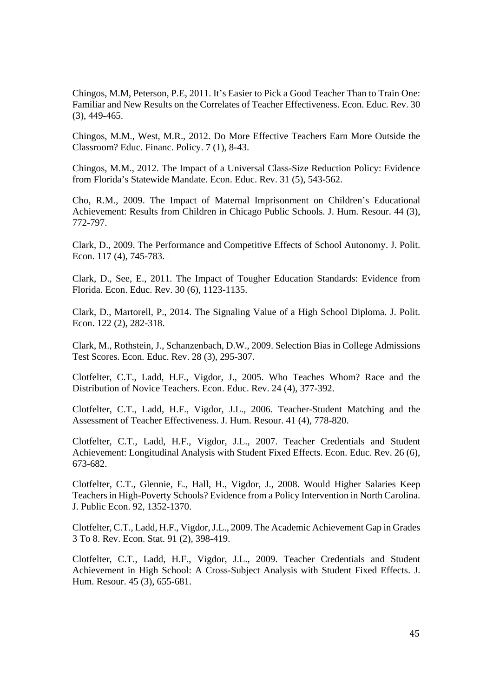Chingos, M.M, Peterson, P.E, 2011. It's Easier to Pick a Good Teacher Than to Train One: Familiar and New Results on the Correlates of Teacher Effectiveness. Econ. Educ. Rev. 30 (3), 449-465.

Chingos, M.M., West, M.R., 2012. Do More Effective Teachers Earn More Outside the Classroom? Educ. Financ. Policy. 7 (1), 8-43.

Chingos, M.M., 2012. The Impact of a Universal Class-Size Reduction Policy: Evidence from Florida's Statewide Mandate. Econ. Educ. Rev. 31 (5), 543-562.

Cho, R.M., 2009. The Impact of Maternal Imprisonment on Children's Educational Achievement: Results from Children in Chicago Public Schools. J. Hum. Resour. 44 (3), 772-797.

Clark, D., 2009. The Performance and Competitive Effects of School Autonomy. J. Polit. Econ. 117 (4), 745-783.

Clark, D., See, E., 2011. The Impact of Tougher Education Standards: Evidence from Florida. Econ. Educ. Rev. 30 (6), 1123-1135.

Clark, D., Martorell, P., 2014. The Signaling Value of a High School Diploma. J. Polit. Econ. 122 (2), 282-318.

Clark, M., Rothstein, J., Schanzenbach, D.W., 2009. Selection Bias in College Admissions Test Scores. Econ. Educ. Rev. 28 (3), 295-307.

Clotfelter, C.T., Ladd, H.F., Vigdor, J., 2005. Who Teaches Whom? Race and the Distribution of Novice Teachers. Econ. Educ. Rev. 24 (4), 377-392.

Clotfelter, C.T., Ladd, H.F., Vigdor, J.L., 2006. Teacher-Student Matching and the Assessment of Teacher Effectiveness. J. Hum. Resour. 41 (4), 778-820.

Clotfelter, C.T., Ladd, H.F., Vigdor, J.L., 2007. Teacher Credentials and Student Achievement: Longitudinal Analysis with Student Fixed Effects. Econ. Educ. Rev. 26 (6), 673-682.

Clotfelter, C.T., Glennie, E., Hall, H., Vigdor, J., 2008. Would Higher Salaries Keep Teachers in High-Poverty Schools? Evidence from a Policy Intervention in North Carolina. J. Public Econ. 92, 1352-1370.

Clotfelter, C.T., Ladd, H.F., Vigdor, J.L., 2009. The Academic Achievement Gap in Grades 3 To 8. Rev. Econ. Stat. 91 (2), 398-419.

Clotfelter, C.T., Ladd, H.F., Vigdor, J.L., 2009. Teacher Credentials and Student Achievement in High School: A Cross-Subject Analysis with Student Fixed Effects. J. Hum. Resour. 45 (3), 655-681.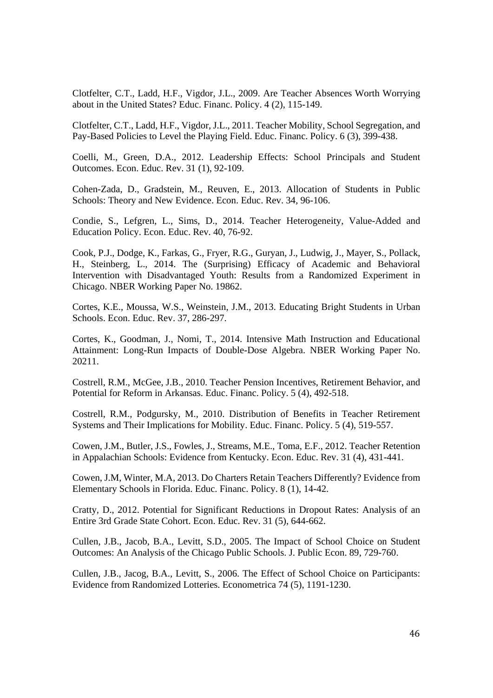Clotfelter, C.T., Ladd, H.F., Vigdor, J.L., 2009. Are Teacher Absences Worth Worrying about in the United States? Educ. Financ. Policy. 4 (2), 115-149.

Clotfelter, C.T., Ladd, H.F., Vigdor, J.L., 2011. Teacher Mobility, School Segregation, and Pay-Based Policies to Level the Playing Field. Educ. Financ. Policy. 6 (3), 399-438.

Coelli, M., Green, D.A., 2012. Leadership Effects: School Principals and Student Outcomes. Econ. Educ. Rev. 31 (1), 92-109.

Cohen-Zada, D., Gradstein, M., Reuven, E., 2013. Allocation of Students in Public Schools: Theory and New Evidence. Econ. Educ. Rev. 34, 96-106.

Condie, S., Lefgren, L., Sims, D., 2014. Teacher Heterogeneity, Value-Added and Education Policy. Econ. Educ. Rev. 40, 76-92.

Cook, P.J., Dodge, K., Farkas, G., Fryer, R.G., Guryan, J., Ludwig, J., Mayer, S., Pollack, H., Steinberg, L., 2014. The (Surprising) Efficacy of Academic and Behavioral Intervention with Disadvantaged Youth: Results from a Randomized Experiment in Chicago. NBER Working Paper No. 19862.

Cortes, K.E., Moussa, W.S., Weinstein, J.M., 2013. Educating Bright Students in Urban Schools. Econ. Educ. Rev. 37, 286-297.

Cortes, K., Goodman, J., Nomi, T., 2014. Intensive Math Instruction and Educational Attainment: Long-Run Impacts of Double-Dose Algebra. NBER Working Paper No. 20211.

Costrell, R.M., McGee, J.B., 2010. Teacher Pension Incentives, Retirement Behavior, and Potential for Reform in Arkansas. Educ. Financ. Policy. 5 (4), 492-518.

Costrell, R.M., Podgursky, M., 2010. Distribution of Benefits in Teacher Retirement Systems and Their Implications for Mobility. Educ. Financ. Policy. 5 (4), 519-557.

Cowen, J.M., Butler, J.S., Fowles, J., Streams, M.E., Toma, E.F., 2012. Teacher Retention in Appalachian Schools: Evidence from Kentucky. Econ. Educ. Rev. 31 (4), 431-441.

Cowen, J.M, Winter, M.A, 2013. Do Charters Retain Teachers Differently? Evidence from Elementary Schools in Florida. Educ. Financ. Policy. 8 (1), 14-42.

Cratty, D., 2012. Potential for Significant Reductions in Dropout Rates: Analysis of an Entire 3rd Grade State Cohort. Econ. Educ. Rev. 31 (5), 644-662.

Cullen, J.B., Jacob, B.A., Levitt, S.D., 2005. The Impact of School Choice on Student Outcomes: An Analysis of the Chicago Public Schools. J. Public Econ. 89, 729-760.

Cullen, J.B., Jacog, B.A., Levitt, S., 2006. The Effect of School Choice on Participants: Evidence from Randomized Lotteries. Econometrica 74 (5), 1191-1230.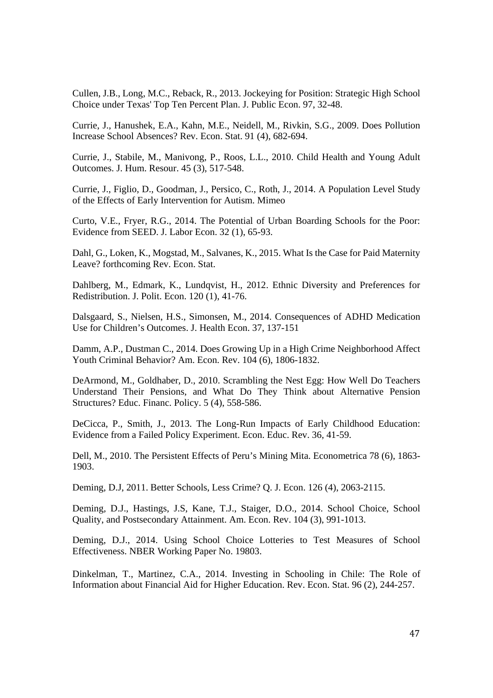Cullen, J.B., Long, M.C., Reback, R., 2013. Jockeying for Position: Strategic High School Choice under Texas' Top Ten Percent Plan. J. Public Econ. 97, 32-48.

Currie, J., Hanushek, E.A., Kahn, M.E., Neidell, M., Rivkin, S.G., 2009. Does Pollution Increase School Absences? Rev. Econ. Stat. 91 (4), 682-694.

Currie, J., Stabile, M., Manivong, P., Roos, L.L., 2010. Child Health and Young Adult Outcomes. J. Hum. Resour. 45 (3), 517-548.

Currie, J., Figlio, D., Goodman, J., Persico, C., Roth, J., 2014. A Population Level Study of the Effects of Early Intervention for Autism. Mimeo

Curto, V.E., Fryer, R.G., 2014. The Potential of Urban Boarding Schools for the Poor: Evidence from SEED. J. Labor Econ. 32 (1), 65-93.

Dahl, G., Loken, K., Mogstad, M., Salvanes, K., 2015. What Is the Case for Paid Maternity Leave? forthcoming Rev. Econ. Stat.

Dahlberg, M., Edmark, K., Lundqvist, H., 2012. Ethnic Diversity and Preferences for Redistribution. J. Polit. Econ. 120 (1), 41-76.

Dalsgaard, S., Nielsen, H.S., Simonsen, M., 2014. Consequences of ADHD Medication Use for Children's Outcomes. J. Health Econ. 37, 137-151

Damm, A.P., Dustman C., 2014. Does Growing Up in a High Crime Neighborhood Affect Youth Criminal Behavior? Am. Econ. Rev. 104 (6), 1806-1832.

DeArmond, M., Goldhaber, D., 2010. Scrambling the Nest Egg: How Well Do Teachers Understand Their Pensions, and What Do They Think about Alternative Pension Structures? Educ. Financ. Policy. 5 (4), 558-586.

DeCicca, P., Smith, J., 2013. The Long-Run Impacts of Early Childhood Education: Evidence from a Failed Policy Experiment. Econ. Educ. Rev. 36, 41-59.

Dell, M., 2010. The Persistent Effects of Peru's Mining Mita. Econometrica 78 (6), 1863- 1903.

Deming, D.J, 2011. Better Schools, Less Crime? Q. J. Econ. 126 (4), 2063-2115.

Deming, D.J., Hastings, J.S, Kane, T.J., Staiger, D.O., 2014. School Choice, School Quality, and Postsecondary Attainment. Am. Econ. Rev. 104 (3), 991-1013.

Deming, D.J., 2014. Using School Choice Lotteries to Test Measures of School Effectiveness. NBER Working Paper No. 19803.

Dinkelman, T., Martinez, C.A., 2014. Investing in Schooling in Chile: The Role of Information about Financial Aid for Higher Education. Rev. Econ. Stat. 96 (2), 244-257.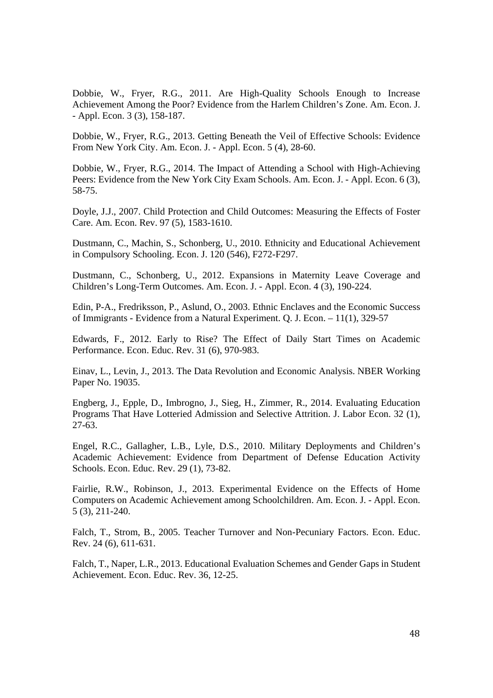Dobbie, W., Fryer, R.G., 2011. Are High-Quality Schools Enough to Increase Achievement Among the Poor? Evidence from the Harlem Children's Zone. Am. Econ. J. - Appl. Econ. 3 (3), 158-187.

Dobbie, W., Fryer, R.G., 2013. Getting Beneath the Veil of Effective Schools: Evidence From New York City. Am. Econ. J. - Appl. Econ. 5 (4), 28-60.

Dobbie, W., Fryer, R.G., 2014. The Impact of Attending a School with High-Achieving Peers: Evidence from the New York City Exam Schools. Am. Econ. J. - Appl. Econ. 6 (3), 58-75.

Doyle, J.J., 2007. Child Protection and Child Outcomes: Measuring the Effects of Foster Care. Am. Econ. Rev. 97 (5), 1583-1610.

Dustmann, C., Machin, S., Schonberg, U., 2010. Ethnicity and Educational Achievement in Compulsory Schooling. Econ. J. 120 (546), F272-F297.

Dustmann, C., Schonberg, U., 2012. Expansions in Maternity Leave Coverage and Children's Long-Term Outcomes. Am. Econ. J. - Appl. Econ. 4 (3), 190-224.

Edin, P-A., Fredriksson, P., Aslund, O., 2003. Ethnic Enclaves and the Economic Success of Immigrants - Evidence from a Natural Experiment. Q. J. Econ. – 11(1), 329-57

Edwards, F., 2012. Early to Rise? The Effect of Daily Start Times on Academic Performance. Econ. Educ. Rev. 31 (6), 970-983.

Einav, L., Levin, J., 2013. The Data Revolution and Economic Analysis. NBER Working Paper No. 19035.

Engberg, J., Epple, D., Imbrogno, J., Sieg, H., Zimmer, R., 2014. Evaluating Education Programs That Have Lotteried Admission and Selective Attrition. J. Labor Econ. 32 (1), 27-63.

Engel, R.C., Gallagher, L.B., Lyle, D.S., 2010. Military Deployments and Children's Academic Achievement: Evidence from Department of Defense Education Activity Schools. Econ. Educ. Rev. 29 (1), 73-82.

Fairlie, R.W., Robinson, J., 2013. Experimental Evidence on the Effects of Home Computers on Academic Achievement among Schoolchildren. Am. Econ. J. - Appl. Econ. 5 (3), 211-240.

Falch, T., Strom, B., 2005. Teacher Turnover and Non-Pecuniary Factors. Econ. Educ. Rev. 24 (6), 611-631.

Falch, T., Naper, L.R., 2013. Educational Evaluation Schemes and Gender Gaps in Student Achievement. Econ. Educ. Rev. 36, 12-25.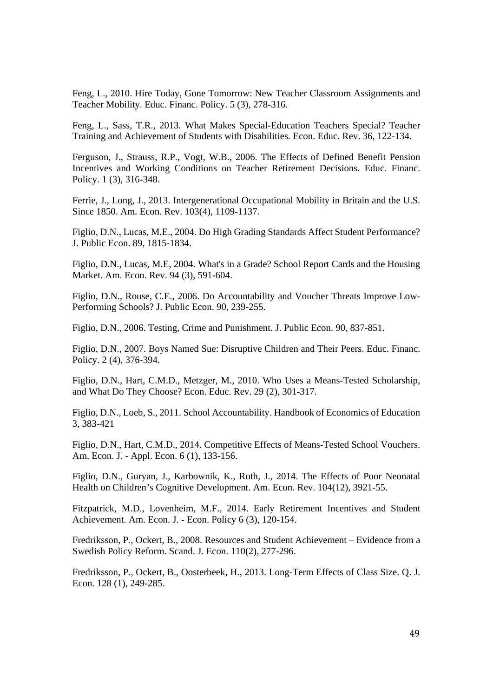Feng, L., 2010. Hire Today, Gone Tomorrow: New Teacher Classroom Assignments and Teacher Mobility. Educ. Financ. Policy. 5 (3), 278-316.

Feng, L., Sass, T.R., 2013. What Makes Special-Education Teachers Special? Teacher Training and Achievement of Students with Disabilities. Econ. Educ. Rev. 36, 122-134.

Ferguson, J., Strauss, R.P., Vogt, W.B., 2006. The Effects of Defined Benefit Pension Incentives and Working Conditions on Teacher Retirement Decisions. Educ. Financ. Policy. 1 (3), 316-348.

Ferrie, J., Long, J., 2013. Intergenerational Occupational Mobility in Britain and the U.S. Since 1850. Am. Econ. Rev. 103(4), 1109-1137.

Figlio, D.N., Lucas, M.E., 2004. Do High Grading Standards Affect Student Performance? J. Public Econ. 89, 1815-1834.

Figlio, D.N., Lucas, M.E, 2004. What's in a Grade? School Report Cards and the Housing Market. Am. Econ. Rev. 94 (3), 591-604.

Figlio, D.N., Rouse, C.E., 2006. Do Accountability and Voucher Threats Improve Low-Performing Schools? J. Public Econ. 90, 239-255.

Figlio, D.N., 2006. Testing, Crime and Punishment. J. Public Econ. 90, 837-851.

Figlio, D.N., 2007. Boys Named Sue: Disruptive Children and Their Peers. Educ. Financ. Policy. 2 (4), 376-394.

Figlio, D.N., Hart, C.M.D., Metzger, M., 2010. Who Uses a Means-Tested Scholarship, and What Do They Choose? Econ. Educ. Rev. 29 (2), 301-317.

Figlio, D.N., Loeb, S., 2011. School Accountability. Handbook of Economics of Education 3, 383-421

Figlio, D.N., Hart, C.M.D., 2014. Competitive Effects of Means-Tested School Vouchers. Am. Econ. J. - Appl. Econ. 6 (1), 133-156.

Figlio, D.N., Guryan, J., Karbownik, K., Roth, J., 2014. The Effects of Poor Neonatal Health on Children's Cognitive Development. Am. Econ. Rev. 104(12), 3921-55.

Fitzpatrick, M.D., Lovenheim, M.F., 2014. Early Retirement Incentives and Student Achievement. Am. Econ. J. - Econ. Policy 6 (3), 120-154.

Fredriksson, P., Ockert, B., 2008. Resources and Student Achievement – Evidence from a Swedish Policy Reform. Scand. J. Econ. 110(2), 277-296.

Fredriksson, P., Ockert, B., Oosterbeek, H., 2013. Long-Term Effects of Class Size. Q. J. Econ. 128 (1), 249-285.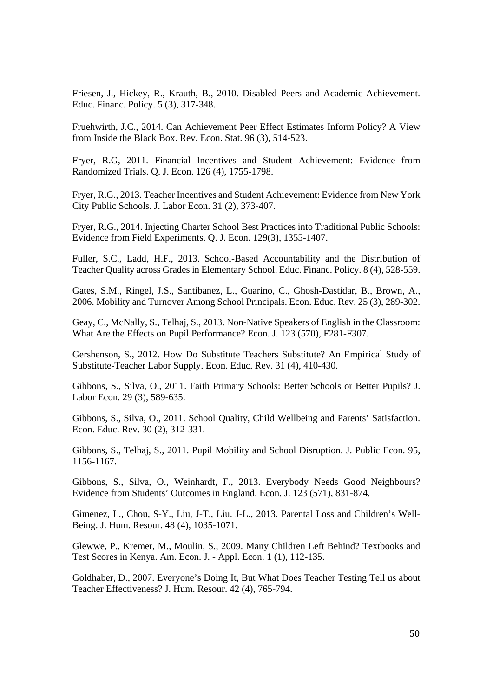Friesen, J., Hickey, R., Krauth, B., 2010. Disabled Peers and Academic Achievement. Educ. Financ. Policy. 5 (3), 317-348.

Fruehwirth, J.C., 2014. Can Achievement Peer Effect Estimates Inform Policy? A View from Inside the Black Box. Rev. Econ. Stat. 96 (3), 514-523.

Fryer, R.G, 2011. Financial Incentives and Student Achievement: Evidence from Randomized Trials. Q. J. Econ. 126 (4), 1755-1798.

Fryer, R.G., 2013. Teacher Incentives and Student Achievement: Evidence from New York City Public Schools. J. Labor Econ. 31 (2), 373-407.

Fryer, R.G., 2014. Injecting Charter School Best Practices into Traditional Public Schools: Evidence from Field Experiments. Q. J. Econ. 129(3), 1355-1407.

Fuller, S.C., Ladd, H.F., 2013. School-Based Accountability and the Distribution of Teacher Quality across Grades in Elementary School. Educ. Financ. Policy. 8 (4), 528-559.

Gates, S.M., Ringel, J.S., Santibanez, L., Guarino, C., Ghosh-Dastidar, B., Brown, A., 2006. Mobility and Turnover Among School Principals. Econ. Educ. Rev. 25 (3), 289-302.

Geay, C., McNally, S., Telhaj, S., 2013. Non-Native Speakers of English in the Classroom: What Are the Effects on Pupil Performance? Econ. J. 123 (570), F281-F307.

Gershenson, S., 2012. How Do Substitute Teachers Substitute? An Empirical Study of Substitute-Teacher Labor Supply. Econ. Educ. Rev. 31 (4), 410-430.

Gibbons, S., Silva, O., 2011. Faith Primary Schools: Better Schools or Better Pupils? J. Labor Econ. 29 (3), 589-635.

Gibbons, S., Silva, O., 2011. School Quality, Child Wellbeing and Parents' Satisfaction. Econ. Educ. Rev. 30 (2), 312-331.

Gibbons, S., Telhaj, S., 2011. Pupil Mobility and School Disruption. J. Public Econ. 95, 1156-1167.

Gibbons, S., Silva, O., Weinhardt, F., 2013. Everybody Needs Good Neighbours? Evidence from Students' Outcomes in England. Econ. J. 123 (571), 831-874.

Gimenez, L., Chou, S-Y., Liu, J-T., Liu. J-L., 2013. Parental Loss and Children's Well-Being. J. Hum. Resour. 48 (4), 1035-1071.

Glewwe, P., Kremer, M., Moulin, S., 2009. Many Children Left Behind? Textbooks and Test Scores in Kenya. Am. Econ. J. - Appl. Econ. 1 (1), 112-135.

Goldhaber, D., 2007. Everyone's Doing It, But What Does Teacher Testing Tell us about Teacher Effectiveness? J. Hum. Resour. 42 (4), 765-794.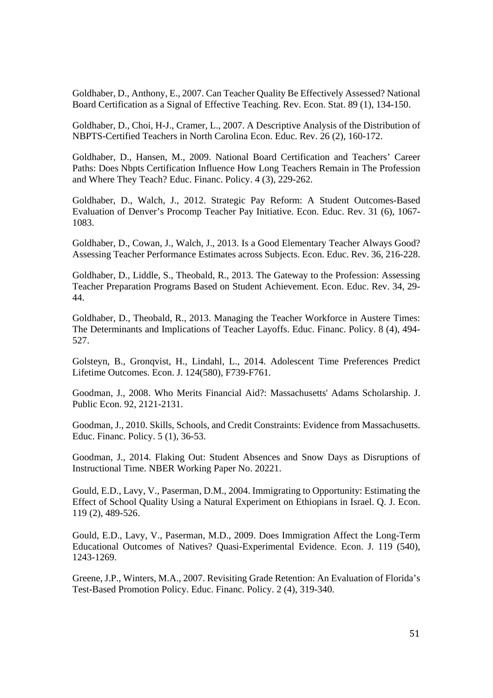Goldhaber, D., Anthony, E., 2007. Can Teacher Quality Be Effectively Assessed? National Board Certification as a Signal of Effective Teaching. Rev. Econ. Stat. 89 (1), 134-150.

Goldhaber, D., Choi, H-J., Cramer, L., 2007. A Descriptive Analysis of the Distribution of NBPTS-Certified Teachers in North Carolina Econ. Educ. Rev. 26 (2), 160-172.

Goldhaber, D., Hansen, M., 2009. National Board Certification and Teachers' Career Paths: Does Nbpts Certification Influence How Long Teachers Remain in The Profession and Where They Teach? Educ. Financ. Policy. 4 (3), 229-262.

Goldhaber, D., Walch, J., 2012. Strategic Pay Reform: A Student Outcomes-Based Evaluation of Denver's Procomp Teacher Pay Initiative. Econ. Educ. Rev. 31 (6), 1067- 1083.

Goldhaber, D., Cowan, J., Walch, J., 2013. Is a Good Elementary Teacher Always Good? Assessing Teacher Performance Estimates across Subjects. Econ. Educ. Rev. 36, 216-228.

Goldhaber, D., Liddle, S., Theobald, R., 2013. The Gateway to the Profession: Assessing Teacher Preparation Programs Based on Student Achievement. Econ. Educ. Rev. 34, 29- 44.

Goldhaber, D., Theobald, R., 2013. Managing the Teacher Workforce in Austere Times: The Determinants and Implications of Teacher Layoffs. Educ. Financ. Policy. 8 (4), 494- 527.

Golsteyn, B., Gronqvist, H., Lindahl, L., 2014. Adolescent Time Preferences Predict Lifetime Outcomes. Econ. J. 124(580), F739-F761.

Goodman, J., 2008. Who Merits Financial Aid?: Massachusetts' Adams Scholarship. J. Public Econ. 92, 2121-2131.

Goodman, J., 2010. Skills, Schools, and Credit Constraints: Evidence from Massachusetts. Educ. Financ. Policy. 5 (1), 36-53.

Goodman, J., 2014. Flaking Out: Student Absences and Snow Days as Disruptions of Instructional Time. NBER Working Paper No. 20221.

Gould, E.D., Lavy, V., Paserman, D.M., 2004. Immigrating to Opportunity: Estimating the Effect of School Quality Using a Natural Experiment on Ethiopians in Israel. Q. J. Econ. 119 (2), 489-526.

Gould, E.D., Lavy, V., Paserman, M.D., 2009. Does Immigration Affect the Long-Term Educational Outcomes of Natives? Quasi-Experimental Evidence. Econ. J. 119 (540), 1243-1269.

Greene, J.P., Winters, M.A., 2007. Revisiting Grade Retention: An Evaluation of Florida's Test-Based Promotion Policy. Educ. Financ. Policy. 2 (4), 319-340.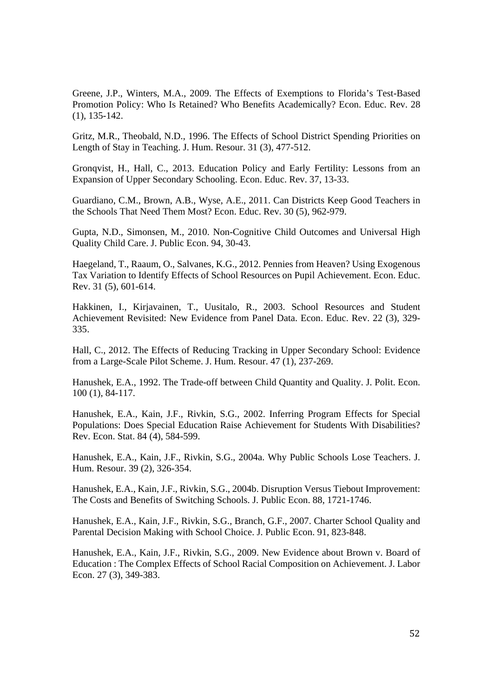Greene, J.P., Winters, M.A., 2009. The Effects of Exemptions to Florida's Test-Based Promotion Policy: Who Is Retained? Who Benefits Academically? Econ. Educ. Rev. 28 (1), 135-142.

Gritz, M.R., Theobald, N.D., 1996. The Effects of School District Spending Priorities on Length of Stay in Teaching. J. Hum. Resour. 31 (3), 477-512.

Gronqvist, H., Hall, C., 2013. Education Policy and Early Fertility: Lessons from an Expansion of Upper Secondary Schooling. Econ. Educ. Rev. 37, 13-33.

Guardiano, C.M., Brown, A.B., Wyse, A.E., 2011. Can Districts Keep Good Teachers in the Schools That Need Them Most? Econ. Educ. Rev. 30 (5), 962-979.

Gupta, N.D., Simonsen, M., 2010. Non-Cognitive Child Outcomes and Universal High Quality Child Care. J. Public Econ. 94, 30-43.

Haegeland, T., Raaum, O., Salvanes, K.G., 2012. Pennies from Heaven? Using Exogenous Tax Variation to Identify Effects of School Resources on Pupil Achievement. Econ. Educ. Rev. 31 (5), 601-614.

Hakkinen, I., Kirjavainen, T., Uusitalo, R., 2003. School Resources and Student Achievement Revisited: New Evidence from Panel Data. Econ. Educ. Rev. 22 (3), 329- 335.

Hall, C., 2012. The Effects of Reducing Tracking in Upper Secondary School: Evidence from a Large-Scale Pilot Scheme. J. Hum. Resour. 47 (1), 237-269.

Hanushek, E.A., 1992. The Trade-off between Child Quantity and Quality. J. Polit. Econ. 100 (1), 84-117.

Hanushek, E.A., Kain, J.F., Rivkin, S.G., 2002. Inferring Program Effects for Special Populations: Does Special Education Raise Achievement for Students With Disabilities? Rev. Econ. Stat. 84 (4), 584-599.

Hanushek, E.A., Kain, J.F., Rivkin, S.G., 2004a. Why Public Schools Lose Teachers. J. Hum. Resour. 39 (2), 326-354.

Hanushek, E.A., Kain, J.F., Rivkin, S.G., 2004b. Disruption Versus Tiebout Improvement: The Costs and Benefits of Switching Schools. J. Public Econ. 88, 1721-1746.

Hanushek, E.A., Kain, J.F., Rivkin, S.G., Branch, G.F., 2007. Charter School Quality and Parental Decision Making with School Choice. J. Public Econ. 91, 823-848.

Hanushek, E.A., Kain, J.F., Rivkin, S.G., 2009. New Evidence about Brown v. Board of Education : The Complex Effects of School Racial Composition on Achievement. J. Labor Econ. 27 (3), 349-383.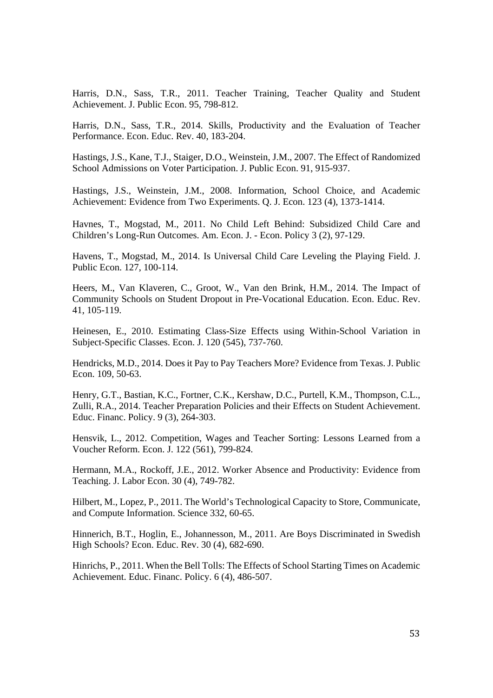Harris, D.N., Sass, T.R., 2011. Teacher Training, Teacher Quality and Student Achievement. J. Public Econ. 95, 798-812.

Harris, D.N., Sass, T.R., 2014. Skills, Productivity and the Evaluation of Teacher Performance. Econ. Educ. Rev. 40, 183-204.

Hastings, J.S., Kane, T.J., Staiger, D.O., Weinstein, J.M., 2007. The Effect of Randomized School Admissions on Voter Participation. J. Public Econ. 91, 915-937.

Hastings, J.S., Weinstein, J.M., 2008. Information, School Choice, and Academic Achievement: Evidence from Two Experiments. Q. J. Econ. 123 (4), 1373-1414.

Havnes, T., Mogstad, M., 2011. No Child Left Behind: Subsidized Child Care and Children's Long-Run Outcomes. Am. Econ. J. - Econ. Policy 3 (2), 97-129.

Havens, T., Mogstad, M., 2014. Is Universal Child Care Leveling the Playing Field. J. Public Econ. 127, 100-114.

Heers, M., Van Klaveren, C., Groot, W., Van den Brink, H.M., 2014. The Impact of Community Schools on Student Dropout in Pre-Vocational Education. Econ. Educ. Rev. 41, 105-119.

Heinesen, E., 2010. Estimating Class-Size Effects using Within-School Variation in Subject-Specific Classes. Econ. J. 120 (545), 737-760.

Hendricks, M.D., 2014. Does it Pay to Pay Teachers More? Evidence from Texas. J. Public Econ. 109, 50-63.

Henry, G.T., Bastian, K.C., Fortner, C.K., Kershaw, D.C., Purtell, K.M., Thompson, C.L., Zulli, R.A., 2014. Teacher Preparation Policies and their Effects on Student Achievement. Educ. Financ. Policy. 9 (3), 264-303.

Hensvik, L., 2012. Competition, Wages and Teacher Sorting: Lessons Learned from a Voucher Reform. Econ. J. 122 (561), 799-824.

Hermann, M.A., Rockoff, J.E., 2012. Worker Absence and Productivity: Evidence from Teaching. J. Labor Econ. 30 (4), 749-782.

Hilbert, M., Lopez, P., 2011. The World's Technological Capacity to Store, Communicate, and Compute Information. Science 332, 60-65.

Hinnerich, B.T., Hoglin, E., Johannesson, M., 2011. Are Boys Discriminated in Swedish High Schools? Econ. Educ. Rev. 30 (4), 682-690.

Hinrichs, P., 2011. When the Bell Tolls: The Effects of School Starting Times on Academic Achievement. Educ. Financ. Policy. 6 (4), 486-507.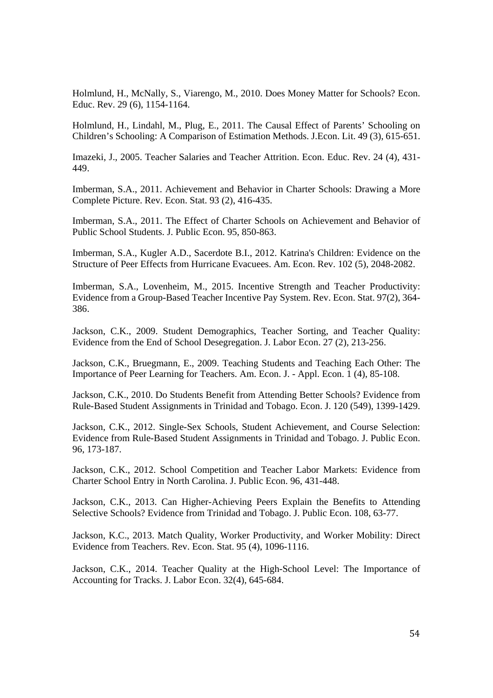Holmlund, H., McNally, S., Viarengo, M., 2010. Does Money Matter for Schools? Econ. Educ. Rev. 29 (6), 1154-1164.

Holmlund, H., Lindahl, M., Plug, E., 2011. The Causal Effect of Parents' Schooling on Children's Schooling: A Comparison of Estimation Methods. J.Econ. Lit. 49 (3), 615-651.

Imazeki, J., 2005. Teacher Salaries and Teacher Attrition. Econ. Educ. Rev. 24 (4), 431- 449.

Imberman, S.A., 2011. Achievement and Behavior in Charter Schools: Drawing a More Complete Picture. Rev. Econ. Stat. 93 (2), 416-435.

Imberman, S.A., 2011. The Effect of Charter Schools on Achievement and Behavior of Public School Students. J. Public Econ. 95, 850-863.

Imberman, S.A., Kugler A.D., Sacerdote B.I., 2012. Katrina's Children: Evidence on the Structure of Peer Effects from Hurricane Evacuees. Am. Econ. Rev. 102 (5), 2048-2082.

Imberman, S.A., Lovenheim, M., 2015. Incentive Strength and Teacher Productivity: Evidence from a Group-Based Teacher Incentive Pay System. Rev. Econ. Stat. 97(2), 364- 386.

Jackson, C.K., 2009. Student Demographics, Teacher Sorting, and Teacher Quality: Evidence from the End of School Desegregation. J. Labor Econ. 27 (2), 213-256.

Jackson, C.K., Bruegmann, E., 2009. Teaching Students and Teaching Each Other: The Importance of Peer Learning for Teachers. Am. Econ. J. - Appl. Econ. 1 (4), 85-108.

Jackson, C.K., 2010. Do Students Benefit from Attending Better Schools? Evidence from Rule-Based Student Assignments in Trinidad and Tobago. Econ. J. 120 (549), 1399-1429.

Jackson, C.K., 2012. Single-Sex Schools, Student Achievement, and Course Selection: Evidence from Rule-Based Student Assignments in Trinidad and Tobago. J. Public Econ. 96, 173-187.

Jackson, C.K., 2012. School Competition and Teacher Labor Markets: Evidence from Charter School Entry in North Carolina. J. Public Econ. 96, 431-448.

Jackson, C.K., 2013. Can Higher-Achieving Peers Explain the Benefits to Attending Selective Schools? Evidence from Trinidad and Tobago. J. Public Econ. 108, 63-77.

Jackson, K.C., 2013. Match Quality, Worker Productivity, and Worker Mobility: Direct Evidence from Teachers. Rev. Econ. Stat. 95 (4), 1096-1116.

Jackson, C.K., 2014. Teacher Quality at the High-School Level: The Importance of Accounting for Tracks. J. Labor Econ. 32(4), 645-684.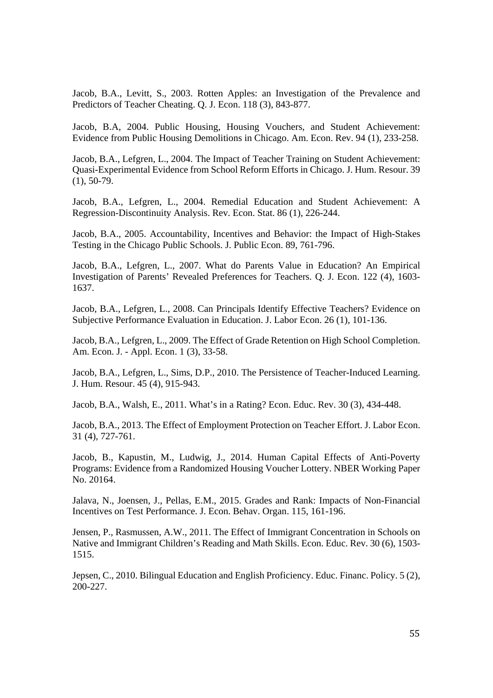Jacob, B.A., Levitt, S., 2003. Rotten Apples: an Investigation of the Prevalence and Predictors of Teacher Cheating. Q. J. Econ. 118 (3), 843-877.

Jacob, B.A, 2004. Public Housing, Housing Vouchers, and Student Achievement: Evidence from Public Housing Demolitions in Chicago. Am. Econ. Rev. 94 (1), 233-258.

Jacob, B.A., Lefgren, L., 2004. The Impact of Teacher Training on Student Achievement: Quasi-Experimental Evidence from School Reform Efforts in Chicago. J. Hum. Resour. 39 (1), 50-79.

Jacob, B.A., Lefgren, L., 2004. Remedial Education and Student Achievement: A Regression-Discontinuity Analysis. Rev. Econ. Stat. 86 (1), 226-244.

Jacob, B.A., 2005. Accountability, Incentives and Behavior: the Impact of High-Stakes Testing in the Chicago Public Schools. J. Public Econ. 89, 761-796.

Jacob, B.A., Lefgren, L., 2007. What do Parents Value in Education? An Empirical Investigation of Parents' Revealed Preferences for Teachers. Q. J. Econ. 122 (4), 1603- 1637.

Jacob, B.A., Lefgren, L., 2008. Can Principals Identify Effective Teachers? Evidence on Subjective Performance Evaluation in Education. J. Labor Econ. 26 (1), 101-136.

Jacob, B.A., Lefgren, L., 2009. The Effect of Grade Retention on High School Completion. Am. Econ. J. - Appl. Econ. 1 (3), 33-58.

Jacob, B.A., Lefgren, L., Sims, D.P., 2010. The Persistence of Teacher-Induced Learning. J. Hum. Resour. 45 (4), 915-943.

Jacob, B.A., Walsh, E., 2011. What's in a Rating? Econ. Educ. Rev. 30 (3), 434-448.

Jacob, B.A., 2013. The Effect of Employment Protection on Teacher Effort. J. Labor Econ. 31 (4), 727-761.

Jacob, B., Kapustin, M., Ludwig, J., 2014. Human Capital Effects of Anti-Poverty Programs: Evidence from a Randomized Housing Voucher Lottery. NBER Working Paper No. 20164.

Jalava, N., Joensen, J., Pellas, E.M., 2015. Grades and Rank: Impacts of Non-Financial Incentives on Test Performance. J. Econ. Behav. Organ. 115, 161-196.

Jensen, P., Rasmussen, A.W., 2011. The Effect of Immigrant Concentration in Schools on Native and Immigrant Children's Reading and Math Skills. Econ. Educ. Rev. 30 (6), 1503- 1515.

Jepsen, C., 2010. Bilingual Education and English Proficiency. Educ. Financ. Policy. 5 (2), 200-227.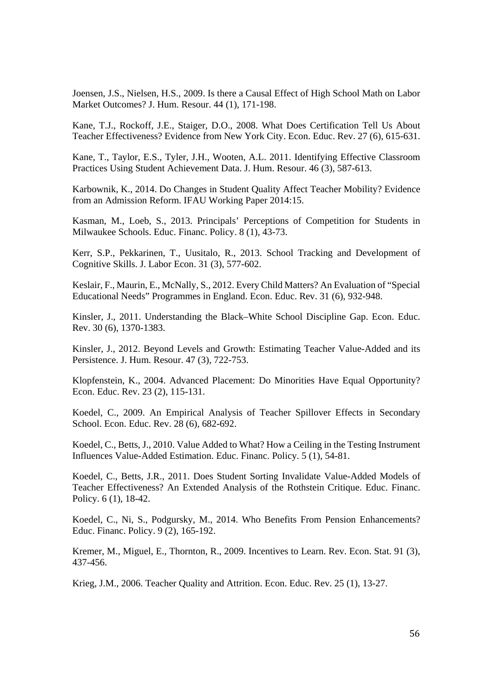Joensen, J.S., Nielsen, H.S., 2009. Is there a Causal Effect of High School Math on Labor Market Outcomes? J. Hum. Resour. 44 (1), 171-198.

Kane, T.J., Rockoff, J.E., Staiger, D.O., 2008. What Does Certification Tell Us About Teacher Effectiveness? Evidence from New York City. Econ. Educ. Rev. 27 (6), 615-631.

Kane, T., Taylor, E.S., Tyler, J.H., Wooten, A.L. 2011. Identifying Effective Classroom Practices Using Student Achievement Data. J. Hum. Resour. 46 (3), 587-613.

Karbownik, K., 2014. Do Changes in Student Quality Affect Teacher Mobility? Evidence from an Admission Reform. IFAU Working Paper 2014:15.

Kasman, M., Loeb, S., 2013. Principals' Perceptions of Competition for Students in Milwaukee Schools. Educ. Financ. Policy. 8 (1), 43-73.

Kerr, S.P., Pekkarinen, T., Uusitalo, R., 2013. School Tracking and Development of Cognitive Skills. J. Labor Econ. 31 (3), 577-602.

Keslair, F., Maurin, E., McNally, S., 2012. Every Child Matters? An Evaluation of "Special Educational Needs" Programmes in England. Econ. Educ. Rev. 31 (6), 932-948.

Kinsler, J., 2011. Understanding the Black–White School Discipline Gap. Econ. Educ. Rev. 30 (6), 1370-1383.

Kinsler, J., 2012. Beyond Levels and Growth: Estimating Teacher Value-Added and its Persistence. J. Hum. Resour. 47 (3), 722-753.

Klopfenstein, K., 2004. Advanced Placement: Do Minorities Have Equal Opportunity? Econ. Educ. Rev. 23 (2), 115-131.

Koedel, C., 2009. An Empirical Analysis of Teacher Spillover Effects in Secondary School. Econ. Educ. Rev. 28 (6), 682-692.

Koedel, C., Betts, J., 2010. Value Added to What? How a Ceiling in the Testing Instrument Influences Value-Added Estimation. Educ. Financ. Policy. 5 (1), 54-81.

Koedel, C., Betts, J.R., 2011. Does Student Sorting Invalidate Value-Added Models of Teacher Effectiveness? An Extended Analysis of the Rothstein Critique. Educ. Financ. Policy. 6 (1), 18-42.

Koedel, C., Ni, S., Podgursky, M., 2014. Who Benefits From Pension Enhancements? Educ. Financ. Policy. 9 (2), 165-192.

Kremer, M., Miguel, E., Thornton, R., 2009. Incentives to Learn. Rev. Econ. Stat. 91 (3), 437-456.

Krieg, J.M., 2006. Teacher Quality and Attrition. Econ. Educ. Rev. 25 (1), 13-27.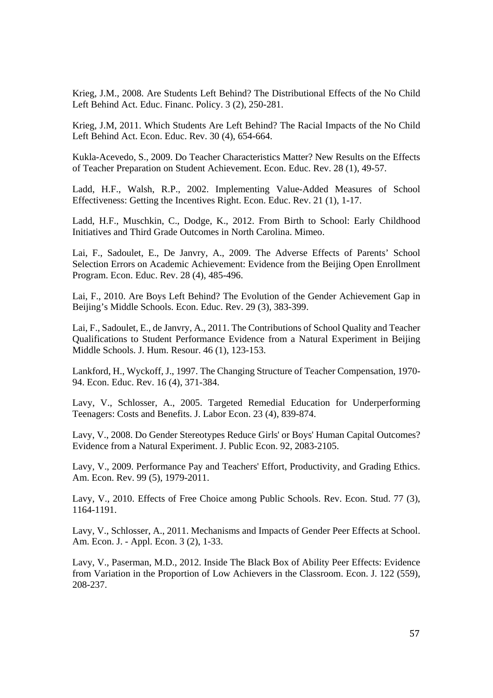Krieg, J.M., 2008. Are Students Left Behind? The Distributional Effects of the No Child Left Behind Act. Educ. Financ. Policy. 3 (2), 250-281.

Krieg, J.M, 2011. Which Students Are Left Behind? The Racial Impacts of the No Child Left Behind Act. Econ. Educ. Rev. 30 (4), 654-664.

Kukla-Acevedo, S., 2009. Do Teacher Characteristics Matter? New Results on the Effects of Teacher Preparation on Student Achievement. Econ. Educ. Rev. 28 (1), 49-57.

Ladd, H.F., Walsh, R.P., 2002. Implementing Value-Added Measures of School Effectiveness: Getting the Incentives Right. Econ. Educ. Rev. 21 (1), 1-17.

Ladd, H.F., Muschkin, C., Dodge, K., 2012. From Birth to School: Early Childhood Initiatives and Third Grade Outcomes in North Carolina. Mimeo.

Lai, F., Sadoulet, E., De Janvry, A., 2009. The Adverse Effects of Parents' School Selection Errors on Academic Achievement: Evidence from the Beijing Open Enrollment Program. Econ. Educ. Rev. 28 (4), 485-496.

Lai, F., 2010. Are Boys Left Behind? The Evolution of the Gender Achievement Gap in Beijing's Middle Schools. Econ. Educ. Rev. 29 (3), 383-399.

Lai, F., Sadoulet, E., de Janvry, A., 2011. The Contributions of School Quality and Teacher Qualifications to Student Performance Evidence from a Natural Experiment in Beijing Middle Schools. J. Hum. Resour. 46 (1), 123-153.

Lankford, H., Wyckoff, J., 1997. The Changing Structure of Teacher Compensation, 1970- 94. Econ. Educ. Rev. 16 (4), 371-384.

Lavy, V., Schlosser, A., 2005. Targeted Remedial Education for Underperforming Teenagers: Costs and Benefits. J. Labor Econ. 23 (4), 839-874.

Lavy, V., 2008. Do Gender Stereotypes Reduce Girls' or Boys' Human Capital Outcomes? Evidence from a Natural Experiment. J. Public Econ. 92, 2083-2105.

Lavy, V., 2009. Performance Pay and Teachers' Effort, Productivity, and Grading Ethics. Am. Econ. Rev. 99 (5), 1979-2011.

Lavy, V., 2010. Effects of Free Choice among Public Schools. Rev. Econ. Stud. 77 (3), 1164-1191.

Lavy, V., Schlosser, A., 2011. Mechanisms and Impacts of Gender Peer Effects at School. Am. Econ. J. - Appl. Econ. 3 (2), 1-33.

Lavy, V., Paserman, M.D., 2012. Inside The Black Box of Ability Peer Effects: Evidence from Variation in the Proportion of Low Achievers in the Classroom. Econ. J. 122 (559), 208-237.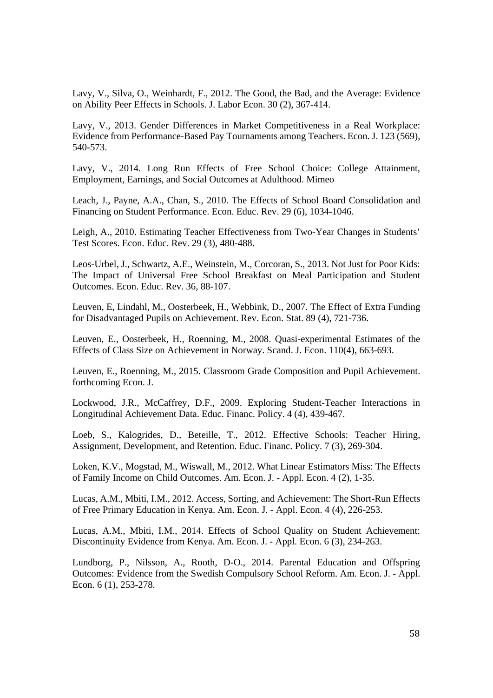Lavy, V., Silva, O., Weinhardt, F., 2012. The Good, the Bad, and the Average: Evidence on Ability Peer Effects in Schools. J. Labor Econ. 30 (2), 367-414.

Lavy, V., 2013. Gender Differences in Market Competitiveness in a Real Workplace: Evidence from Performance-Based Pay Tournaments among Teachers. Econ. J. 123 (569), 540-573.

Lavy, V., 2014. Long Run Effects of Free School Choice: College Attainment, Employment, Earnings, and Social Outcomes at Adulthood. Mimeo

Leach, J., Payne, A.A., Chan, S., 2010. The Effects of School Board Consolidation and Financing on Student Performance. Econ. Educ. Rev. 29 (6), 1034-1046.

Leigh, A., 2010. Estimating Teacher Effectiveness from Two-Year Changes in Students' Test Scores. Econ. Educ. Rev. 29 (3), 480-488.

Leos-Urbel, J., Schwartz, A.E., Weinstein, M., Corcoran, S., 2013. Not Just for Poor Kids: The Impact of Universal Free School Breakfast on Meal Participation and Student Outcomes. Econ. Educ. Rev. 36, 88-107.

Leuven, E, Lindahl, M., Oosterbeek, H., Webbink, D., 2007. The Effect of Extra Funding for Disadvantaged Pupils on Achievement. Rev. Econ. Stat. 89 (4), 721-736.

Leuven, E., Oosterbeek, H., Roenning, M., 2008. Quasi-experimental Estimates of the Effects of Class Size on Achievement in Norway. Scand. J. Econ. 110(4), 663-693.

Leuven, E., Roenning, M., 2015. Classroom Grade Composition and Pupil Achievement. forthcoming Econ. J.

Lockwood, J.R., McCaffrey, D.F., 2009. Exploring Student-Teacher Interactions in Longitudinal Achievement Data. Educ. Financ. Policy. 4 (4), 439-467.

Loeb, S., Kalogrides, D., Beteille, T., 2012. Effective Schools: Teacher Hiring, Assignment, Development, and Retention. Educ. Financ. Policy. 7 (3), 269-304.

Loken, K.V., Mogstad, M., Wiswall, M., 2012. What Linear Estimators Miss: The Effects of Family Income on Child Outcomes. Am. Econ. J. - Appl. Econ. 4 (2), 1-35.

Lucas, A.M., Mbiti, I.M., 2012. Access, Sorting, and Achievement: The Short-Run Effects of Free Primary Education in Kenya. Am. Econ. J. - Appl. Econ. 4 (4), 226-253.

Lucas, A.M., Mbiti, I.M., 2014. Effects of School Quality on Student Achievement: Discontinuity Evidence from Kenya. Am. Econ. J. - Appl. Econ. 6 (3), 234-263.

Lundborg, P., Nilsson, A., Rooth, D-O., 2014. Parental Education and Offspring Outcomes: Evidence from the Swedish Compulsory School Reform. Am. Econ. J. - Appl. Econ. 6 (1), 253-278.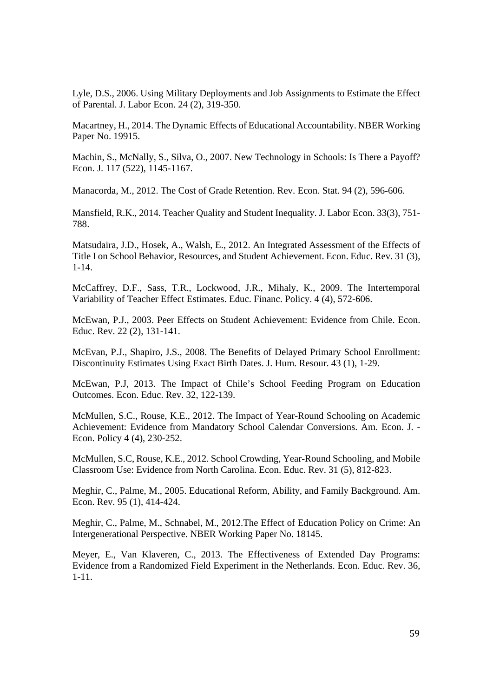Lyle, D.S., 2006. Using Military Deployments and Job Assignments to Estimate the Effect of Parental. J. Labor Econ. 24 (2), 319-350.

Macartney, H., 2014. The Dynamic Effects of Educational Accountability. NBER Working Paper No. 19915.

Machin, S., McNally, S., Silva, O., 2007. New Technology in Schools: Is There a Payoff? Econ. J. 117 (522), 1145-1167.

Manacorda, M., 2012. The Cost of Grade Retention. Rev. Econ. Stat. 94 (2), 596-606.

Mansfield, R.K., 2014. Teacher Quality and Student Inequality. J. Labor Econ. 33(3), 751- 788.

Matsudaira, J.D., Hosek, A., Walsh, E., 2012. An Integrated Assessment of the Effects of Title I on School Behavior, Resources, and Student Achievement. Econ. Educ. Rev. 31 (3), 1-14.

McCaffrey, D.F., Sass, T.R., Lockwood, J.R., Mihaly, K., 2009. The Intertemporal Variability of Teacher Effect Estimates. Educ. Financ. Policy. 4 (4), 572-606.

McEwan, P.J., 2003. Peer Effects on Student Achievement: Evidence from Chile. Econ. Educ. Rev. 22 (2), 131-141.

McEvan, P.J., Shapiro, J.S., 2008. The Benefits of Delayed Primary School Enrollment: Discontinuity Estimates Using Exact Birth Dates. J. Hum. Resour. 43 (1), 1-29.

McEwan, P.J, 2013. The Impact of Chile's School Feeding Program on Education Outcomes. Econ. Educ. Rev. 32, 122-139.

McMullen, S.C., Rouse, K.E., 2012. The Impact of Year-Round Schooling on Academic Achievement: Evidence from Mandatory School Calendar Conversions. Am. Econ. J. - Econ. Policy 4 (4), 230-252.

McMullen, S.C, Rouse, K.E., 2012. School Crowding, Year-Round Schooling, and Mobile Classroom Use: Evidence from North Carolina. Econ. Educ. Rev. 31 (5), 812-823.

Meghir, C., Palme, M., 2005. Educational Reform, Ability, and Family Background. Am. Econ. Rev. 95 (1), 414-424.

Meghir, C., Palme, M., Schnabel, M., 2012.The Effect of Education Policy on Crime: An Intergenerational Perspective. NBER Working Paper No. 18145.

Meyer, E., Van Klaveren, C., 2013. The Effectiveness of Extended Day Programs: Evidence from a Randomized Field Experiment in the Netherlands. Econ. Educ. Rev. 36, 1-11.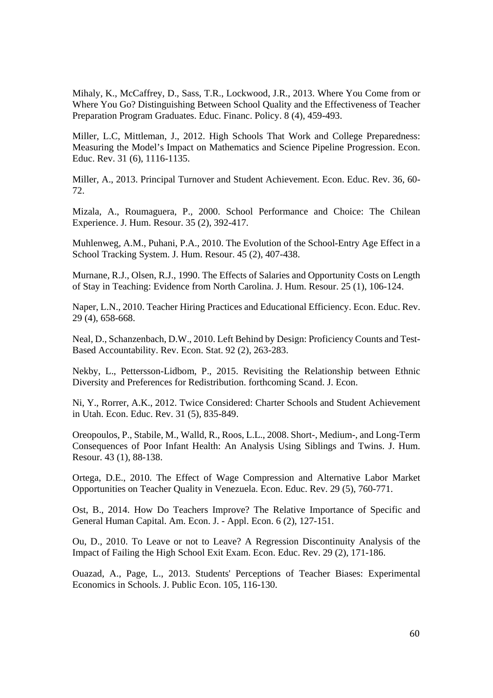Mihaly, K., McCaffrey, D., Sass, T.R., Lockwood, J.R., 2013. Where You Come from or Where You Go? Distinguishing Between School Quality and the Effectiveness of Teacher Preparation Program Graduates. Educ. Financ. Policy. 8 (4), 459-493.

Miller, L.C, Mittleman, J., 2012. High Schools That Work and College Preparedness: Measuring the Model's Impact on Mathematics and Science Pipeline Progression. Econ. Educ. Rev. 31 (6), 1116-1135.

Miller, A., 2013. Principal Turnover and Student Achievement. Econ. Educ. Rev. 36, 60- 72.

Mizala, A., Roumaguera, P., 2000. School Performance and Choice: The Chilean Experience. J. Hum. Resour. 35 (2), 392-417.

Muhlenweg, A.M., Puhani, P.A., 2010. The Evolution of the School-Entry Age Effect in a School Tracking System. J. Hum. Resour. 45 (2), 407-438.

Murnane, R.J., Olsen, R.J., 1990. The Effects of Salaries and Opportunity Costs on Length of Stay in Teaching: Evidence from North Carolina. J. Hum. Resour. 25 (1), 106-124.

Naper, L.N., 2010. Teacher Hiring Practices and Educational Efficiency. Econ. Educ. Rev. 29 (4), 658-668.

Neal, D., Schanzenbach, D.W., 2010. Left Behind by Design: Proficiency Counts and Test-Based Accountability. Rev. Econ. Stat. 92 (2), 263-283.

Nekby, L., Pettersson-Lidbom, P., 2015. Revisiting the Relationship between Ethnic Diversity and Preferences for Redistribution. forthcoming Scand. J. Econ.

Ni, Y., Rorrer, A.K., 2012. Twice Considered: Charter Schools and Student Achievement in Utah. Econ. Educ. Rev. 31 (5), 835-849.

Oreopoulos, P., Stabile, M., Walld, R., Roos, L.L., 2008. Short-, Medium-, and Long-Term Consequences of Poor Infant Health: An Analysis Using Siblings and Twins. J. Hum. Resour. 43 (1), 88-138.

Ortega, D.E., 2010. The Effect of Wage Compression and Alternative Labor Market Opportunities on Teacher Quality in Venezuela. Econ. Educ. Rev. 29 (5), 760-771.

Ost, B., 2014. How Do Teachers Improve? The Relative Importance of Specific and General Human Capital. Am. Econ. J. - Appl. Econ. 6 (2), 127-151.

Ou, D., 2010. To Leave or not to Leave? A Regression Discontinuity Analysis of the Impact of Failing the High School Exit Exam. Econ. Educ. Rev. 29 (2), 171-186.

Ouazad, A., Page, L., 2013. Students' Perceptions of Teacher Biases: Experimental Economics in Schools. J. Public Econ. 105, 116-130.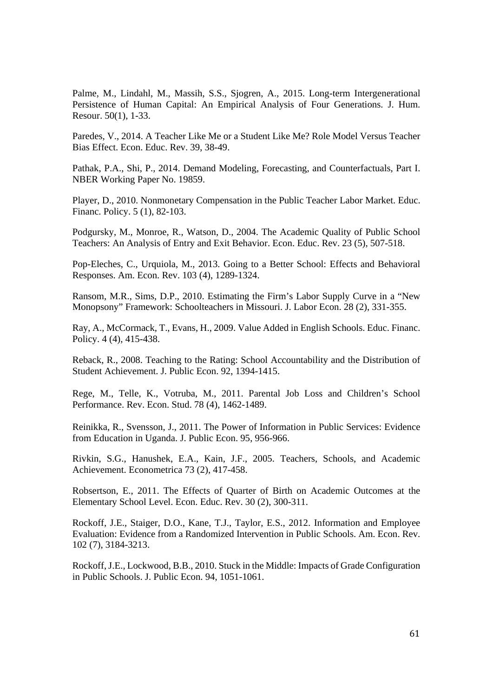Palme, M., Lindahl, M., Massih, S.S., Sjogren, A., 2015. Long-term Intergenerational Persistence of Human Capital: An Empirical Analysis of Four Generations. J. Hum. Resour. 50(1), 1-33.

Paredes, V., 2014. A Teacher Like Me or a Student Like Me? Role Model Versus Teacher Bias Effect. Econ. Educ. Rev. 39, 38-49.

Pathak, P.A., Shi, P., 2014. Demand Modeling, Forecasting, and Counterfactuals, Part I. NBER Working Paper No. 19859.

Player, D., 2010. Nonmonetary Compensation in the Public Teacher Labor Market. Educ. Financ. Policy. 5 (1), 82-103.

Podgursky, M., Monroe, R., Watson, D., 2004. The Academic Quality of Public School Teachers: An Analysis of Entry and Exit Behavior. Econ. Educ. Rev. 23 (5), 507-518.

Pop-Eleches, C., Urquiola, M., 2013. Going to a Better School: Effects and Behavioral Responses. Am. Econ. Rev. 103 (4), 1289-1324.

Ransom, M.R., Sims, D.P., 2010. Estimating the Firm's Labor Supply Curve in a "New Monopsony" Framework: Schoolteachers in Missouri. J. Labor Econ. 28 (2), 331-355.

Ray, A., McCormack, T., Evans, H., 2009. Value Added in English Schools. Educ. Financ. Policy. 4 (4), 415-438.

Reback, R., 2008. Teaching to the Rating: School Accountability and the Distribution of Student Achievement. J. Public Econ. 92, 1394-1415.

Rege, M., Telle, K., Votruba, M., 2011. Parental Job Loss and Children's School Performance. Rev. Econ. Stud. 78 (4), 1462-1489.

Reinikka, R., Svensson, J., 2011. The Power of Information in Public Services: Evidence from Education in Uganda. J. Public Econ. 95, 956-966.

Rivkin, S.G., Hanushek, E.A., Kain, J.F., 2005. Teachers, Schools, and Academic Achievement. Econometrica 73 (2), 417-458.

Robsertson, E., 2011. The Effects of Quarter of Birth on Academic Outcomes at the Elementary School Level. Econ. Educ. Rev. 30 (2), 300-311.

Rockoff, J.E., Staiger, D.O., Kane, T.J., Taylor, E.S., 2012. Information and Employee Evaluation: Evidence from a Randomized Intervention in Public Schools. Am. Econ. Rev. 102 (7), 3184-3213.

Rockoff, J.E., Lockwood, B.B., 2010. Stuck in the Middle: Impacts of Grade Configuration in Public Schools. J. Public Econ. 94, 1051-1061.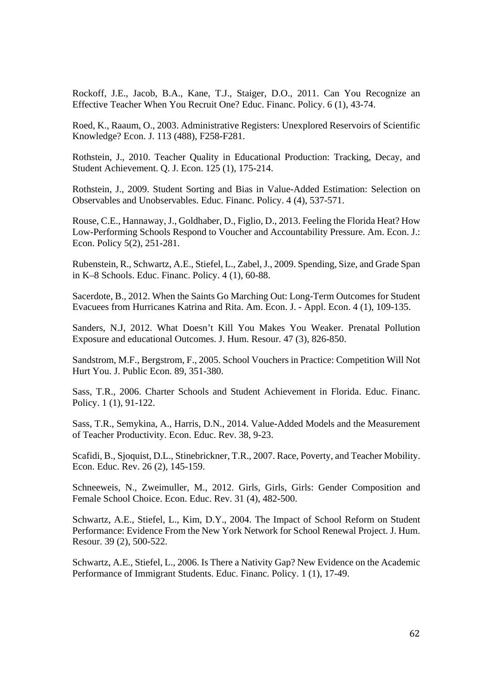Rockoff, J.E., Jacob, B.A., Kane, T.J., Staiger, D.O., 2011. Can You Recognize an Effective Teacher When You Recruit One? Educ. Financ. Policy. 6 (1), 43-74.

Roed, K., Raaum, O., 2003. Administrative Registers: Unexplored Reservoirs of Scientific Knowledge? Econ. J. 113 (488), F258-F281.

Rothstein, J., 2010. Teacher Quality in Educational Production: Tracking, Decay, and Student Achievement. Q. J. Econ. 125 (1), 175-214.

Rothstein, J., 2009. Student Sorting and Bias in Value-Added Estimation: Selection on Observables and Unobservables. Educ. Financ. Policy. 4 (4), 537-571.

Rouse, C.E., Hannaway, J., Goldhaber, D., Figlio, D., 2013. Feeling the Florida Heat? How Low-Performing Schools Respond to Voucher and Accountability Pressure. Am. Econ. J.: Econ. Policy 5(2), 251-281.

Rubenstein, R., Schwartz, A.E., Stiefel, L., Zabel, J., 2009. Spending, Size, and Grade Span in K–8 Schools. Educ. Financ. Policy. 4 (1), 60-88.

Sacerdote, B., 2012. When the Saints Go Marching Out: Long-Term Outcomes for Student Evacuees from Hurricanes Katrina and Rita. Am. Econ. J. - Appl. Econ. 4 (1), 109-135.

Sanders, N.J, 2012. What Doesn't Kill You Makes You Weaker. Prenatal Pollution Exposure and educational Outcomes. J. Hum. Resour. 47 (3), 826-850.

Sandstrom, M.F., Bergstrom, F., 2005. School Vouchers in Practice: Competition Will Not Hurt You. J. Public Econ. 89, 351-380.

Sass, T.R., 2006. Charter Schools and Student Achievement in Florida. Educ. Financ. Policy. 1 (1), 91-122.

Sass, T.R., Semykina, A., Harris, D.N., 2014. Value-Added Models and the Measurement of Teacher Productivity. Econ. Educ. Rev. 38, 9-23.

Scafidi, B., Sjoquist, D.L., Stinebrickner, T.R., 2007. Race, Poverty, and Teacher Mobility. Econ. Educ. Rev. 26 (2), 145-159.

Schneeweis, N., Zweimuller, M., 2012. Girls, Girls, Girls: Gender Composition and Female School Choice. Econ. Educ. Rev. 31 (4), 482-500.

Schwartz, A.E., Stiefel, L., Kim, D.Y., 2004. The Impact of School Reform on Student Performance: Evidence From the New York Network for School Renewal Project. J. Hum. Resour. 39 (2), 500-522.

Schwartz, A.E., Stiefel, L., 2006. Is There a Nativity Gap? New Evidence on the Academic Performance of Immigrant Students. Educ. Financ. Policy. 1 (1), 17-49.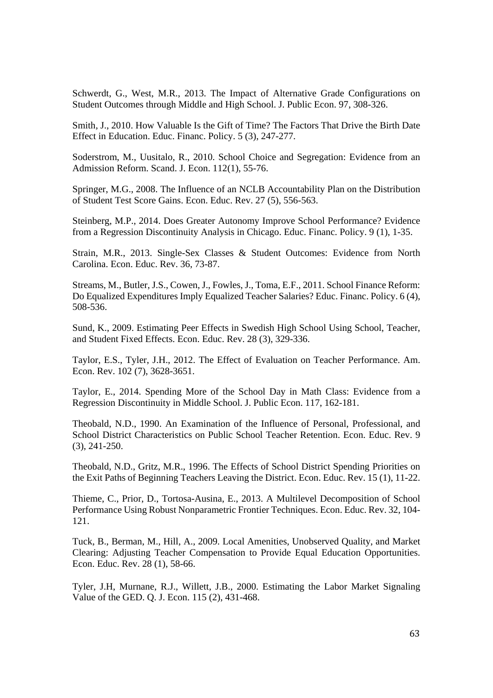Schwerdt, G., West, M.R., 2013. The Impact of Alternative Grade Configurations on Student Outcomes through Middle and High School. J. Public Econ. 97, 308-326.

Smith, J., 2010. How Valuable Is the Gift of Time? The Factors That Drive the Birth Date Effect in Education. Educ. Financ. Policy. 5 (3), 247-277.

Soderstrom, M., Uusitalo, R., 2010. School Choice and Segregation: Evidence from an Admission Reform. Scand. J. Econ. 112(1), 55-76.

Springer, M.G., 2008. The Influence of an NCLB Accountability Plan on the Distribution of Student Test Score Gains. Econ. Educ. Rev. 27 (5), 556-563.

Steinberg, M.P., 2014. Does Greater Autonomy Improve School Performance? Evidence from a Regression Discontinuity Analysis in Chicago. Educ. Financ. Policy. 9 (1), 1-35.

Strain, M.R., 2013. Single-Sex Classes & Student Outcomes: Evidence from North Carolina. Econ. Educ. Rev. 36, 73-87.

Streams, M., Butler, J.S., Cowen, J., Fowles, J., Toma, E.F., 2011. School Finance Reform: Do Equalized Expenditures Imply Equalized Teacher Salaries? Educ. Financ. Policy. 6 (4), 508-536.

Sund, K., 2009. Estimating Peer Effects in Swedish High School Using School, Teacher, and Student Fixed Effects. Econ. Educ. Rev. 28 (3), 329-336.

Taylor, E.S., Tyler, J.H., 2012. The Effect of Evaluation on Teacher Performance. Am. Econ. Rev. 102 (7), 3628-3651.

Taylor, E., 2014. Spending More of the School Day in Math Class: Evidence from a Regression Discontinuity in Middle School. J. Public Econ. 117, 162-181.

Theobald, N.D., 1990. An Examination of the Influence of Personal, Professional, and School District Characteristics on Public School Teacher Retention. Econ. Educ. Rev. 9 (3), 241-250.

Theobald, N.D., Gritz, M.R., 1996. The Effects of School District Spending Priorities on the Exit Paths of Beginning Teachers Leaving the District. Econ. Educ. Rev. 15 (1), 11-22.

Thieme, C., Prior, D., Tortosa-Ausina, E., 2013. A Multilevel Decomposition of School Performance Using Robust Nonparametric Frontier Techniques. Econ. Educ. Rev. 32, 104- 121.

Tuck, B., Berman, M., Hill, A., 2009. Local Amenities, Unobserved Quality, and Market Clearing: Adjusting Teacher Compensation to Provide Equal Education Opportunities. Econ. Educ. Rev. 28 (1), 58-66.

Tyler, J.H, Murnane, R.J., Willett, J.B., 2000. Estimating the Labor Market Signaling Value of the GED. Q. J. Econ. 115 (2), 431-468.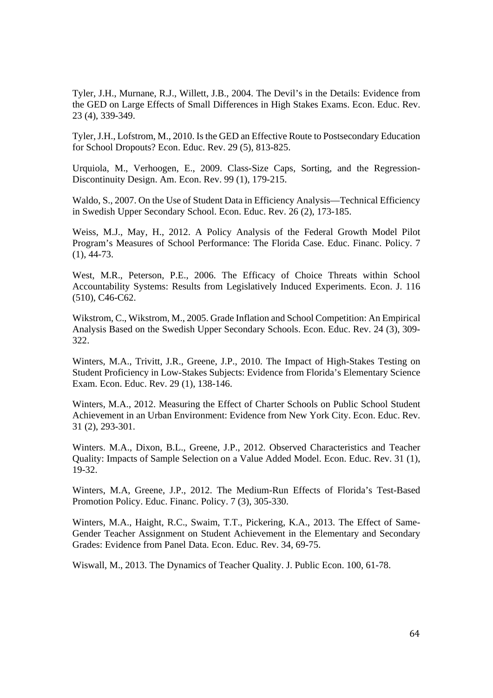Tyler, J.H., Murnane, R.J., Willett, J.B., 2004. The Devil's in the Details: Evidence from the GED on Large Effects of Small Differences in High Stakes Exams. Econ. Educ. Rev. 23 (4), 339-349.

Tyler, J.H., Lofstrom, M., 2010. Is the GED an Effective Route to Postsecondary Education for School Dropouts? Econ. Educ. Rev. 29 (5), 813-825.

Urquiola, M., Verhoogen, E., 2009. Class-Size Caps, Sorting, and the Regression-Discontinuity Design. Am. Econ. Rev. 99 (1), 179-215.

Waldo, S., 2007. On the Use of Student Data in Efficiency Analysis—Technical Efficiency in Swedish Upper Secondary School. Econ. Educ. Rev. 26 (2), 173-185.

Weiss, M.J., May, H., 2012. A Policy Analysis of the Federal Growth Model Pilot Program's Measures of School Performance: The Florida Case. Educ. Financ. Policy. 7 (1), 44-73.

West, M.R., Peterson, P.E., 2006. The Efficacy of Choice Threats within School Accountability Systems: Results from Legislatively Induced Experiments. Econ. J. 116 (510), C46-C62.

Wikstrom, C., Wikstrom, M., 2005. Grade Inflation and School Competition: An Empirical Analysis Based on the Swedish Upper Secondary Schools. Econ. Educ. Rev. 24 (3), 309- 322.

Winters, M.A., Trivitt, J.R., Greene, J.P., 2010. The Impact of High-Stakes Testing on Student Proficiency in Low-Stakes Subjects: Evidence from Florida's Elementary Science Exam. Econ. Educ. Rev. 29 (1), 138-146.

Winters, M.A., 2012. Measuring the Effect of Charter Schools on Public School Student Achievement in an Urban Environment: Evidence from New York City. Econ. Educ. Rev. 31 (2), 293-301.

Winters. M.A., Dixon, B.L., Greene, J.P., 2012. Observed Characteristics and Teacher Quality: Impacts of Sample Selection on a Value Added Model. Econ. Educ. Rev. 31 (1), 19-32.

Winters, M.A, Greene, J.P., 2012. The Medium-Run Effects of Florida's Test-Based Promotion Policy. Educ. Financ. Policy. 7 (3), 305-330.

Winters, M.A., Haight, R.C., Swaim, T.T., Pickering, K.A., 2013. The Effect of Same-Gender Teacher Assignment on Student Achievement in the Elementary and Secondary Grades: Evidence from Panel Data. Econ. Educ. Rev. 34, 69-75.

Wiswall, M., 2013. The Dynamics of Teacher Quality. J. Public Econ. 100, 61-78.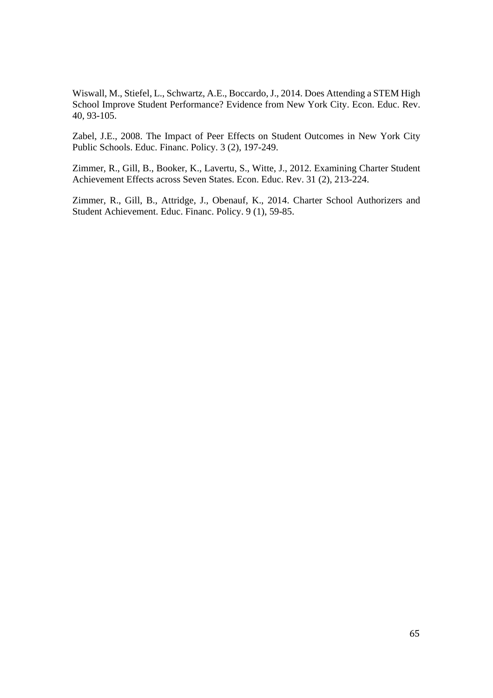Wiswall, M., Stiefel, L., Schwartz, A.E., Boccardo, J., 2014. Does Attending a STEM High School Improve Student Performance? Evidence from New York City. Econ. Educ. Rev. 40, 93-105.

Zabel, J.E., 2008. The Impact of Peer Effects on Student Outcomes in New York City Public Schools. Educ. Financ. Policy. 3 (2), 197-249.

Zimmer, R., Gill, B., Booker, K., Lavertu, S., Witte, J., 2012. Examining Charter Student Achievement Effects across Seven States. Econ. Educ. Rev. 31 (2), 213-224.

Zimmer, R., Gill, B., Attridge, J., Obenauf, K., 2014. Charter School Authorizers and Student Achievement. Educ. Financ. Policy. 9 (1), 59-85.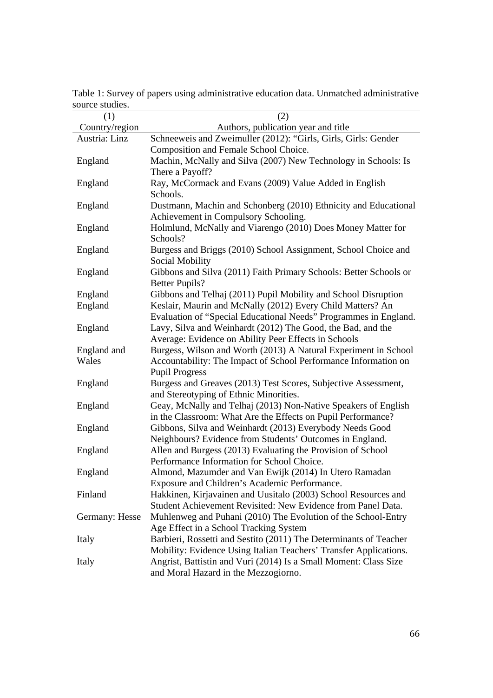| (1)            | (2)                                                               |
|----------------|-------------------------------------------------------------------|
| Country/region | Authors, publication year and title                               |
| Austria: Linz  | Schneeweis and Zweimuller (2012): "Girls, Girls, Girls: Gender    |
|                | Composition and Female School Choice.                             |
| England        | Machin, McNally and Silva (2007) New Technology in Schools: Is    |
|                | There a Payoff?                                                   |
| England        | Ray, McCormack and Evans (2009) Value Added in English            |
|                | Schools.                                                          |
| England        | Dustmann, Machin and Schonberg (2010) Ethnicity and Educational   |
|                | Achievement in Compulsory Schooling.                              |
| England        | Holmlund, McNally and Viarengo (2010) Does Money Matter for       |
|                | Schools?                                                          |
| England        | Burgess and Briggs (2010) School Assignment, School Choice and    |
|                | Social Mobility                                                   |
| England        | Gibbons and Silva (2011) Faith Primary Schools: Better Schools or |
|                | <b>Better Pupils?</b>                                             |
| England        | Gibbons and Telhaj (2011) Pupil Mobility and School Disruption    |
| England        | Keslair, Maurin and McNally (2012) Every Child Matters? An        |
|                | Evaluation of "Special Educational Needs" Programmes in England.  |
| England        | Lavy, Silva and Weinhardt (2012) The Good, the Bad, and the       |
|                | Average: Evidence on Ability Peer Effects in Schools              |
| England and    | Burgess, Wilson and Worth (2013) A Natural Experiment in School   |
| Wales          | Accountability: The Impact of School Performance Information on   |
|                | <b>Pupil Progress</b>                                             |
| England        | Burgess and Greaves (2013) Test Scores, Subjective Assessment,    |
|                | and Stereotyping of Ethnic Minorities.                            |
| England        | Geay, McNally and Telhaj (2013) Non-Native Speakers of English    |
|                | in the Classroom: What Are the Effects on Pupil Performance?      |
| England        | Gibbons, Silva and Weinhardt (2013) Everybody Needs Good          |
|                | Neighbours? Evidence from Students' Outcomes in England.          |
| England        | Allen and Burgess (2013) Evaluating the Provision of School       |
|                | Performance Information for School Choice.                        |
| England        | Almond, Mazumder and Van Ewijk (2014) In Utero Ramadan            |
|                | Exposure and Children's Academic Performance.                     |
| Finland        | Hakkinen, Kirjavainen and Uusitalo (2003) School Resources and    |
|                | Student Achievement Revisited: New Evidence from Panel Data.      |
| Germany: Hesse | Muhlenweg and Puhani (2010) The Evolution of the School-Entry     |
|                | Age Effect in a School Tracking System                            |
| Italy          | Barbieri, Rossetti and Sestito (2011) The Determinants of Teacher |
|                | Mobility: Evidence Using Italian Teachers' Transfer Applications. |
| Italy          | Angrist, Battistin and Vuri (2014) Is a Small Moment: Class Size  |
|                | and Moral Hazard in the Mezzogiorno.                              |

Table 1: Survey of papers using administrative education data. Unmatched administrative source studies. L,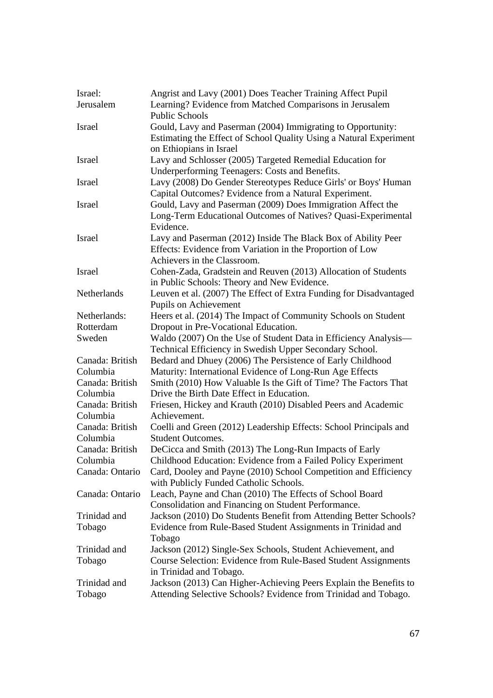| Israel:         | Angrist and Lavy (2001) Does Teacher Training Affect Pupil         |
|-----------------|--------------------------------------------------------------------|
| Jerusalem       | Learning? Evidence from Matched Comparisons in Jerusalem           |
|                 | <b>Public Schools</b>                                              |
| Israel          | Gould, Lavy and Paserman (2004) Immigrating to Opportunity:        |
|                 | Estimating the Effect of School Quality Using a Natural Experiment |
|                 | on Ethiopians in Israel                                            |
| Israel          | Lavy and Schlosser (2005) Targeted Remedial Education for          |
|                 | Underperforming Teenagers: Costs and Benefits.                     |
| Israel          | Lavy (2008) Do Gender Stereotypes Reduce Girls' or Boys' Human     |
|                 | Capital Outcomes? Evidence from a Natural Experiment.              |
| Israel          | Gould, Lavy and Paserman (2009) Does Immigration Affect the        |
|                 | Long-Term Educational Outcomes of Natives? Quasi-Experimental      |
|                 | Evidence.                                                          |
| Israel          | Lavy and Paserman (2012) Inside The Black Box of Ability Peer      |
|                 | Effects: Evidence from Variation in the Proportion of Low          |
|                 | Achievers in the Classroom.                                        |
| Israel          | Cohen-Zada, Gradstein and Reuven (2013) Allocation of Students     |
|                 | in Public Schools: Theory and New Evidence.                        |
| Netherlands     | Leuven et al. (2007) The Effect of Extra Funding for Disadvantaged |
|                 | Pupils on Achievement                                              |
| Netherlands:    | Heers et al. (2014) The Impact of Community Schools on Student     |
| Rotterdam       | Dropout in Pre-Vocational Education.                               |
| Sweden          | Waldo (2007) On the Use of Student Data in Efficiency Analysis-    |
|                 | Technical Efficiency in Swedish Upper Secondary School.            |
| Canada: British | Bedard and Dhuey (2006) The Persistence of Early Childhood         |
| Columbia        | Maturity: International Evidence of Long-Run Age Effects           |
| Canada: British | Smith (2010) How Valuable Is the Gift of Time? The Factors That    |
| Columbia        | Drive the Birth Date Effect in Education.                          |
| Canada: British | Friesen, Hickey and Krauth (2010) Disabled Peers and Academic      |
| Columbia        | Achievement.                                                       |
| Canada: British | Coelli and Green (2012) Leadership Effects: School Principals and  |
| Columbia        | <b>Student Outcomes.</b>                                           |
| Canada: British | DeCicca and Smith (2013) The Long-Run Impacts of Early             |
| Columbia        | Childhood Education: Evidence from a Failed Policy Experiment      |
| Canada: Ontario | Card, Dooley and Payne (2010) School Competition and Efficiency    |
|                 | with Publicly Funded Catholic Schools.                             |
| Canada: Ontario | Leach, Payne and Chan (2010) The Effects of School Board           |
|                 | Consolidation and Financing on Student Performance.                |
| Trinidad and    | Jackson (2010) Do Students Benefit from Attending Better Schools?  |
| Tobago          | Evidence from Rule-Based Student Assignments in Trinidad and       |
|                 | Tobago                                                             |
| Trinidad and    | Jackson (2012) Single-Sex Schools, Student Achievement, and        |
| Tobago          | Course Selection: Evidence from Rule-Based Student Assignments     |
|                 | in Trinidad and Tobago.                                            |
| Trinidad and    | Jackson (2013) Can Higher-Achieving Peers Explain the Benefits to  |
| Tobago          | Attending Selective Schools? Evidence from Trinidad and Tobago.    |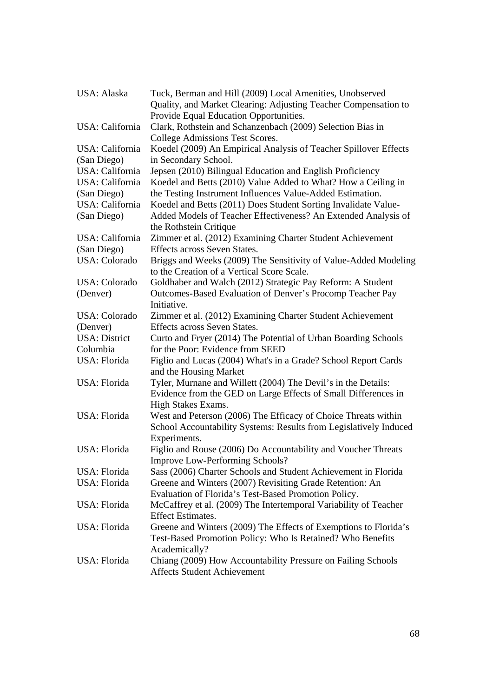| USA: Alaska           | Tuck, Berman and Hill (2009) Local Amenities, Unobserved          |
|-----------------------|-------------------------------------------------------------------|
|                       | Quality, and Market Clearing: Adjusting Teacher Compensation to   |
|                       | Provide Equal Education Opportunities.                            |
| USA: California       | Clark, Rothstein and Schanzenbach (2009) Selection Bias in        |
|                       | College Admissions Test Scores.                                   |
| USA: California       | Koedel (2009) An Empirical Analysis of Teacher Spillover Effects  |
| (San Diego)           | in Secondary School.                                              |
| USA: California       | Jepsen (2010) Bilingual Education and English Proficiency         |
| USA: California       | Koedel and Betts (2010) Value Added to What? How a Ceiling in     |
| (San Diego)           | the Testing Instrument Influences Value-Added Estimation.         |
| USA: California       | Koedel and Betts (2011) Does Student Sorting Invalidate Value-    |
| (San Diego)           | Added Models of Teacher Effectiveness? An Extended Analysis of    |
|                       | the Rothstein Critique                                            |
| USA: California       | Zimmer et al. (2012) Examining Charter Student Achievement        |
| (San Diego)           | <b>Effects across Seven States.</b>                               |
| <b>USA: Colorado</b>  | Briggs and Weeks (2009) The Sensitivity of Value-Added Modeling   |
|                       | to the Creation of a Vertical Score Scale.                        |
| <b>USA</b> : Colorado | Goldhaber and Walch (2012) Strategic Pay Reform: A Student        |
| (Denver)              | Outcomes-Based Evaluation of Denver's Procomp Teacher Pay         |
|                       | Initiative.                                                       |
| <b>USA: Colorado</b>  | Zimmer et al. (2012) Examining Charter Student Achievement        |
| (Denver)              | Effects across Seven States.                                      |
| <b>USA</b> : District | Curto and Fryer (2014) The Potential of Urban Boarding Schools    |
| Columbia              | for the Poor: Evidence from SEED                                  |
| USA: Florida          | Figlio and Lucas (2004) What's in a Grade? School Report Cards    |
|                       | and the Housing Market                                            |
| USA: Florida          | Tyler, Murnane and Willett (2004) The Devil's in the Details:     |
|                       | Evidence from the GED on Large Effects of Small Differences in    |
|                       | High Stakes Exams.                                                |
| USA: Florida          | West and Peterson (2006) The Efficacy of Choice Threats within    |
|                       | School Accountability Systems: Results from Legislatively Induced |
|                       | Experiments.                                                      |
| USA: Florida          | Figlio and Rouse (2006) Do Accountability and Voucher Threats     |
|                       | <b>Improve Low-Performing Schools?</b>                            |
| USA: Florida          | Sass (2006) Charter Schools and Student Achievement in Florida    |
| USA: Florida          | Greene and Winters (2007) Revisiting Grade Retention: An          |
|                       | Evaluation of Florida's Test-Based Promotion Policy.              |
| USA: Florida          | McCaffrey et al. (2009) The Intertemporal Variability of Teacher  |
|                       | <b>Effect Estimates.</b>                                          |
| USA: Florida          | Greene and Winters (2009) The Effects of Exemptions to Florida's  |
|                       | Test-Based Promotion Policy: Who Is Retained? Who Benefits        |
|                       | Academically?                                                     |
| USA: Florida          | Chiang (2009) How Accountability Pressure on Failing Schools      |
|                       | <b>Affects Student Achievement</b>                                |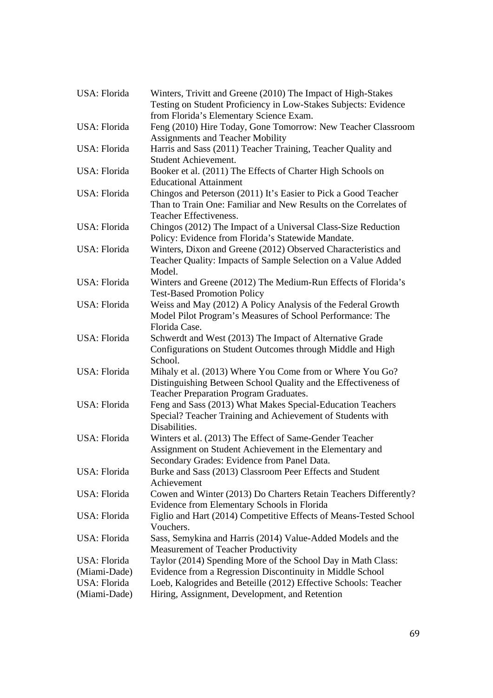| USA: Florida        | Winters, Trivitt and Greene (2010) The Impact of High-Stakes<br>Testing on Student Proficiency in Low-Stakes Subjects: Evidence                              |
|---------------------|--------------------------------------------------------------------------------------------------------------------------------------------------------------|
|                     | from Florida's Elementary Science Exam.                                                                                                                      |
| USA: Florida        | Feng (2010) Hire Today, Gone Tomorrow: New Teacher Classroom                                                                                                 |
| USA: Florida        | <b>Assignments and Teacher Mobility</b>                                                                                                                      |
|                     | Harris and Sass (2011) Teacher Training, Teacher Quality and<br>Student Achievement.                                                                         |
|                     |                                                                                                                                                              |
| USA: Florida        | Booker et al. (2011) The Effects of Charter High Schools on                                                                                                  |
|                     | <b>Educational Attainment</b>                                                                                                                                |
| USA: Florida        | Chingos and Peterson (2011) It's Easier to Pick a Good Teacher<br>Than to Train One: Familiar and New Results on the Correlates of<br>Teacher Effectiveness. |
| USA: Florida        | Chingos (2012) The Impact of a Universal Class-Size Reduction                                                                                                |
|                     | Policy: Evidence from Florida's Statewide Mandate.                                                                                                           |
| <b>USA: Florida</b> | Winters, Dixon and Greene (2012) Observed Characteristics and                                                                                                |
|                     | Teacher Quality: Impacts of Sample Selection on a Value Added<br>Model.                                                                                      |
| USA: Florida        | Winters and Greene (2012) The Medium-Run Effects of Florida's                                                                                                |
|                     |                                                                                                                                                              |
| USA: Florida        | <b>Test-Based Promotion Policy</b>                                                                                                                           |
|                     | Weiss and May (2012) A Policy Analysis of the Federal Growth<br>Model Pilot Program's Measures of School Performance: The                                    |
|                     | Florida Case.                                                                                                                                                |
|                     |                                                                                                                                                              |
| USA: Florida        | Schwerdt and West (2013) The Impact of Alternative Grade                                                                                                     |
|                     | Configurations on Student Outcomes through Middle and High<br>School.                                                                                        |
| USA: Florida        | Mihaly et al. (2013) Where You Come from or Where You Go?                                                                                                    |
|                     | Distinguishing Between School Quality and the Effectiveness of                                                                                               |
|                     | Teacher Preparation Program Graduates.                                                                                                                       |
| USA: Florida        | Feng and Sass (2013) What Makes Special-Education Teachers                                                                                                   |
|                     | Special? Teacher Training and Achievement of Students with                                                                                                   |
|                     | Disabilities.                                                                                                                                                |
| USA: Florida        | Winters et al. (2013) The Effect of Same-Gender Teacher                                                                                                      |
|                     | Assignment on Student Achievement in the Elementary and                                                                                                      |
|                     | Secondary Grades: Evidence from Panel Data.                                                                                                                  |
| USA: Florida        | Burke and Sass (2013) Classroom Peer Effects and Student                                                                                                     |
|                     | Achievement                                                                                                                                                  |
| USA: Florida        | Cowen and Winter (2013) Do Charters Retain Teachers Differently?                                                                                             |
|                     | Evidence from Elementary Schools in Florida                                                                                                                  |
| USA: Florida        | Figlio and Hart (2014) Competitive Effects of Means-Tested School                                                                                            |
|                     | Vouchers.                                                                                                                                                    |
| USA: Florida        | Sass, Semykina and Harris (2014) Value-Added Models and the                                                                                                  |
|                     | <b>Measurement of Teacher Productivity</b>                                                                                                                   |
| USA: Florida        | Taylor (2014) Spending More of the School Day in Math Class:                                                                                                 |
| (Miami-Dade)        | Evidence from a Regression Discontinuity in Middle School                                                                                                    |
| USA: Florida        | Loeb, Kalogrides and Beteille (2012) Effective Schools: Teacher                                                                                              |
| (Miami-Dade)        | Hiring, Assignment, Development, and Retention                                                                                                               |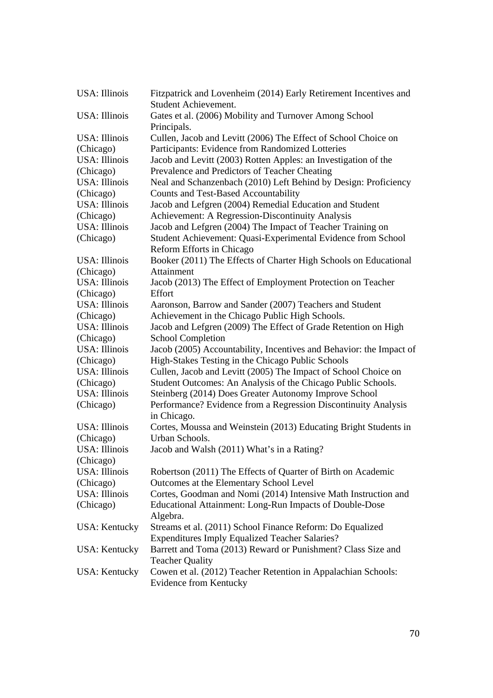| <b>USA: Illinois</b>  | Fitzpatrick and Lovenheim (2014) Early Retirement Incentives and<br><b>Student Achievement.</b> |
|-----------------------|-------------------------------------------------------------------------------------------------|
| <b>USA: Illinois</b>  | Gates et al. (2006) Mobility and Turnover Among School                                          |
|                       | Principals.                                                                                     |
| <b>USA</b> : Illinois | Cullen, Jacob and Levitt (2006) The Effect of School Choice on                                  |
| (Chicago)             | Participants: Evidence from Randomized Lotteries                                                |
| <b>USA</b> : Illinois | Jacob and Levitt (2003) Rotten Apples: an Investigation of the                                  |
| (Chicago)             | Prevalence and Predictors of Teacher Cheating                                                   |
| <b>USA: Illinois</b>  | Neal and Schanzenbach (2010) Left Behind by Design: Proficiency                                 |
| (Chicago)             | <b>Counts and Test-Based Accountability</b>                                                     |
| <b>USA</b> : Illinois | Jacob and Lefgren (2004) Remedial Education and Student                                         |
| (Chicago)             | Achievement: A Regression-Discontinuity Analysis                                                |
| <b>USA</b> : Illinois | Jacob and Lefgren (2004) The Impact of Teacher Training on                                      |
| (Chicago)             | Student Achievement: Quasi-Experimental Evidence from School                                    |
|                       | Reform Efforts in Chicago                                                                       |
| <b>USA</b> : Illinois | Booker (2011) The Effects of Charter High Schools on Educational                                |
| (Chicago)             | Attainment                                                                                      |
| <b>USA</b> : Illinois | Jacob (2013) The Effect of Employment Protection on Teacher                                     |
| (Chicago)             | Effort                                                                                          |
| <b>USA</b> : Illinois | Aaronson, Barrow and Sander (2007) Teachers and Student                                         |
| (Chicago)             | Achievement in the Chicago Public High Schools.                                                 |
| <b>USA</b> : Illinois | Jacob and Lefgren (2009) The Effect of Grade Retention on High                                  |
| (Chicago)             | <b>School Completion</b>                                                                        |
| <b>USA: Illinois</b>  | Jacob (2005) Accountability, Incentives and Behavior: the Impact of                             |
| (Chicago)             | High-Stakes Testing in the Chicago Public Schools                                               |
| <b>USA</b> : Illinois | Cullen, Jacob and Levitt (2005) The Impact of School Choice on                                  |
| (Chicago)             | Student Outcomes: An Analysis of the Chicago Public Schools.                                    |
| <b>USA</b> : Illinois | Steinberg (2014) Does Greater Autonomy Improve School                                           |
| (Chicago)             | Performance? Evidence from a Regression Discontinuity Analysis                                  |
|                       | in Chicago.                                                                                     |
| <b>USA: Illinois</b>  | Cortes, Moussa and Weinstein (2013) Educating Bright Students in                                |
| (Chicago)             | Urban Schools.                                                                                  |
| <b>USA: Illinois</b>  | Jacob and Walsh (2011) What's in a Rating?                                                      |
| (Chicago)             |                                                                                                 |
| USA: Illinois         | Robertson (2011) The Effects of Quarter of Birth on Academic                                    |
| (Chicago)             | Outcomes at the Elementary School Level                                                         |
| USA: Illinois         | Cortes, Goodman and Nomi (2014) Intensive Math Instruction and                                  |
| (Chicago)             | Educational Attainment: Long-Run Impacts of Double-Dose                                         |
|                       | Algebra.                                                                                        |
| <b>USA: Kentucky</b>  | Streams et al. (2011) School Finance Reform: Do Equalized                                       |
|                       | <b>Expenditures Imply Equalized Teacher Salaries?</b>                                           |
| <b>USA: Kentucky</b>  | Barrett and Toma (2013) Reward or Punishment? Class Size and                                    |
|                       | <b>Teacher Quality</b>                                                                          |
| <b>USA:</b> Kentucky  | Cowen et al. (2012) Teacher Retention in Appalachian Schools:                                   |
|                       | Evidence from Kentucky                                                                          |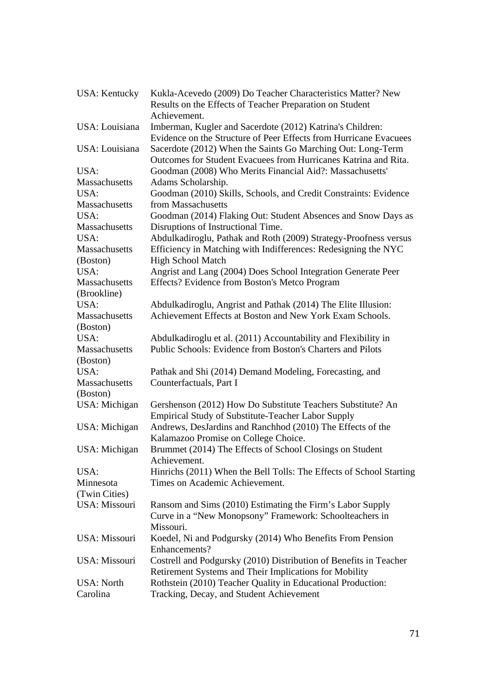| <b>USA: Kentucky</b> | Kukla-Acevedo (2009) Do Teacher Characteristics Matter? New<br>Results on the Effects of Teacher Preparation on Student        |
|----------------------|--------------------------------------------------------------------------------------------------------------------------------|
|                      | Achievement.                                                                                                                   |
| USA: Louisiana       | Imberman, Kugler and Sacerdote (2012) Katrina's Children:                                                                      |
|                      | Evidence on the Structure of Peer Effects from Hurricane Evacuees                                                              |
| USA: Louisiana       | Sacerdote (2012) When the Saints Go Marching Out: Long-Term<br>Outcomes for Student Evacuees from Hurricanes Katrina and Rita. |
| USA:                 | Goodman (2008) Who Merits Financial Aid?: Massachusetts'                                                                       |
| Massachusetts        | Adams Scholarship.                                                                                                             |
| USA:                 | Goodman (2010) Skills, Schools, and Credit Constraints: Evidence                                                               |
| Massachusetts        | from Massachusetts                                                                                                             |
| USA:                 | Goodman (2014) Flaking Out: Student Absences and Snow Days as                                                                  |
| Massachusetts        | Disruptions of Instructional Time.                                                                                             |
| USA:                 | Abdulkadiroglu, Pathak and Roth (2009) Strategy-Proofness versus                                                               |
| Massachusetts        | Efficiency in Matching with Indifferences: Redesigning the NYC                                                                 |
| (Boston)             | High School Match                                                                                                              |
| USA:                 | Angrist and Lang (2004) Does School Integration Generate Peer                                                                  |
| Massachusetts        | Effects? Evidence from Boston's Metco Program                                                                                  |
| (Brookline)          |                                                                                                                                |
| USA:                 | Abdulkadiroglu, Angrist and Pathak (2014) The Elite Illusion:                                                                  |
| Massachusetts        | Achievement Effects at Boston and New York Exam Schools.                                                                       |
| (Boston)             |                                                                                                                                |
| USA:                 | Abdulkadiroglu et al. (2011) Accountability and Flexibility in                                                                 |
| Massachusetts        | Public Schools: Evidence from Boston's Charters and Pilots                                                                     |
| (Boston)             |                                                                                                                                |
| USA:                 | Pathak and Shi (2014) Demand Modeling, Forecasting, and                                                                        |
| Massachusetts        | Counterfactuals, Part I                                                                                                        |
| (Boston)             |                                                                                                                                |
| USA: Michigan        | Gershenson (2012) How Do Substitute Teachers Substitute? An                                                                    |
|                      | <b>Empirical Study of Substitute-Teacher Labor Supply</b>                                                                      |
| USA: Michigan        | Andrews, DesJardins and Ranchhod (2010) The Effects of the                                                                     |
|                      | Kalamazoo Promise on College Choice.                                                                                           |
| USA: Michigan        | Brummet (2014) The Effects of School Closings on Student                                                                       |
|                      | Achievement.                                                                                                                   |
| USA:                 | Hinrichs (2011) When the Bell Tolls: The Effects of School Starting                                                            |
| Minnesota            | Times on Academic Achievement.                                                                                                 |
| (Twin Cities)        |                                                                                                                                |
| <b>USA: Missouri</b> | Ransom and Sims (2010) Estimating the Firm's Labor Supply                                                                      |
|                      | Curve in a "New Monopsony" Framework: Schoolteachers in                                                                        |
|                      | Missouri.                                                                                                                      |
| USA: Missouri        | Koedel, Ni and Podgursky (2014) Who Benefits From Pension                                                                      |
|                      | Enhancements?                                                                                                                  |
| USA: Missouri        | Costrell and Podgursky (2010) Distribution of Benefits in Teacher                                                              |
|                      | Retirement Systems and Their Implications for Mobility                                                                         |
| <b>USA: North</b>    | Rothstein (2010) Teacher Quality in Educational Production:                                                                    |
| Carolina             | Tracking, Decay, and Student Achievement                                                                                       |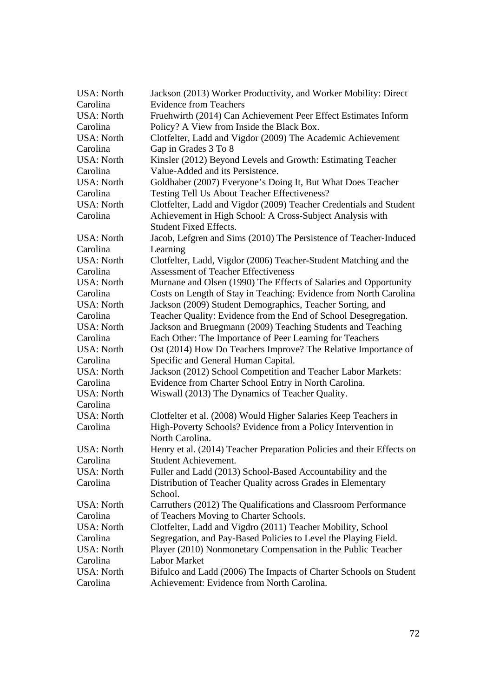| <b>USA: North</b> | Jackson (2013) Worker Productivity, and Worker Mobility: Direct                            |
|-------------------|--------------------------------------------------------------------------------------------|
| Carolina          | <b>Evidence from Teachers</b>                                                              |
| <b>USA: North</b> | Fruehwirth (2014) Can Achievement Peer Effect Estimates Inform                             |
| Carolina          | Policy? A View from Inside the Black Box.                                                  |
| <b>USA: North</b> | Clotfelter, Ladd and Vigdor (2009) The Academic Achievement                                |
| Carolina          | Gap in Grades 3 To 8                                                                       |
| <b>USA: North</b> | Kinsler (2012) Beyond Levels and Growth: Estimating Teacher                                |
| Carolina          | Value-Added and its Persistence.                                                           |
| <b>USA: North</b> | Goldhaber (2007) Everyone's Doing It, But What Does Teacher                                |
| Carolina          | <b>Testing Tell Us About Teacher Effectiveness?</b>                                        |
| <b>USA: North</b> | Clotfelter, Ladd and Vigdor (2009) Teacher Credentials and Student                         |
| Carolina          | Achievement in High School: A Cross-Subject Analysis with<br><b>Student Fixed Effects.</b> |
| USA: North        | Jacob, Lefgren and Sims (2010) The Persistence of Teacher-Induced                          |
| Carolina          | Learning                                                                                   |
| <b>USA: North</b> | Clotfelter, Ladd, Vigdor (2006) Teacher-Student Matching and the                           |
| Carolina          | <b>Assessment of Teacher Effectiveness</b>                                                 |
| <b>USA: North</b> | Murnane and Olsen (1990) The Effects of Salaries and Opportunity                           |
| Carolina          | Costs on Length of Stay in Teaching: Evidence from North Carolina                          |
| <b>USA: North</b> | Jackson (2009) Student Demographics, Teacher Sorting, and                                  |
| Carolina          | Teacher Quality: Evidence from the End of School Desegregation.                            |
| <b>USA: North</b> | Jackson and Bruegmann (2009) Teaching Students and Teaching                                |
| Carolina          | Each Other: The Importance of Peer Learning for Teachers                                   |
| <b>USA: North</b> | Ost (2014) How Do Teachers Improve? The Relative Importance of                             |
| Carolina          | Specific and General Human Capital.                                                        |
| <b>USA: North</b> | Jackson (2012) School Competition and Teacher Labor Markets:                               |
| Carolina          | Evidence from Charter School Entry in North Carolina.                                      |
| <b>USA: North</b> | Wiswall (2013) The Dynamics of Teacher Quality.                                            |
| Carolina          |                                                                                            |
| <b>USA: North</b> | Clotfelter et al. (2008) Would Higher Salaries Keep Teachers in                            |
| Carolina          | High-Poverty Schools? Evidence from a Policy Intervention in<br>North Carolina.            |
| <b>USA: North</b> | Henry et al. (2014) Teacher Preparation Policies and their Effects on                      |
| Carolina          | Student Achievement.                                                                       |
| USA: North        | Fuller and Ladd (2013) School-Based Accountability and the                                 |
| Carolina          | Distribution of Teacher Quality across Grades in Elementary<br>School.                     |
| USA: North        | Carruthers (2012) The Qualifications and Classroom Performance                             |
| Carolina          | of Teachers Moving to Charter Schools.                                                     |
| <b>USA: North</b> | Clotfelter, Ladd and Vigdro (2011) Teacher Mobility, School                                |
| Carolina          | Segregation, and Pay-Based Policies to Level the Playing Field.                            |
| <b>USA: North</b> | Player (2010) Nonmonetary Compensation in the Public Teacher                               |
| Carolina          | Labor Market                                                                               |
| <b>USA: North</b> | Bifulco and Ladd (2006) The Impacts of Charter Schools on Student                          |
| Carolina          | Achievement: Evidence from North Carolina.                                                 |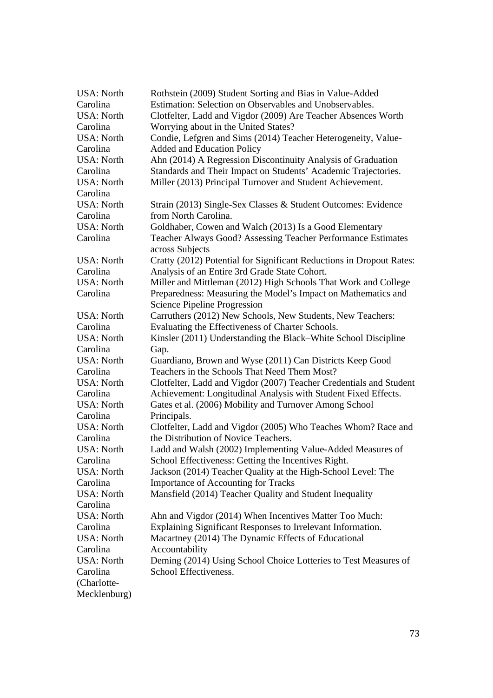| <b>USA: North</b> | Rothstein (2009) Student Sorting and Bias in Value-Added             |
|-------------------|----------------------------------------------------------------------|
| Carolina          | Estimation: Selection on Observables and Unobservables.              |
| <b>USA: North</b> | Clotfelter, Ladd and Vigdor (2009) Are Teacher Absences Worth        |
| Carolina          | Worrying about in the United States?                                 |
| <b>USA: North</b> | Condie, Lefgren and Sims (2014) Teacher Heterogeneity, Value-        |
| Carolina          | <b>Added and Education Policy</b>                                    |
| USA: North        | Ahn (2014) A Regression Discontinuity Analysis of Graduation         |
| Carolina          | Standards and Their Impact on Students' Academic Trajectories.       |
| <b>USA: North</b> | Miller (2013) Principal Turnover and Student Achievement.            |
| Carolina          |                                                                      |
| <b>USA: North</b> | Strain (2013) Single-Sex Classes & Student Outcomes: Evidence        |
| Carolina          | from North Carolina.                                                 |
| <b>USA: North</b> | Goldhaber, Cowen and Walch (2013) Is a Good Elementary               |
| Carolina          | Teacher Always Good? Assessing Teacher Performance Estimates         |
|                   | across Subjects                                                      |
| <b>USA: North</b> | Cratty (2012) Potential for Significant Reductions in Dropout Rates: |
| Carolina          | Analysis of an Entire 3rd Grade State Cohort.                        |
| <b>USA: North</b> | Miller and Mittleman (2012) High Schools That Work and College       |
| Carolina          | Preparedness: Measuring the Model's Impact on Mathematics and        |
|                   | <b>Science Pipeline Progression</b>                                  |
| <b>USA: North</b> | Carruthers (2012) New Schools, New Students, New Teachers:           |
| Carolina          | Evaluating the Effectiveness of Charter Schools.                     |
| <b>USA: North</b> | Kinsler (2011) Understanding the Black–White School Discipline       |
| Carolina          | Gap.                                                                 |
| <b>USA: North</b> | Guardiano, Brown and Wyse (2011) Can Districts Keep Good             |
| Carolina          | Teachers in the Schools That Need Them Most?                         |
| <b>USA: North</b> | Clotfelter, Ladd and Vigdor (2007) Teacher Credentials and Student   |
| Carolina          | Achievement: Longitudinal Analysis with Student Fixed Effects.       |
| <b>USA: North</b> | Gates et al. (2006) Mobility and Turnover Among School               |
| Carolina          | Principals.                                                          |
| <b>USA: North</b> | Clotfelter, Ladd and Vigdor (2005) Who Teaches Whom? Race and        |
| Carolina          | the Distribution of Novice Teachers.                                 |
| <b>USA: North</b> | Ladd and Walsh (2002) Implementing Value-Added Measures of           |
| Carolina          | School Effectiveness: Getting the Incentives Right.                  |
| USA: North        | Jackson (2014) Teacher Quality at the High-School Level: The         |
| Carolina          | <b>Importance of Accounting for Tracks</b>                           |
| <b>USA: North</b> | Mansfield (2014) Teacher Quality and Student Inequality              |
| Carolina          |                                                                      |
| <b>USA: North</b> | Ahn and Vigdor (2014) When Incentives Matter Too Much:               |
| Carolina          | Explaining Significant Responses to Irrelevant Information.          |
| <b>USA: North</b> | Macartney (2014) The Dynamic Effects of Educational                  |
| Carolina          | Accountability                                                       |
| <b>USA: North</b> | Deming (2014) Using School Choice Lotteries to Test Measures of      |
| Carolina          | School Effectiveness.                                                |
| (Charlotte-       |                                                                      |
| Mecklenburg)      |                                                                      |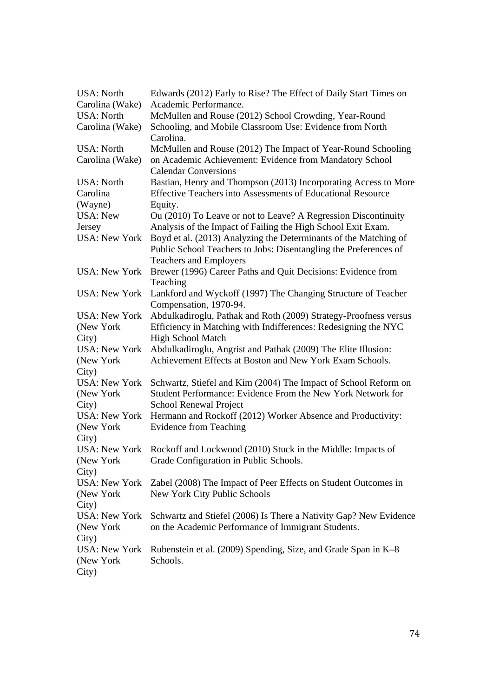| <b>USA: North</b>    | Edwards (2012) Early to Rise? The Effect of Daily Start Times on          |
|----------------------|---------------------------------------------------------------------------|
| Carolina (Wake)      | Academic Performance.                                                     |
| <b>USA: North</b>    | McMullen and Rouse (2012) School Crowding, Year-Round                     |
| Carolina (Wake)      | Schooling, and Mobile Classroom Use: Evidence from North                  |
|                      | Carolina.                                                                 |
| <b>USA: North</b>    | McMullen and Rouse (2012) The Impact of Year-Round Schooling              |
| Carolina (Wake)      | on Academic Achievement: Evidence from Mandatory School                   |
|                      | <b>Calendar Conversions</b>                                               |
| <b>USA: North</b>    | Bastian, Henry and Thompson (2013) Incorporating Access to More           |
| Carolina             | Effective Teachers into Assessments of Educational Resource               |
| (Wayne)              | Equity.                                                                   |
| <b>USA: New</b>      | Ou (2010) To Leave or not to Leave? A Regression Discontinuity            |
| Jersey               | Analysis of the Impact of Failing the High School Exit Exam.              |
| <b>USA: New York</b> | Boyd et al. (2013) Analyzing the Determinants of the Matching of          |
|                      | Public School Teachers to Jobs: Disentangling the Preferences of          |
|                      | <b>Teachers and Employers</b>                                             |
| <b>USA: New York</b> | Brewer (1996) Career Paths and Quit Decisions: Evidence from              |
|                      | Teaching                                                                  |
| <b>USA: New York</b> | Lankford and Wyckoff (1997) The Changing Structure of Teacher             |
|                      | Compensation, 1970-94.                                                    |
| <b>USA: New York</b> | Abdulkadiroglu, Pathak and Roth (2009) Strategy-Proofness versus          |
| (New York            | Efficiency in Matching with Indifferences: Redesigning the NYC            |
| City)                | <b>High School Match</b>                                                  |
| <b>USA: New York</b> | Abdulkadiroglu, Angrist and Pathak (2009) The Elite Illusion:             |
| (New York)           | Achievement Effects at Boston and New York Exam Schools.                  |
| City)                |                                                                           |
| <b>USA: New York</b> | Schwartz, Stiefel and Kim (2004) The Impact of School Reform on           |
| (New York)           | Student Performance: Evidence From the New York Network for               |
| City)                | School Renewal Project                                                    |
| <b>USA: New York</b> | Hermann and Rockoff (2012) Worker Absence and Productivity:               |
| (New York)           | <b>Evidence from Teaching</b>                                             |
| City)                |                                                                           |
|                      | USA: New York Rockoff and Lockwood (2010) Stuck in the Middle: Impacts of |
| (New York            | Grade Configuration in Public Schools.                                    |
| City)                |                                                                           |
| <b>USA: New York</b> | Zabel (2008) The Impact of Peer Effects on Student Outcomes in            |
| (New York            | New York City Public Schools                                              |
| City)                |                                                                           |
| <b>USA: New York</b> | Schwartz and Stiefel (2006) Is There a Nativity Gap? New Evidence         |
| (New York)           | on the Academic Performance of Immigrant Students.                        |
| City)                |                                                                           |
| <b>USA: New York</b> | Rubenstein et al. (2009) Spending, Size, and Grade Span in K-8            |
| (New York)           | Schools.                                                                  |
| City)                |                                                                           |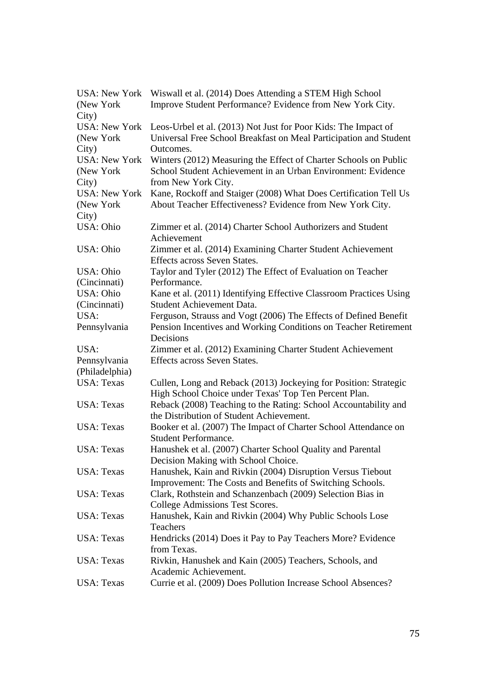| <b>USA: New York</b><br>Wiswall et al. (2014) Does Attending a STEM High School          |  |
|------------------------------------------------------------------------------------------|--|
| Improve Student Performance? Evidence from New York City.<br>(New York)                  |  |
| City)                                                                                    |  |
| <b>USA: New York</b><br>Leos-Urbel et al. (2013) Not Just for Poor Kids: The Impact of   |  |
| Universal Free School Breakfast on Meal Participation and Student<br>(New York           |  |
| City)<br>Outcomes.                                                                       |  |
| <b>USA: New York</b><br>Winters (2012) Measuring the Effect of Charter Schools on Public |  |
| School Student Achievement in an Urban Environment: Evidence<br>(New York)               |  |
| from New York City.<br>City)                                                             |  |
| <b>USA: New York</b><br>Kane, Rockoff and Staiger (2008) What Does Certification Tell Us |  |
| About Teacher Effectiveness? Evidence from New York City.<br>(New York)                  |  |
| City)                                                                                    |  |
| USA: Ohio<br>Zimmer et al. (2014) Charter School Authorizers and Student                 |  |
| Achievement                                                                              |  |
| <b>USA: Ohio</b><br>Zimmer et al. (2014) Examining Charter Student Achievement           |  |
| <b>Effects across Seven States.</b>                                                      |  |
| Taylor and Tyler (2012) The Effect of Evaluation on Teacher<br>USA: Ohio                 |  |
| (Cincinnati)<br>Performance.                                                             |  |
| <b>USA</b> : Ohio<br>Kane et al. (2011) Identifying Effective Classroom Practices Using  |  |
| (Cincinnati)<br>Student Achievement Data.                                                |  |
| Ferguson, Strauss and Vogt (2006) The Effects of Defined Benefit<br>USA:                 |  |
| Pension Incentives and Working Conditions on Teacher Retirement<br>Pennsylvania          |  |
| Decisions                                                                                |  |
| USA:<br>Zimmer et al. (2012) Examining Charter Student Achievement                       |  |
| Pennsylvania<br>Effects across Seven States.                                             |  |
| (Philadelphia)                                                                           |  |
| <b>USA</b> : Texas<br>Cullen, Long and Reback (2013) Jockeying for Position: Strategic   |  |
| High School Choice under Texas' Top Ten Percent Plan.                                    |  |
| Reback (2008) Teaching to the Rating: School Accountability and<br><b>USA: Texas</b>     |  |
| the Distribution of Student Achievement.                                                 |  |
| Booker et al. (2007) The Impact of Charter School Attendance on<br><b>USA: Texas</b>     |  |
| <b>Student Performance.</b>                                                              |  |
| <b>USA: Texas</b><br>Hanushek et al. (2007) Charter School Quality and Parental          |  |
| Decision Making with School Choice.                                                      |  |
| Hanushek, Kain and Rivkin (2004) Disruption Versus Tiebout<br><b>USA</b> : Texas         |  |
| Improvement: The Costs and Benefits of Switching Schools.                                |  |
| <b>USA</b> : Texas<br>Clark, Rothstein and Schanzenbach (2009) Selection Bias in         |  |
| College Admissions Test Scores.                                                          |  |
| Hanushek, Kain and Rivkin (2004) Why Public Schools Lose<br><b>USA</b> : Texas           |  |
| Teachers                                                                                 |  |
| <b>USA</b> : Texas                                                                       |  |
| from Texas.                                                                              |  |
| Rivkin, Hanushek and Kain (2005) Teachers, Schools, and<br><b>USA</b> : Texas            |  |
| Academic Achievement.                                                                    |  |
| <b>USA: Texas</b><br>Currie et al. (2009) Does Pollution Increase School Absences?       |  |
| Hendricks (2014) Does it Pay to Pay Teachers More? Evidence                              |  |
|                                                                                          |  |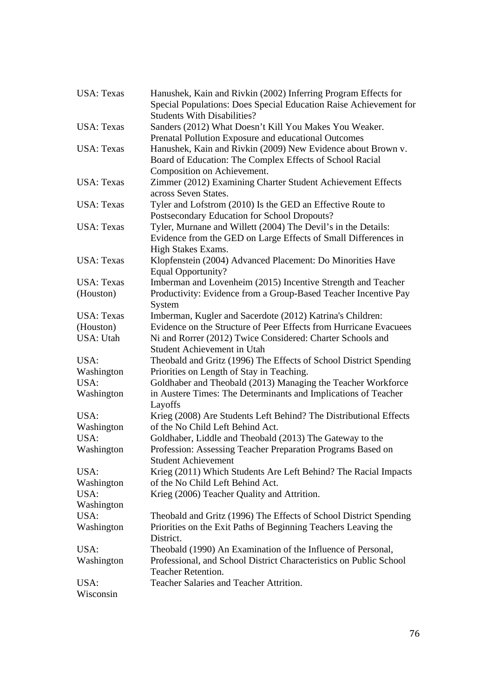| <b>USA: Texas</b>  | Hanushek, Kain and Rivkin (2002) Inferring Program Effects for<br>Special Populations: Does Special Education Raise Achievement for |
|--------------------|-------------------------------------------------------------------------------------------------------------------------------------|
| <b>USA</b> : Texas | <b>Students With Disabilities?</b><br>Sanders (2012) What Doesn't Kill You Makes You Weaker.                                        |
|                    | Prenatal Pollution Exposure and educational Outcomes                                                                                |
| <b>USA</b> : Texas | Hanushek, Kain and Rivkin (2009) New Evidence about Brown v.                                                                        |
|                    |                                                                                                                                     |
|                    | Board of Education: The Complex Effects of School Racial<br>Composition on Achievement.                                             |
| <b>USA</b> : Texas | Zimmer (2012) Examining Charter Student Achievement Effects                                                                         |
|                    | across Seven States.                                                                                                                |
| <b>USA</b> : Texas | Tyler and Lofstrom (2010) Is the GED an Effective Route to                                                                          |
|                    | Postsecondary Education for School Dropouts?                                                                                        |
| <b>USA</b> : Texas | Tyler, Murnane and Willett (2004) The Devil's in the Details:                                                                       |
|                    | Evidence from the GED on Large Effects of Small Differences in                                                                      |
|                    | High Stakes Exams.                                                                                                                  |
| <b>USA: Texas</b>  | Klopfenstein (2004) Advanced Placement: Do Minorities Have                                                                          |
|                    | Equal Opportunity?                                                                                                                  |
| <b>USA</b> : Texas | Imberman and Lovenheim (2015) Incentive Strength and Teacher                                                                        |
| (Houston)          | Productivity: Evidence from a Group-Based Teacher Incentive Pay                                                                     |
|                    | System                                                                                                                              |
| <b>USA</b> : Texas | Imberman, Kugler and Sacerdote (2012) Katrina's Children:                                                                           |
| (Houston)          | Evidence on the Structure of Peer Effects from Hurricane Evacuees                                                                   |
| <b>USA</b> : Utah  | Ni and Rorrer (2012) Twice Considered: Charter Schools and                                                                          |
|                    | <b>Student Achievement in Utah</b>                                                                                                  |
| USA:               | Theobald and Gritz (1996) The Effects of School District Spending                                                                   |
| Washington         | Priorities on Length of Stay in Teaching.                                                                                           |
| USA:               | Goldhaber and Theobald (2013) Managing the Teacher Workforce                                                                        |
| Washington         | in Austere Times: The Determinants and Implications of Teacher                                                                      |
|                    | Layoffs                                                                                                                             |
| USA:               | Krieg (2008) Are Students Left Behind? The Distributional Effects                                                                   |
| Washington<br>USA: | of the No Child Left Behind Act.<br>Goldhaber, Liddle and Theobald (2013) The Gateway to the                                        |
| Washington         | Profession: Assessing Teacher Preparation Programs Based on                                                                         |
|                    | <b>Student Achievement</b>                                                                                                          |
| USA:               | Krieg (2011) Which Students Are Left Behind? The Racial Impacts                                                                     |
| Washington         | of the No Child Left Behind Act.                                                                                                    |
| USA:               | Krieg (2006) Teacher Quality and Attrition.                                                                                         |
| Washington         |                                                                                                                                     |
| USA:               | Theobald and Gritz (1996) The Effects of School District Spending                                                                   |
| Washington         | Priorities on the Exit Paths of Beginning Teachers Leaving the                                                                      |
|                    | District.                                                                                                                           |
| USA:               | Theobald (1990) An Examination of the Influence of Personal,                                                                        |
| Washington         | Professional, and School District Characteristics on Public School                                                                  |
|                    | <b>Teacher Retention.</b>                                                                                                           |
| USA:               | Teacher Salaries and Teacher Attrition.                                                                                             |
| Wisconsin          |                                                                                                                                     |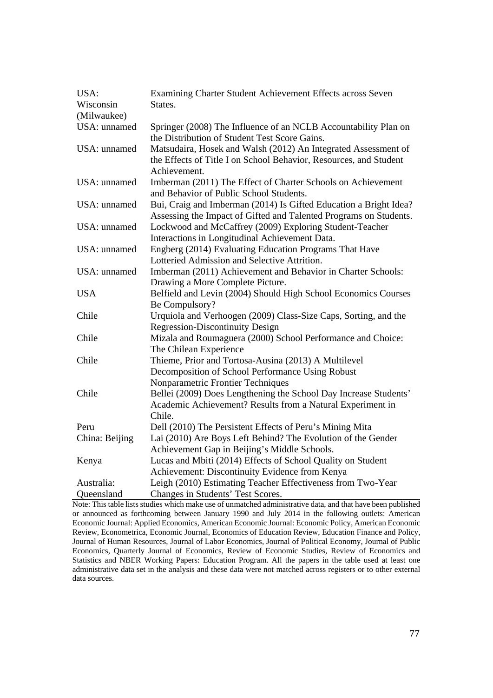| USA:<br>Wisconsin | Examining Charter Student Achievement Effects across Seven<br>States.                                                                               |
|-------------------|-----------------------------------------------------------------------------------------------------------------------------------------------------|
| (Milwaukee)       |                                                                                                                                                     |
| USA: unnamed      | Springer (2008) The Influence of an NCLB Accountability Plan on<br>the Distribution of Student Test Score Gains.                                    |
| USA: unnamed      | Matsudaira, Hosek and Walsh (2012) An Integrated Assessment of<br>the Effects of Title I on School Behavior, Resources, and Student<br>Achievement. |
| USA: unnamed      | Imberman (2011) The Effect of Charter Schools on Achievement<br>and Behavior of Public School Students.                                             |
| USA: unnamed      | Bui, Craig and Imberman (2014) Is Gifted Education a Bright Idea?<br>Assessing the Impact of Gifted and Talented Programs on Students.              |
| USA: unnamed      | Lockwood and McCaffrey (2009) Exploring Student-Teacher<br>Interactions in Longitudinal Achievement Data.                                           |
| USA: unnamed      | Engberg (2014) Evaluating Education Programs That Have<br>Lotteried Admission and Selective Attrition.                                              |
| USA: unnamed      | Imberman (2011) Achievement and Behavior in Charter Schools:<br>Drawing a More Complete Picture.                                                    |
| <b>USA</b>        | Belfield and Levin (2004) Should High School Economics Courses<br>Be Compulsory?                                                                    |
| Chile             | Urquiola and Verhoogen (2009) Class-Size Caps, Sorting, and the<br><b>Regression-Discontinuity Design</b>                                           |
| Chile             | Mizala and Roumaguera (2000) School Performance and Choice:<br>The Chilean Experience                                                               |
| Chile             | Thieme, Prior and Tortosa-Ausina (2013) A Multilevel                                                                                                |
|                   | Decomposition of School Performance Using Robust                                                                                                    |
|                   | Nonparametric Frontier Techniques                                                                                                                   |
| Chile             | Bellei (2009) Does Lengthening the School Day Increase Students'                                                                                    |
|                   | Academic Achievement? Results from a Natural Experiment in<br>Chile.                                                                                |
| Peru              | Dell (2010) The Persistent Effects of Peru's Mining Mita                                                                                            |
| China: Beijing    | Lai (2010) Are Boys Left Behind? The Evolution of the Gender                                                                                        |
|                   | Achievement Gap in Beijing's Middle Schools.                                                                                                        |
| Kenya             | Lucas and Mbiti (2014) Effects of School Quality on Student                                                                                         |
|                   | Achievement: Discontinuity Evidence from Kenya                                                                                                      |
| Australia:        | Leigh (2010) Estimating Teacher Effectiveness from Two-Year                                                                                         |
| Queensland        | Changes in Students' Test Scores.                                                                                                                   |

Note: This table lists studies which make use of unmatched administrative data, and that have been published or announced as forthcoming between January 1990 and July 2014 in the following outlets: American Economic Journal: Applied Economics, American Economic Journal: Economic Policy, American Economic Review, Econometrica, Economic Journal, Economics of Education Review, Education Finance and Policy, Journal of Human Resources, Journal of Labor Economics, Journal of Political Economy, Journal of Public Economics, Quarterly Journal of Economics, Review of Economic Studies, Review of Economics and Statistics and NBER Working Papers: Education Program. All the papers in the table used at least one administrative data set in the analysis and these data were not matched across registers or to other external data sources.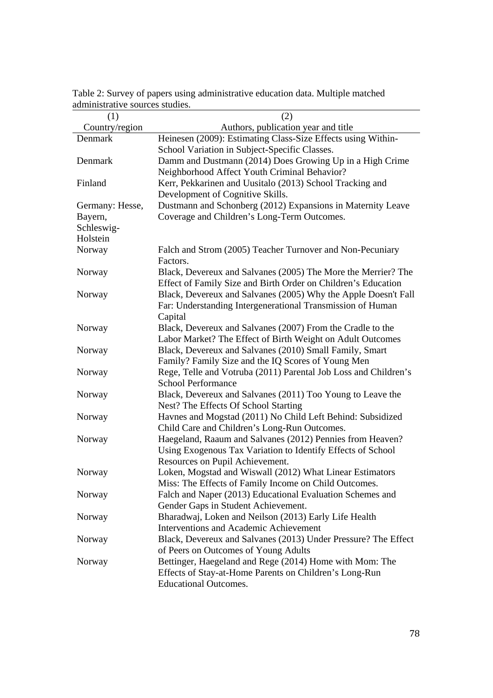| (1)             | (2)                                                             |
|-----------------|-----------------------------------------------------------------|
| Country/region  | Authors, publication year and title                             |
| Denmark         | Heinesen (2009): Estimating Class-Size Effects using Within-    |
|                 | School Variation in Subject-Specific Classes.                   |
| Denmark         | Damm and Dustmann (2014) Does Growing Up in a High Crime        |
|                 | Neighborhood Affect Youth Criminal Behavior?                    |
| Finland         | Kerr, Pekkarinen and Uusitalo (2013) School Tracking and        |
|                 | Development of Cognitive Skills.                                |
| Germany: Hesse, | Dustmann and Schonberg (2012) Expansions in Maternity Leave     |
| Bayern,         | Coverage and Children's Long-Term Outcomes.                     |
| Schleswig-      |                                                                 |
| Holstein        |                                                                 |
| Norway          | Falch and Strom (2005) Teacher Turnover and Non-Pecuniary       |
|                 | Factors.                                                        |
| Norway          | Black, Devereux and Salvanes (2005) The More the Merrier? The   |
|                 | Effect of Family Size and Birth Order on Children's Education   |
| Norway          | Black, Devereux and Salvanes (2005) Why the Apple Doesn't Fall  |
|                 | Far: Understanding Intergenerational Transmission of Human      |
|                 | Capital                                                         |
| Norway          | Black, Devereux and Salvanes (2007) From the Cradle to the      |
|                 | Labor Market? The Effect of Birth Weight on Adult Outcomes      |
| Norway          | Black, Devereux and Salvanes (2010) Small Family, Smart         |
|                 | Family? Family Size and the IQ Scores of Young Men              |
| Norway          | Rege, Telle and Votruba (2011) Parental Job Loss and Children's |
|                 | <b>School Performance</b>                                       |
| Norway          | Black, Devereux and Salvanes (2011) Too Young to Leave the      |
|                 | Nest? The Effects Of School Starting                            |
| Norway          | Havnes and Mogstad (2011) No Child Left Behind: Subsidized      |
|                 | Child Care and Children's Long-Run Outcomes.                    |
| Norway          | Haegeland, Raaum and Salvanes (2012) Pennies from Heaven?       |
|                 | Using Exogenous Tax Variation to Identify Effects of School     |
|                 | Resources on Pupil Achievement.                                 |
| Norway          | Loken, Mogstad and Wiswall (2012) What Linear Estimators        |
|                 | Miss: The Effects of Family Income on Child Outcomes.           |
| Norway          | Falch and Naper (2013) Educational Evaluation Schemes and       |
|                 | Gender Gaps in Student Achievement.                             |
| Norway          | Bharadwaj, Loken and Neilson (2013) Early Life Health           |
|                 | Interventions and Academic Achievement                          |
| Norway          | Black, Devereux and Salvanes (2013) Under Pressure? The Effect  |
|                 | of Peers on Outcomes of Young Adults                            |
| Norway          | Bettinger, Haegeland and Rege (2014) Home with Mom: The         |
|                 | Effects of Stay-at-Home Parents on Children's Long-Run          |
|                 | <b>Educational Outcomes.</b>                                    |

Table 2: Survey of papers using administrative education data. Multiple matched administrative sources studies.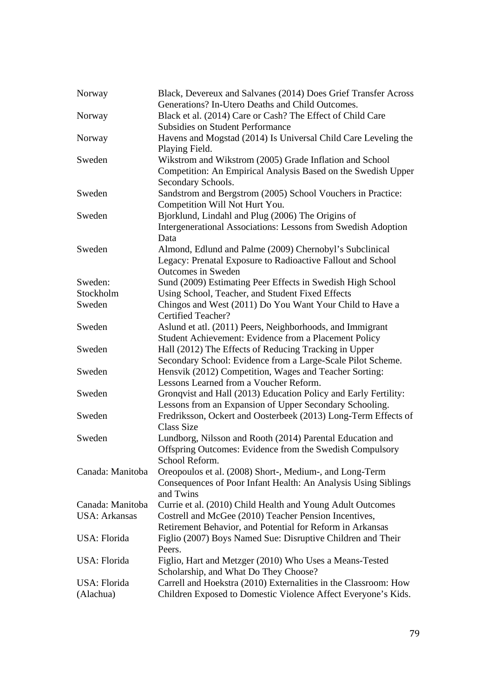| Norway                | Black, Devereux and Salvanes (2014) Does Grief Transfer Across<br>Generations? In-Utero Deaths and Child Outcomes. |
|-----------------------|--------------------------------------------------------------------------------------------------------------------|
| Norway                | Black et al. (2014) Care or Cash? The Effect of Child Care                                                         |
|                       | <b>Subsidies on Student Performance</b>                                                                            |
| Norway                | Havens and Mogstad (2014) Is Universal Child Care Leveling the                                                     |
|                       | Playing Field.                                                                                                     |
| Sweden                | Wikstrom and Wikstrom (2005) Grade Inflation and School                                                            |
|                       | Competition: An Empirical Analysis Based on the Swedish Upper                                                      |
|                       | Secondary Schools.                                                                                                 |
| Sweden                | Sandstrom and Bergstrom (2005) School Vouchers in Practice:                                                        |
|                       | Competition Will Not Hurt You.                                                                                     |
| Sweden                | Bjorklund, Lindahl and Plug (2006) The Origins of                                                                  |
|                       | Intergenerational Associations: Lessons from Swedish Adoption                                                      |
|                       | Data                                                                                                               |
| Sweden                | Almond, Edlund and Palme (2009) Chernobyl's Subclinical                                                            |
|                       | Legacy: Prenatal Exposure to Radioactive Fallout and School                                                        |
|                       | Outcomes in Sweden                                                                                                 |
| Sweden:               | Sund (2009) Estimating Peer Effects in Swedish High School                                                         |
| Stockholm             | Using School, Teacher, and Student Fixed Effects                                                                   |
| Sweden                | Chingos and West (2011) Do You Want Your Child to Have a                                                           |
|                       | <b>Certified Teacher?</b>                                                                                          |
| Sweden                | Aslund et atl. (2011) Peers, Neighborhoods, and Immigrant                                                          |
|                       | Student Achievement: Evidence from a Placement Policy                                                              |
| Sweden                | Hall (2012) The Effects of Reducing Tracking in Upper                                                              |
|                       | Secondary School: Evidence from a Large-Scale Pilot Scheme.                                                        |
| Sweden                | Hensvik (2012) Competition, Wages and Teacher Sorting:                                                             |
|                       | Lessons Learned from a Voucher Reform.                                                                             |
| Sweden                | Gronqvist and Hall (2013) Education Policy and Early Fertility:                                                    |
|                       | Lessons from an Expansion of Upper Secondary Schooling.                                                            |
| Sweden                | Fredriksson, Ockert and Oosterbeek (2013) Long-Term Effects of                                                     |
|                       | <b>Class Size</b>                                                                                                  |
| Sweden                | Lundborg, Nilsson and Rooth (2014) Parental Education and                                                          |
|                       | Offspring Outcomes: Evidence from the Swedish Compulsory                                                           |
|                       | School Reform.                                                                                                     |
| Canada: Manitoba      | Oreopoulos et al. (2008) Short-, Medium-, and Long-Term                                                            |
|                       | Consequences of Poor Infant Health: An Analysis Using Siblings                                                     |
|                       | and Twins                                                                                                          |
| Canada: Manitoba      | Currie et al. (2010) Child Health and Young Adult Outcomes                                                         |
| <b>USA</b> : Arkansas | Costrell and McGee (2010) Teacher Pension Incentives,                                                              |
| USA: Florida          | Retirement Behavior, and Potential for Reform in Arkansas                                                          |
|                       | Figlio (2007) Boys Named Sue: Disruptive Children and Their<br>Peers.                                              |
| <b>USA: Florida</b>   | Figlio, Hart and Metzger (2010) Who Uses a Means-Tested                                                            |
|                       | Scholarship, and What Do They Choose?                                                                              |
| USA: Florida          | Carrell and Hoekstra (2010) Externalities in the Classroom: How                                                    |
| (Alachua)             | Children Exposed to Domestic Violence Affect Everyone's Kids.                                                      |
|                       |                                                                                                                    |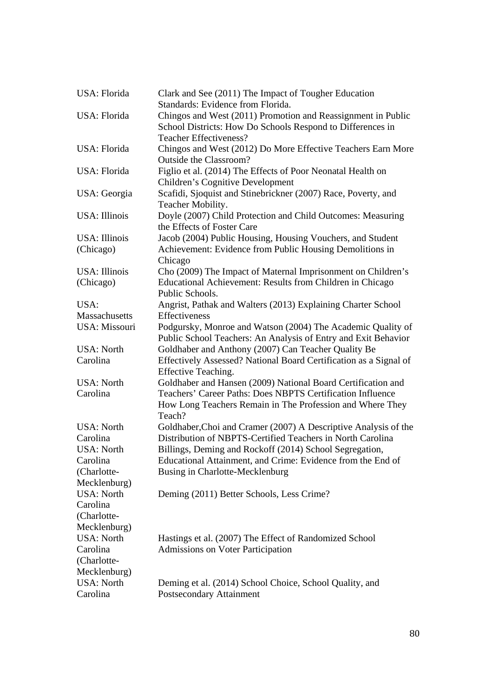| USA: Florida                       | Clark and See (2011) The Impact of Tougher Education<br>Standards: Evidence from Florida.                                                                   |
|------------------------------------|-------------------------------------------------------------------------------------------------------------------------------------------------------------|
| USA: Florida                       | Chingos and West (2011) Promotion and Reassignment in Public<br>School Districts: How Do Schools Respond to Differences in<br><b>Teacher Effectiveness?</b> |
| <b>USA: Florida</b>                | Chingos and West (2012) Do More Effective Teachers Earn More<br>Outside the Classroom?                                                                      |
| USA: Florida                       | Figlio et al. (2014) The Effects of Poor Neonatal Health on<br>Children's Cognitive Development                                                             |
| USA: Georgia                       | Scafidi, Sjoquist and Stinebrickner (2007) Race, Poverty, and<br>Teacher Mobility.                                                                          |
| <b>USA</b> : Illinois              | Doyle (2007) Child Protection and Child Outcomes: Measuring<br>the Effects of Foster Care                                                                   |
| <b>USA</b> : Illinois<br>(Chicago) | Jacob (2004) Public Housing, Housing Vouchers, and Student<br>Achievement: Evidence from Public Housing Demolitions in<br>Chicago                           |
| <b>USA</b> : Illinois<br>(Chicago) | Cho (2009) The Impact of Maternal Imprisonment on Children's<br>Educational Achievement: Results from Children in Chicago                                   |
|                                    | Public Schools.                                                                                                                                             |
| USA:                               | Angrist, Pathak and Walters (2013) Explaining Charter School                                                                                                |
| <b>Massachusetts</b>               | Effectiveness                                                                                                                                               |
| <b>USA: Missouri</b>               | Podgursky, Monroe and Watson (2004) The Academic Quality of<br>Public School Teachers: An Analysis of Entry and Exit Behavior                               |
| <b>USA: North</b>                  | Goldhaber and Anthony (2007) Can Teacher Quality Be                                                                                                         |
| Carolina                           | Effectively Assessed? National Board Certification as a Signal of<br>Effective Teaching.                                                                    |
| <b>USA: North</b>                  | Goldhaber and Hansen (2009) National Board Certification and                                                                                                |
| Carolina                           | Teachers' Career Paths: Does NBPTS Certification Influence<br>How Long Teachers Remain in The Profession and Where They<br>Teach?                           |
| <b>USA: North</b>                  | Goldhaber, Choi and Cramer (2007) A Descriptive Analysis of the                                                                                             |
| Carolina                           | Distribution of NBPTS-Certified Teachers in North Carolina                                                                                                  |
| <b>USA: North</b>                  | Billings, Deming and Rockoff (2014) School Segregation,                                                                                                     |
| Carolina                           | Educational Attainment, and Crime: Evidence from the End of                                                                                                 |
| (Charlotte-                        | Busing in Charlotte-Mecklenburg                                                                                                                             |
| Mecklenburg)                       |                                                                                                                                                             |
| <b>USA: North</b>                  | Deming (2011) Better Schools, Less Crime?                                                                                                                   |
| Carolina                           |                                                                                                                                                             |
| (Charlotte-                        |                                                                                                                                                             |
| Mecklenburg)                       |                                                                                                                                                             |
| <b>USA: North</b>                  | Hastings et al. (2007) The Effect of Randomized School                                                                                                      |
| Carolina                           | Admissions on Voter Participation                                                                                                                           |
| (Charlotte-<br>Mecklenburg)        |                                                                                                                                                             |
| <b>USA: North</b>                  | Deming et al. (2014) School Choice, School Quality, and                                                                                                     |
| Carolina                           | Postsecondary Attainment                                                                                                                                    |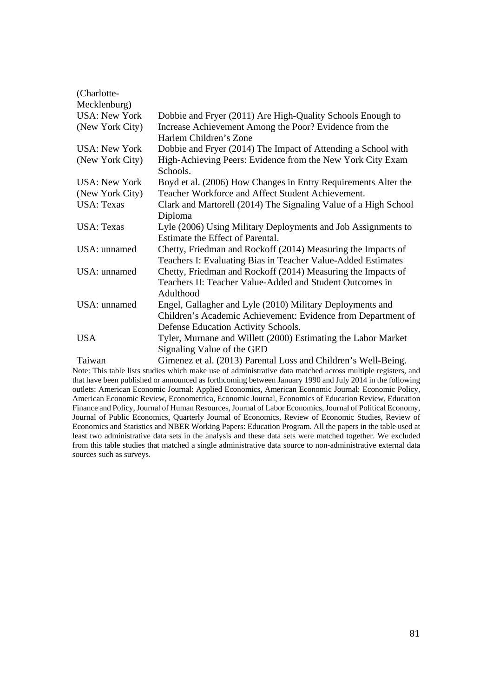| (Charlotte-          |                                                                 |
|----------------------|-----------------------------------------------------------------|
| Mecklenburg)         |                                                                 |
| <b>USA: New York</b> | Dobbie and Fryer (2011) Are High-Quality Schools Enough to      |
| (New York City)      | Increase Achievement Among the Poor? Evidence from the          |
|                      | Harlem Children's Zone                                          |
| <b>USA: New York</b> | Dobbie and Fryer (2014) The Impact of Attending a School with   |
| (New York City)      | High-Achieving Peers: Evidence from the New York City Exam      |
|                      | Schools.                                                        |
| <b>USA: New York</b> | Boyd et al. (2006) How Changes in Entry Requirements Alter the  |
| (New York City)      | Teacher Workforce and Affect Student Achievement.               |
| <b>USA: Texas</b>    | Clark and Martorell (2014) The Signaling Value of a High School |
|                      | Diploma                                                         |
| <b>USA</b> : Texas   | Lyle (2006) Using Military Deployments and Job Assignments to   |
|                      | Estimate the Effect of Parental.                                |
| USA: unnamed         | Chetty, Friedman and Rockoff (2014) Measuring the Impacts of    |
|                      | Teachers I: Evaluating Bias in Teacher Value-Added Estimates    |
| USA: unnamed         | Chetty, Friedman and Rockoff (2014) Measuring the Impacts of    |
|                      | Teachers II: Teacher Value-Added and Student Outcomes in        |
|                      | Adulthood                                                       |
| USA: unnamed         | Engel, Gallagher and Lyle (2010) Military Deployments and       |
|                      | Children's Academic Achievement: Evidence from Department of    |
|                      | Defense Education Activity Schools.                             |
| <b>USA</b>           | Tyler, Murnane and Willett (2000) Estimating the Labor Market   |
|                      | Signaling Value of the GED                                      |
| Taiwan               | Gimenez et al. (2013) Parental Loss and Children's Well-Being.  |

Note: This table lists studies which make use of administrative data matched across multiple registers, and that have been published or announced as forthcoming between January 1990 and July 2014 in the following outlets: American Economic Journal: Applied Economics, American Economic Journal: Economic Policy, American Economic Review, Econometrica, Economic Journal, Economics of Education Review, Education Finance and Policy, Journal of Human Resources, Journal of Labor Economics, Journal of Political Economy, Journal of Public Economics, Quarterly Journal of Economics, Review of Economic Studies, Review of Economics and Statistics and NBER Working Papers: Education Program. All the papers in the table used at least two administrative data sets in the analysis and these data sets were matched together. We excluded from this table studies that matched a single administrative data source to non-administrative external data sources such as surveys.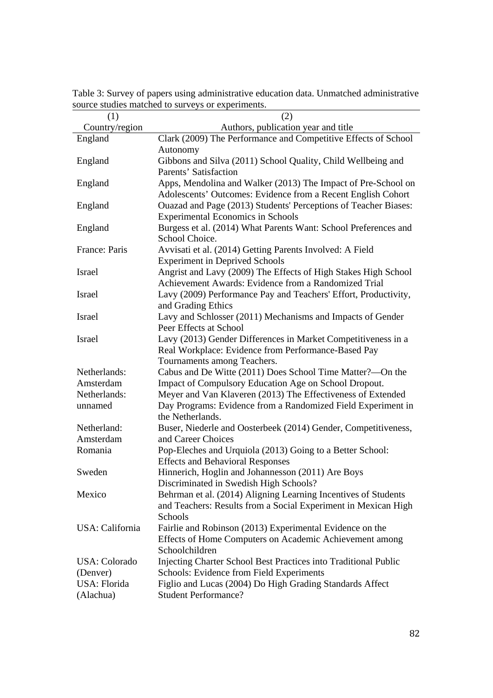| (1)                     | (2)                                                             |
|-------------------------|-----------------------------------------------------------------|
| Country/region          | Authors, publication year and title                             |
| England                 | Clark (2009) The Performance and Competitive Effects of School  |
|                         | Autonomy                                                        |
| England                 | Gibbons and Silva (2011) School Quality, Child Wellbeing and    |
|                         | Parents' Satisfaction                                           |
| England                 | Apps, Mendolina and Walker (2013) The Impact of Pre-School on   |
|                         | Adolescents' Outcomes: Evidence from a Recent English Cohort    |
| England                 | Ouazad and Page (2013) Students' Perceptions of Teacher Biases: |
|                         | <b>Experimental Economics in Schools</b>                        |
| England                 | Burgess et al. (2014) What Parents Want: School Preferences and |
|                         | School Choice.                                                  |
| France: Paris           | Avvisati et al. (2014) Getting Parents Involved: A Field        |
|                         | <b>Experiment in Deprived Schools</b>                           |
| Israel                  | Angrist and Lavy (2009) The Effects of High Stakes High School  |
|                         | Achievement Awards: Evidence from a Randomized Trial            |
| Israel                  | Lavy (2009) Performance Pay and Teachers' Effort, Productivity, |
|                         | and Grading Ethics                                              |
| Israel                  | Lavy and Schlosser (2011) Mechanisms and Impacts of Gender      |
|                         | Peer Effects at School                                          |
| Israel                  | Lavy (2013) Gender Differences in Market Competitiveness in a   |
|                         | Real Workplace: Evidence from Performance-Based Pay             |
|                         | Tournaments among Teachers.                                     |
| Netherlands:            | Cabus and De Witte (2011) Does School Time Matter?—On the       |
| Amsterdam               | Impact of Compulsory Education Age on School Dropout.           |
| Netherlands:            | Meyer and Van Klaveren (2013) The Effectiveness of Extended     |
| unnamed                 | Day Programs: Evidence from a Randomized Field Experiment in    |
|                         | the Netherlands.                                                |
| Netherland:             | Buser, Niederle and Oosterbeek (2014) Gender, Competitiveness,  |
| Amsterdam               | and Career Choices                                              |
| Romania                 | Pop-Eleches and Urquiola (2013) Going to a Better School:       |
|                         | <b>Effects and Behavioral Responses</b>                         |
| Sweden                  | Hinnerich, Hoglin and Johannesson (2011) Are Boys               |
|                         | Discriminated in Swedish High Schools?                          |
| Mexico                  | Behrman et al. (2014) Aligning Learning Incentives of Students  |
|                         | and Teachers: Results from a Social Experiment in Mexican High  |
|                         | Schools                                                         |
| <b>USA</b> : California | Fairlie and Robinson (2013) Experimental Evidence on the        |
|                         | Effects of Home Computers on Academic Achievement among         |
|                         | Schoolchildren                                                  |
| <b>USA: Colorado</b>    | Injecting Charter School Best Practices into Traditional Public |
| (Denver)                | Schools: Evidence from Field Experiments                        |
| USA: Florida            | Figlio and Lucas (2004) Do High Grading Standards Affect        |
| (Alachua)               | <b>Student Performance?</b>                                     |

Table 3: Survey of papers using administrative education data. Unmatched administrative source studies matched to surveys or experiments.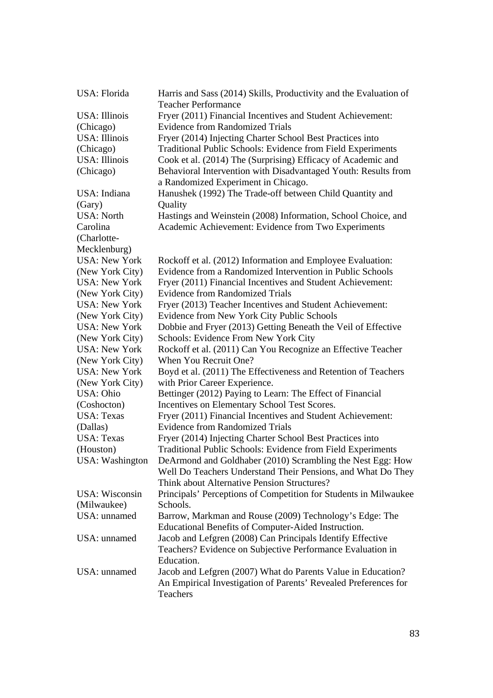| USA: Florida           | Harris and Sass (2014) Skills, Productivity and the Evaluation of |
|------------------------|-------------------------------------------------------------------|
|                        | <b>Teacher Performance</b>                                        |
| USA: Illinois          | Fryer (2011) Financial Incentives and Student Achievement:        |
| (Chicago)              | <b>Evidence from Randomized Trials</b>                            |
| <b>USA: Illinois</b>   | Fryer (2014) Injecting Charter School Best Practices into         |
| (Chicago)              | Traditional Public Schools: Evidence from Field Experiments       |
| <b>USA</b> : Illinois  | Cook et al. (2014) The (Surprising) Efficacy of Academic and      |
| (Chicago)              | Behavioral Intervention with Disadvantaged Youth: Results from    |
|                        | a Randomized Experiment in Chicago.                               |
| USA: Indiana           | Hanushek (1992) The Trade-off between Child Quantity and          |
| (Gary)                 | Quality                                                           |
| <b>USA: North</b>      | Hastings and Weinstein (2008) Information, School Choice, and     |
| Carolina               | Academic Achievement: Evidence from Two Experiments               |
| (Charlotte-            |                                                                   |
| Mecklenburg)           |                                                                   |
| <b>USA: New York</b>   | Rockoff et al. (2012) Information and Employee Evaluation:        |
| (New York City)        | Evidence from a Randomized Intervention in Public Schools         |
| <b>USA: New York</b>   | Fryer (2011) Financial Incentives and Student Achievement:        |
| (New York City)        | <b>Evidence from Randomized Trials</b>                            |
| <b>USA: New York</b>   | Fryer (2013) Teacher Incentives and Student Achievement:          |
| (New York City)        | Evidence from New York City Public Schools                        |
| <b>USA: New York</b>   | Dobbie and Fryer (2013) Getting Beneath the Veil of Effective     |
| (New York City)        | Schools: Evidence From New York City                              |
| <b>USA: New York</b>   | Rockoff et al. (2011) Can You Recognize an Effective Teacher      |
|                        | When You Recruit One?                                             |
| (New York City)        |                                                                   |
| <b>USA: New York</b>   | Boyd et al. (2011) The Effectiveness and Retention of Teachers    |
| (New York City)        | with Prior Career Experience.                                     |
| USA: Ohio              | Bettinger (2012) Paying to Learn: The Effect of Financial         |
| (Coshocton)            | Incentives on Elementary School Test Scores.                      |
| <b>USA</b> : Texas     | Fryer (2011) Financial Incentives and Student Achievement:        |
| (Dallas)               | <b>Evidence from Randomized Trials</b>                            |
| <b>USA</b> : Texas     | Fryer (2014) Injecting Charter School Best Practices into         |
| (Houston)              | Traditional Public Schools: Evidence from Field Experiments       |
| <b>USA: Washington</b> | DeArmond and Goldhaber (2010) Scrambling the Nest Egg: How        |
|                        | Well Do Teachers Understand Their Pensions, and What Do They      |
|                        | Think about Alternative Pension Structures?                       |
| <b>USA: Wisconsin</b>  | Principals' Perceptions of Competition for Students in Milwaukee  |
| (Milwaukee)            | Schools.                                                          |
| USA: unnamed           | Barrow, Markman and Rouse (2009) Technology's Edge: The           |
|                        | Educational Benefits of Computer-Aided Instruction.               |
| USA: unnamed           | Jacob and Lefgren (2008) Can Principals Identify Effective        |
|                        | Teachers? Evidence on Subjective Performance Evaluation in        |
|                        | Education.                                                        |
| USA: unnamed           | Jacob and Lefgren (2007) What do Parents Value in Education?      |
|                        | An Empirical Investigation of Parents' Revealed Preferences for   |
|                        | Teachers                                                          |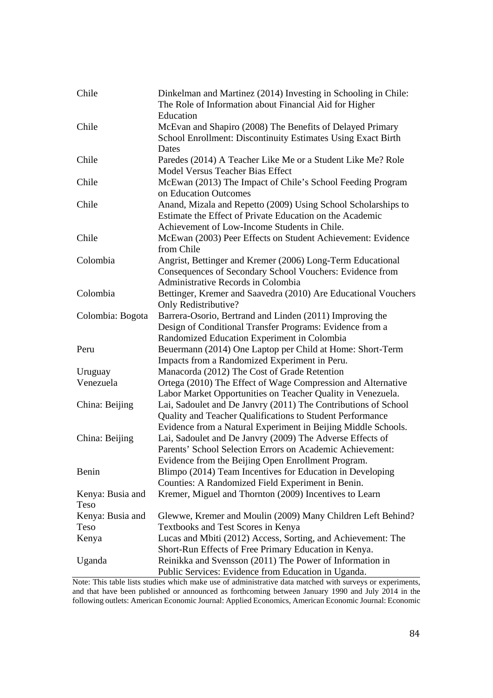| Chile            | Dinkelman and Martinez (2014) Investing in Schooling in Chile:<br>The Role of Information about Financial Aid for Higher |
|------------------|--------------------------------------------------------------------------------------------------------------------------|
|                  | Education                                                                                                                |
| Chile            | McEvan and Shapiro (2008) The Benefits of Delayed Primary                                                                |
|                  | School Enrollment: Discontinuity Estimates Using Exact Birth                                                             |
|                  | Dates                                                                                                                    |
| Chile            | Paredes (2014) A Teacher Like Me or a Student Like Me? Role                                                              |
|                  | Model Versus Teacher Bias Effect                                                                                         |
| Chile            | McEwan (2013) The Impact of Chile's School Feeding Program                                                               |
|                  | on Education Outcomes                                                                                                    |
| Chile            | Anand, Mizala and Repetto (2009) Using School Scholarships to                                                            |
|                  | Estimate the Effect of Private Education on the Academic                                                                 |
|                  | Achievement of Low-Income Students in Chile.                                                                             |
| Chile            | McEwan (2003) Peer Effects on Student Achievement: Evidence                                                              |
|                  | from Chile                                                                                                               |
| Colombia         | Angrist, Bettinger and Kremer (2006) Long-Term Educational                                                               |
|                  | Consequences of Secondary School Vouchers: Evidence from                                                                 |
|                  | Administrative Records in Colombia                                                                                       |
| Colombia         | Bettinger, Kremer and Saavedra (2010) Are Educational Vouchers                                                           |
|                  | Only Redistributive?                                                                                                     |
| Colombia: Bogota | Barrera-Osorio, Bertrand and Linden (2011) Improving the                                                                 |
|                  | Design of Conditional Transfer Programs: Evidence from a                                                                 |
|                  | Randomized Education Experiment in Colombia                                                                              |
| Peru             | Beuermann (2014) One Laptop per Child at Home: Short-Term                                                                |
|                  | Impacts from a Randomized Experiment in Peru.                                                                            |
| Uruguay          | Manacorda (2012) The Cost of Grade Retention                                                                             |
| Venezuela        | Ortega (2010) The Effect of Wage Compression and Alternative                                                             |
|                  | Labor Market Opportunities on Teacher Quality in Venezuela.                                                              |
| China: Beijing   | Lai, Sadoulet and De Janvry (2011) The Contributions of School                                                           |
|                  | Quality and Teacher Qualifications to Student Performance                                                                |
|                  | Evidence from a Natural Experiment in Beijing Middle Schools.                                                            |
| China: Beijing   | Lai, Sadoulet and De Janvry (2009) The Adverse Effects of                                                                |
|                  | Parents' School Selection Errors on Academic Achievement:                                                                |
|                  | Evidence from the Beijing Open Enrollment Program.                                                                       |
| Benin            | Blimpo (2014) Team Incentives for Education in Developing                                                                |
|                  | Counties: A Randomized Field Experiment in Benin.                                                                        |
| Kenya: Busia and | Kremer, Miguel and Thornton (2009) Incentives to Learn                                                                   |
| Teso             |                                                                                                                          |
| Kenya: Busia and | Glewwe, Kremer and Moulin (2009) Many Children Left Behind?                                                              |
| Teso             | Textbooks and Test Scores in Kenya                                                                                       |
| Kenya            | Lucas and Mbiti (2012) Access, Sorting, and Achievement: The                                                             |
|                  | Short-Run Effects of Free Primary Education in Kenya.                                                                    |
| Uganda           | Reinikka and Svensson (2011) The Power of Information in                                                                 |
|                  | Public Services: Evidence from Education in Uganda.                                                                      |

Note: This table lists studies which make use of administrative data matched with surveys or experiments, and that have been published or announced as forthcoming between January 1990 and July 2014 in the following outlets: American Economic Journal: Applied Economics, American Economic Journal: Economic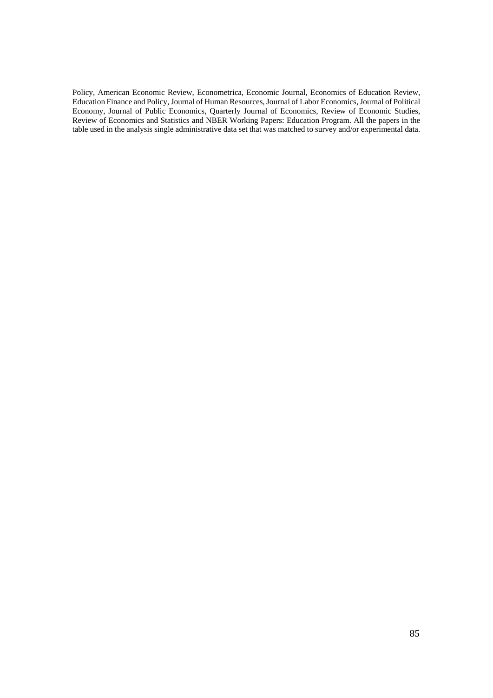Policy, American Economic Review, Econometrica, Economic Journal, Economics of Education Review, Education Finance and Policy, Journal of Human Resources, Journal of Labor Economics, Journal of Political Economy, Journal of Public Economics, Quarterly Journal of Economics, Review of Economic Studies, Review of Economics and Statistics and NBER Working Papers: Education Program. All the papers in the table used in the analysis single administrative data set that was matched to survey and/or experimental data.